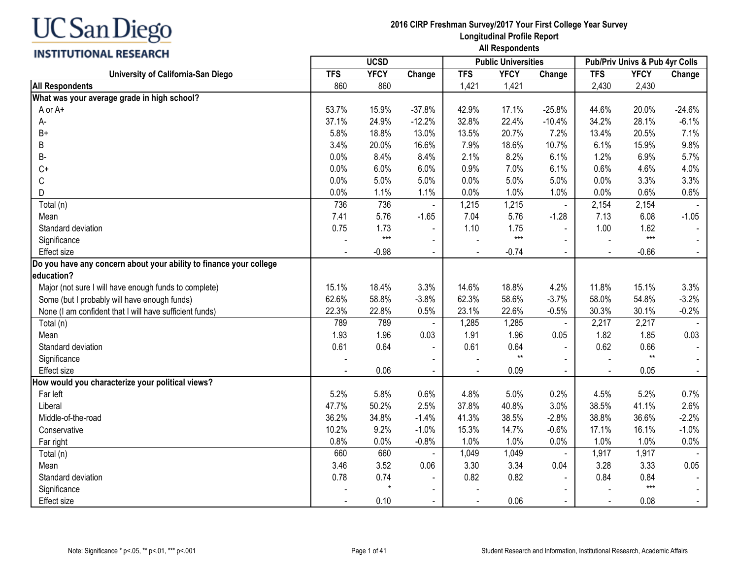## **INSTITUTIONAL RESEARCH**

|                                                                    |            | <b>UCSD</b> |                |            | <b>Public Universities</b> |                |                | Pub/Priv Univs & Pub 4yr Colls |                |
|--------------------------------------------------------------------|------------|-------------|----------------|------------|----------------------------|----------------|----------------|--------------------------------|----------------|
| University of California-San Diego                                 | <b>TFS</b> | <b>YFCY</b> | Change         | <b>TFS</b> | <b>YFCY</b>                | Change         | <b>TFS</b>     | <b>YFCY</b>                    | Change         |
| <b>All Respondents</b>                                             | 860        | 860         |                | 1,421      | 1,421                      |                | 2,430          | 2,430                          |                |
| What was your average grade in high school?                        |            |             |                |            |                            |                |                |                                |                |
| A or A+                                                            | 53.7%      | 15.9%       | $-37.8%$       | 42.9%      | 17.1%                      | $-25.8%$       | 44.6%          | 20.0%                          | $-24.6%$       |
| A-                                                                 | 37.1%      | 24.9%       | $-12.2%$       | 32.8%      | 22.4%                      | $-10.4%$       | 34.2%          | 28.1%                          | $-6.1%$        |
| $B+$                                                               | 5.8%       | 18.8%       | 13.0%          | 13.5%      | 20.7%                      | 7.2%           | 13.4%          | 20.5%                          | 7.1%           |
| B                                                                  | 3.4%       | 20.0%       | 16.6%          | 7.9%       | 18.6%                      | 10.7%          | 6.1%           | 15.9%                          | 9.8%           |
| В-                                                                 | 0.0%       | 8.4%        | 8.4%           | 2.1%       | 8.2%                       | 6.1%           | 1.2%           | 6.9%                           | 5.7%           |
| $C+$                                                               | 0.0%       | 6.0%        | 6.0%           | 0.9%       | 7.0%                       | 6.1%           | 0.6%           | 4.6%                           | 4.0%           |
| С                                                                  | 0.0%       | 5.0%        | 5.0%           | 0.0%       | 5.0%                       | 5.0%           | 0.0%           | 3.3%                           | 3.3%           |
| D                                                                  | 0.0%       | 1.1%        | 1.1%           | 0.0%       | 1.0%                       | 1.0%           | 0.0%           | 0.6%                           | 0.6%           |
| Total (n)                                                          | 736        | 736         | $\blacksquare$ | 1,215      | 1,215                      | $\blacksquare$ | 2,154          | 2,154                          |                |
| Mean                                                               | 7.41       | 5.76        | $-1.65$        | 7.04       | 5.76                       | $-1.28$        | 7.13           | 6.08                           | $-1.05$        |
| Standard deviation                                                 | 0.75       | 1.73        | $\blacksquare$ | 1.10       | 1.75                       | $\blacksquare$ | 1.00           | 1.62                           |                |
| Significance                                                       |            | $***$       | $\blacksquare$ |            | $***$                      |                |                | $***$                          |                |
| Effect size                                                        |            | $-0.98$     | $\blacksquare$ |            | $-0.74$                    | $\blacksquare$ |                | $-0.66$                        |                |
| Do you have any concern about your ability to finance your college |            |             |                |            |                            |                |                |                                |                |
| education?                                                         |            |             |                |            |                            |                |                |                                |                |
| Major (not sure I will have enough funds to complete)              | 15.1%      | 18.4%       | 3.3%           | 14.6%      | 18.8%                      | 4.2%           | 11.8%          | 15.1%                          | 3.3%           |
| Some (but I probably will have enough funds)                       | 62.6%      | 58.8%       | $-3.8%$        | 62.3%      | 58.6%                      | $-3.7%$        | 58.0%          | 54.8%                          | $-3.2%$        |
| None (I am confident that I will have sufficient funds)            | 22.3%      | 22.8%       | 0.5%           | 23.1%      | 22.6%                      | $-0.5%$        | 30.3%          | 30.1%                          | $-0.2%$        |
| Total (n)                                                          | 789        | 789         | $\sim$         | 1,285      | 1,285                      | $\blacksquare$ | 2,217          | 2,217                          |                |
| Mean                                                               | 1.93       | 1.96        | 0.03           | 1.91       | 1.96                       | 0.05           | 1.82           | 1.85                           | 0.03           |
| Standard deviation                                                 | 0.61       | 0.64        | $\blacksquare$ | 0.61       | 0.64                       | $\sim$         | 0.62           | 0.66                           | $\blacksquare$ |
| Significance                                                       |            |             |                |            | $\star\star$               |                |                | $**$                           |                |
| <b>Effect size</b>                                                 |            | 0.06        |                |            | 0.09                       |                | $\blacksquare$ | 0.05                           | $\blacksquare$ |
| How would you characterize your political views?                   |            |             |                |            |                            |                |                |                                |                |
| Far left                                                           | 5.2%       | 5.8%        | 0.6%           | 4.8%       | 5.0%                       | 0.2%           | 4.5%           | 5.2%                           | 0.7%           |
| Liberal                                                            | 47.7%      | 50.2%       | 2.5%           | 37.8%      | 40.8%                      | 3.0%           | 38.5%          | 41.1%                          | 2.6%           |
| Middle-of-the-road                                                 | 36.2%      | 34.8%       | $-1.4%$        | 41.3%      | 38.5%                      | $-2.8%$        | 38.8%          | 36.6%                          | $-2.2%$        |
| Conservative                                                       | 10.2%      | 9.2%        | $-1.0%$        | 15.3%      | 14.7%                      | $-0.6%$        | 17.1%          | 16.1%                          | $-1.0%$        |
| Far right                                                          | 0.8%       | 0.0%        | $-0.8%$        | 1.0%       | 1.0%                       | 0.0%           | 1.0%           | 1.0%                           | 0.0%           |
| Total (n)                                                          | 660        | 660         |                | 1,049      | 1,049                      |                | 1,917          | 1,917                          |                |
| Mean                                                               | 3.46       | 3.52        | 0.06           | 3.30       | 3.34                       | 0.04           | 3.28           | 3.33                           | 0.05           |
| Standard deviation                                                 | 0.78       | 0.74        | $\blacksquare$ | 0.82       | 0.82                       |                | 0.84           | 0.84                           |                |
| Significance                                                       |            |             | $\blacksquare$ |            |                            | $\blacksquare$ |                | $***$                          | $\sim$         |
| Effect size                                                        |            | 0.10        | $\blacksquare$ |            | 0.06                       | $\mathbf{r}$   | $\sim$         | 0.08                           | $\blacksquare$ |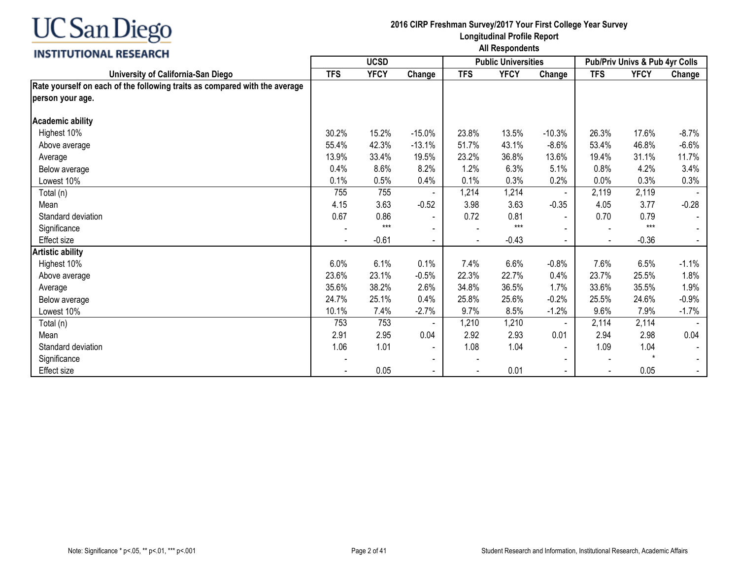

|                                                                            | <b>UCSD</b> |             |                          |            | <b>Public Universities</b> |                | Pub/Priv Univs & Pub 4yr Colls |             |          |
|----------------------------------------------------------------------------|-------------|-------------|--------------------------|------------|----------------------------|----------------|--------------------------------|-------------|----------|
| University of California-San Diego                                         | <b>TFS</b>  | <b>YFCY</b> | Change                   | <b>TFS</b> | <b>YFCY</b>                | Change         | <b>TFS</b>                     | <b>YFCY</b> | Change   |
| Rate yourself on each of the following traits as compared with the average |             |             |                          |            |                            |                |                                |             |          |
| person your age.                                                           |             |             |                          |            |                            |                |                                |             |          |
| Academic ability                                                           |             |             |                          |            |                            |                |                                |             |          |
| Highest 10%                                                                | 30.2%       | 15.2%       | $-15.0%$                 | 23.8%      | 13.5%                      | $-10.3%$       | 26.3%                          | 17.6%       | $-8.7\%$ |
| Above average                                                              | 55.4%       | 42.3%       | $-13.1%$                 | 51.7%      | 43.1%                      | $-8.6%$        | 53.4%                          | 46.8%       | $-6.6%$  |
| Average                                                                    | 13.9%       | 33.4%       | 19.5%                    | 23.2%      | 36.8%                      | 13.6%          | 19.4%                          | 31.1%       | 11.7%    |
| Below average                                                              | 0.4%        | 8.6%        | 8.2%                     | 1.2%       | 6.3%                       | 5.1%           | 0.8%                           | 4.2%        | 3.4%     |
| Lowest 10%                                                                 | 0.1%        | 0.5%        | 0.4%                     | 0.1%       | 0.3%                       | 0.2%           | 0.0%                           | 0.3%        | 0.3%     |
| Total (n)                                                                  | 755         | 755         |                          | 1,214      | 1,214                      |                | 2,119                          | 2,119       |          |
| Mean                                                                       | 4.15        | 3.63        | $-0.52$                  | 3.98       | 3.63                       | $-0.35$        | 4.05                           | 3.77        | $-0.28$  |
| Standard deviation                                                         | 0.67        | 0.86        | $\overline{\phantom{a}}$ | 0.72       | 0.81                       | $\sim$         | 0.70                           | 0.79        |          |
| Significance                                                               |             | $***$       |                          |            | $***$                      |                | $\overline{\phantom{a}}$       | $***$       |          |
| Effect size                                                                |             | $-0.61$     | $\blacksquare$           |            | $-0.43$                    | $\sim$         | $\blacksquare$                 | $-0.36$     |          |
| <b>Artistic ability</b>                                                    |             |             |                          |            |                            |                |                                |             |          |
| Highest 10%                                                                | 6.0%        | 6.1%        | 0.1%                     | 7.4%       | 6.6%                       | $-0.8%$        | 7.6%                           | 6.5%        | $-1.1%$  |
| Above average                                                              | 23.6%       | 23.1%       | $-0.5%$                  | 22.3%      | 22.7%                      | 0.4%           | 23.7%                          | 25.5%       | 1.8%     |
| Average                                                                    | 35.6%       | 38.2%       | 2.6%                     | 34.8%      | 36.5%                      | 1.7%           | 33.6%                          | 35.5%       | 1.9%     |
| Below average                                                              | 24.7%       | 25.1%       | 0.4%                     | 25.8%      | 25.6%                      | $-0.2%$        | 25.5%                          | 24.6%       | $-0.9%$  |
| Lowest 10%                                                                 | 10.1%       | 7.4%        | $-2.7%$                  | 9.7%       | 8.5%                       | $-1.2%$        | 9.6%                           | 7.9%        | $-1.7%$  |
| Total (n)                                                                  | 753         | 753         |                          | 1,210      | 1,210                      |                | 2,114                          | 2,114       |          |
| Mean                                                                       | 2.91        | 2.95        | 0.04                     | 2.92       | 2.93                       | 0.01           | 2.94                           | 2.98        | 0.04     |
| Standard deviation                                                         | 1.06        | 1.01        | $\blacksquare$           | 1.08       | 1.04                       | $\blacksquare$ | 1.09                           | 1.04        |          |
| Significance                                                               |             |             | $\overline{\phantom{a}}$ |            |                            |                |                                |             |          |
| Effect size                                                                |             | 0.05        |                          |            | 0.01                       | $\sim$         | $\overline{\phantom{a}}$       | 0.05        |          |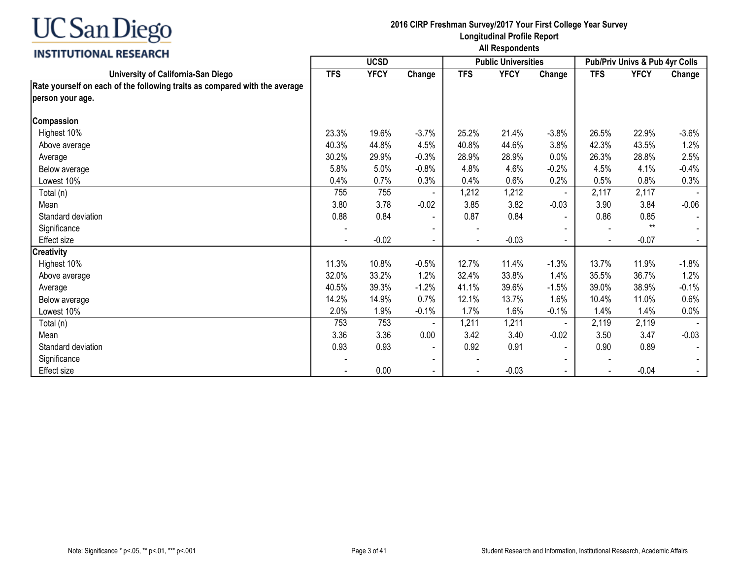

|                                                                            | <b>UCSD</b> |             |                          |            | <b>Public Universities</b> |                | Pub/Priv Univs & Pub 4yr Colls |             |         |
|----------------------------------------------------------------------------|-------------|-------------|--------------------------|------------|----------------------------|----------------|--------------------------------|-------------|---------|
| University of California-San Diego                                         | <b>TFS</b>  | <b>YFCY</b> | Change                   | <b>TFS</b> | <b>YFCY</b>                | Change         | <b>TFS</b>                     | <b>YFCY</b> | Change  |
| Rate yourself on each of the following traits as compared with the average |             |             |                          |            |                            |                |                                |             |         |
| person your age.                                                           |             |             |                          |            |                            |                |                                |             |         |
| Compassion                                                                 |             |             |                          |            |                            |                |                                |             |         |
| Highest 10%                                                                | 23.3%       | 19.6%       | $-3.7%$                  | 25.2%      | 21.4%                      | $-3.8%$        | 26.5%                          | 22.9%       | $-3.6%$ |
| Above average                                                              | 40.3%       | 44.8%       | 4.5%                     | 40.8%      | 44.6%                      | 3.8%           | 42.3%                          | 43.5%       | 1.2%    |
| Average                                                                    | 30.2%       | 29.9%       | $-0.3%$                  | 28.9%      | 28.9%                      | 0.0%           | 26.3%                          | 28.8%       | 2.5%    |
| Below average                                                              | 5.8%        | 5.0%        | $-0.8%$                  | 4.8%       | 4.6%                       | $-0.2%$        | 4.5%                           | 4.1%        | $-0.4%$ |
| Lowest 10%                                                                 | 0.4%        | 0.7%        | 0.3%                     | 0.4%       | 0.6%                       | 0.2%           | 0.5%                           | 0.8%        | 0.3%    |
| Total (n)                                                                  | 755         | 755         |                          | 1,212      | 1,212                      |                | 2,117                          | 2,117       |         |
| Mean                                                                       | 3.80        | 3.78        | $-0.02$                  | 3.85       | 3.82                       | $-0.03$        | 3.90                           | 3.84        | $-0.06$ |
| Standard deviation                                                         | 0.88        | 0.84        |                          | 0.87       | 0.84                       | $\sim$         | 0.86                           | 0.85        |         |
| Significance                                                               |             |             |                          |            |                            |                | $\overline{\phantom{a}}$       | $**$        |         |
| <b>Effect size</b>                                                         |             | $-0.02$     | $\overline{\phantom{a}}$ |            | $-0.03$                    | $\sim$         | $\blacksquare$                 | $-0.07$     |         |
| <b>Creativity</b>                                                          |             |             |                          |            |                            |                |                                |             |         |
| Highest 10%                                                                | 11.3%       | 10.8%       | $-0.5%$                  | 12.7%      | 11.4%                      | $-1.3%$        | 13.7%                          | 11.9%       | $-1.8%$ |
| Above average                                                              | 32.0%       | 33.2%       | 1.2%                     | 32.4%      | 33.8%                      | 1.4%           | 35.5%                          | 36.7%       | 1.2%    |
| Average                                                                    | 40.5%       | 39.3%       | $-1.2%$                  | 41.1%      | 39.6%                      | $-1.5%$        | 39.0%                          | 38.9%       | $-0.1%$ |
| Below average                                                              | 14.2%       | 14.9%       | 0.7%                     | 12.1%      | 13.7%                      | 1.6%           | 10.4%                          | 11.0%       | 0.6%    |
| Lowest 10%                                                                 | 2.0%        | 1.9%        | $-0.1%$                  | 1.7%       | 1.6%                       | $-0.1%$        | 1.4%                           | 1.4%        | 0.0%    |
| Total (n)                                                                  | 753         | 753         |                          | 1,211      | 1,211                      |                | 2,119                          | 2,119       |         |
| Mean                                                                       | 3.36        | 3.36        | 0.00                     | 3.42       | 3.40                       | $-0.02$        | 3.50                           | 3.47        | $-0.03$ |
| Standard deviation                                                         | 0.93        | 0.93        | $\overline{\phantom{a}}$ | 0.92       | 0.91                       | $\blacksquare$ | 0.90                           | 0.89        |         |
| Significance                                                               |             |             |                          |            |                            |                |                                |             |         |
| Effect size                                                                |             | 0.00        |                          |            | $-0.03$                    | $\blacksquare$ |                                | $-0.04$     |         |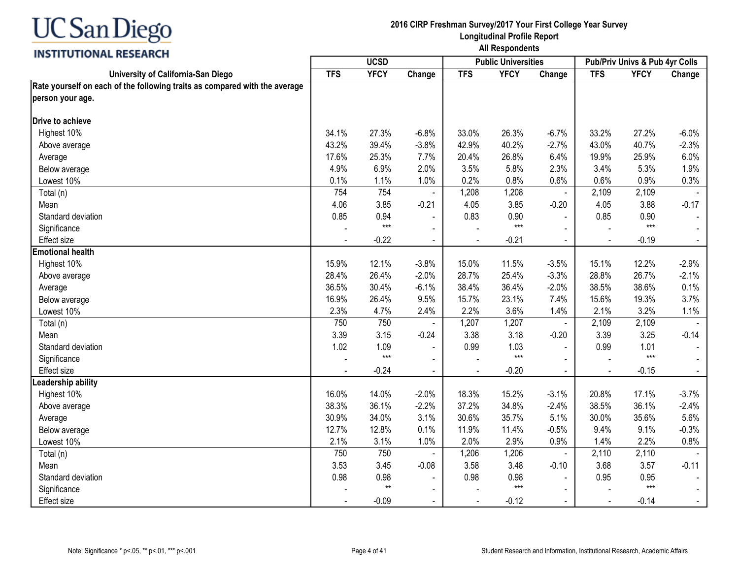

|                                                                            |            | <b>UCSD</b> |                |                | <b>Public Universities</b> |                          | Pub/Priv Univs & Pub 4yr Colls |             |                |
|----------------------------------------------------------------------------|------------|-------------|----------------|----------------|----------------------------|--------------------------|--------------------------------|-------------|----------------|
| University of California-San Diego                                         | <b>TFS</b> | <b>YFCY</b> | Change         | <b>TFS</b>     | <b>YFCY</b>                | Change                   | <b>TFS</b>                     | <b>YFCY</b> | Change         |
| Rate yourself on each of the following traits as compared with the average |            |             |                |                |                            |                          |                                |             |                |
| person your age.                                                           |            |             |                |                |                            |                          |                                |             |                |
| Drive to achieve                                                           |            |             |                |                |                            |                          |                                |             |                |
| Highest 10%                                                                | 34.1%      | 27.3%       | $-6.8%$        | 33.0%          | 26.3%                      | $-6.7%$                  | 33.2%                          | 27.2%       | $-6.0%$        |
| Above average                                                              | 43.2%      | 39.4%       | $-3.8%$        | 42.9%          | 40.2%                      | $-2.7%$                  | 43.0%                          | 40.7%       | $-2.3%$        |
| Average                                                                    | 17.6%      | 25.3%       | 7.7%           | 20.4%          | 26.8%                      | 6.4%                     | 19.9%                          | 25.9%       | 6.0%           |
| Below average                                                              | 4.9%       | 6.9%        | 2.0%           | 3.5%           | 5.8%                       | 2.3%                     | 3.4%                           | 5.3%        | 1.9%           |
| Lowest 10%                                                                 | 0.1%       | 1.1%        | 1.0%           | 0.2%           | 0.8%                       | 0.6%                     | 0.6%                           | 0.9%        | 0.3%           |
| Total (n)                                                                  | 754        | 754         | $\blacksquare$ | 1,208          | 1,208                      | $\blacksquare$           | 2,109                          | 2,109       |                |
| Mean                                                                       | 4.06       | 3.85        | $-0.21$        | 4.05           | 3.85                       | $-0.20$                  | 4.05                           | 3.88        | $-0.17$        |
| Standard deviation                                                         | 0.85       | 0.94        | $\blacksquare$ | 0.83           | 0.90                       | $\blacksquare$           | 0.85                           | 0.90        |                |
| Significance                                                               |            | $***$       | $\blacksquare$ |                | $***$                      | $\blacksquare$           |                                | $***$       |                |
| <b>Effect size</b>                                                         |            | $-0.22$     | $\blacksquare$ |                | $-0.21$                    | $\blacksquare$           | $\blacksquare$                 | $-0.19$     | $\sim$         |
| <b>Emotional health</b>                                                    |            |             |                |                |                            |                          |                                |             |                |
| Highest 10%                                                                | 15.9%      | 12.1%       | $-3.8%$        | 15.0%          | 11.5%                      | $-3.5%$                  | 15.1%                          | 12.2%       | $-2.9%$        |
| Above average                                                              | 28.4%      | 26.4%       | $-2.0%$        | 28.7%          | 25.4%                      | $-3.3%$                  | 28.8%                          | 26.7%       | $-2.1%$        |
| Average                                                                    | 36.5%      | 30.4%       | $-6.1%$        | 38.4%          | 36.4%                      | $-2.0%$                  | 38.5%                          | 38.6%       | 0.1%           |
| Below average                                                              | 16.9%      | 26.4%       | 9.5%           | 15.7%          | 23.1%                      | 7.4%                     | 15.6%                          | 19.3%       | 3.7%           |
| Lowest 10%                                                                 | 2.3%       | 4.7%        | 2.4%           | 2.2%           | 3.6%                       | 1.4%                     | 2.1%                           | 3.2%        | 1.1%           |
| Total (n)                                                                  | 750        | 750         |                | 1,207          | 1,207                      | $\overline{\phantom{a}}$ | 2,109                          | 2,109       |                |
| Mean                                                                       | 3.39       | 3.15        | $-0.24$        | 3.38           | 3.18                       | $-0.20$                  | 3.39                           | 3.25        | $-0.14$        |
| Standard deviation                                                         | 1.02       | 1.09        |                | 0.99           | 1.03                       |                          | 0.99                           | 1.01        | $\sim$         |
| Significance                                                               |            | $***$       | $\blacksquare$ |                | $***$                      |                          |                                | $***$       |                |
| <b>Effect size</b>                                                         |            | $-0.24$     |                | $\blacksquare$ | $-0.20$                    | $\sim$                   | $\sim$                         | $-0.15$     | $\sim$         |
| Leadership ability                                                         |            |             |                |                |                            |                          |                                |             |                |
| Highest 10%                                                                | 16.0%      | 14.0%       | $-2.0%$        | 18.3%          | 15.2%                      | $-3.1%$                  | 20.8%                          | 17.1%       | $-3.7%$        |
| Above average                                                              | 38.3%      | 36.1%       | $-2.2%$        | 37.2%          | 34.8%                      | $-2.4%$                  | 38.5%                          | 36.1%       | $-2.4%$        |
| Average                                                                    | 30.9%      | 34.0%       | 3.1%           | 30.6%          | 35.7%                      | 5.1%                     | 30.0%                          | 35.6%       | 5.6%           |
| Below average                                                              | 12.7%      | 12.8%       | 0.1%           | 11.9%          | 11.4%                      | $-0.5%$                  | 9.4%                           | 9.1%        | $-0.3%$        |
| Lowest 10%                                                                 | 2.1%       | 3.1%        | 1.0%           | 2.0%           | 2.9%                       | 0.9%                     | 1.4%                           | 2.2%        | 0.8%           |
| Total (n)                                                                  | 750        | 750         |                | 1,206          | 1,206                      | $\blacksquare$           | 2,110                          | 2,110       |                |
| Mean                                                                       | 3.53       | 3.45        | $-0.08$        | 3.58           | 3.48                       | $-0.10$                  | 3.68                           | 3.57        | $-0.11$        |
| Standard deviation                                                         | 0.98       | 0.98        |                | 0.98           | 0.98                       |                          | 0.95                           | 0.95        | $\blacksquare$ |
| Significance                                                               |            | $**$        | $\blacksquare$ |                | $***$                      |                          |                                | $***$       |                |
| <b>Effect size</b>                                                         |            | $-0.09$     | $\blacksquare$ |                | $-0.12$                    |                          |                                | $-0.14$     | $\sim$         |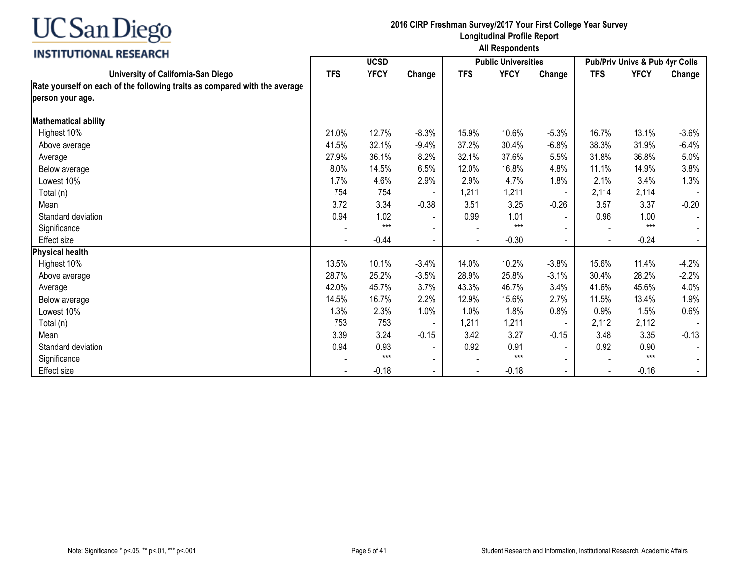

|                                                                            | <b>UCSD</b> |             |                          |            | <b>Public Universities</b> |                | Pub/Priv Univs & Pub 4yr Colls |             |         |
|----------------------------------------------------------------------------|-------------|-------------|--------------------------|------------|----------------------------|----------------|--------------------------------|-------------|---------|
| University of California-San Diego                                         | <b>TFS</b>  | <b>YFCY</b> | Change                   | <b>TFS</b> | <b>YFCY</b>                | Change         | <b>TFS</b>                     | <b>YFCY</b> | Change  |
| Rate yourself on each of the following traits as compared with the average |             |             |                          |            |                            |                |                                |             |         |
| person your age.                                                           |             |             |                          |            |                            |                |                                |             |         |
| <b>Mathematical ability</b>                                                |             |             |                          |            |                            |                |                                |             |         |
| Highest 10%                                                                | 21.0%       | 12.7%       | $-8.3%$                  | 15.9%      | 10.6%                      | $-5.3%$        | 16.7%                          | 13.1%       | $-3.6%$ |
| Above average                                                              | 41.5%       | 32.1%       | $-9.4%$                  | 37.2%      | 30.4%                      | $-6.8%$        | 38.3%                          | 31.9%       | $-6.4%$ |
| Average                                                                    | 27.9%       | 36.1%       | 8.2%                     | 32.1%      | 37.6%                      | 5.5%           | 31.8%                          | 36.8%       | 5.0%    |
| Below average                                                              | 8.0%        | 14.5%       | 6.5%                     | 12.0%      | 16.8%                      | 4.8%           | 11.1%                          | 14.9%       | 3.8%    |
| Lowest 10%                                                                 | 1.7%        | 4.6%        | 2.9%                     | 2.9%       | 4.7%                       | 1.8%           | 2.1%                           | 3.4%        | 1.3%    |
| Total (n)                                                                  | 754         | 754         |                          | 1,211      | 1,211                      | $\blacksquare$ | 2,114                          | 2,114       |         |
| Mean                                                                       | 3.72        | 3.34        | $-0.38$                  | 3.51       | 3.25                       | $-0.26$        | 3.57                           | 3.37        | $-0.20$ |
| Standard deviation                                                         | 0.94        | 1.02        | $\blacksquare$           | 0.99       | 1.01                       | $\sim$         | 0.96                           | 1.00        |         |
| Significance                                                               |             | $***$       |                          |            | $***$                      |                | $\overline{\phantom{a}}$       | $***$       |         |
| Effect size                                                                |             | $-0.44$     | $\blacksquare$           |            | $-0.30$                    | $\sim$         | $\blacksquare$                 | $-0.24$     |         |
| Physical health                                                            |             |             |                          |            |                            |                |                                |             |         |
| Highest 10%                                                                | 13.5%       | 10.1%       | $-3.4%$                  | 14.0%      | 10.2%                      | $-3.8%$        | 15.6%                          | 11.4%       | $-4.2%$ |
| Above average                                                              | 28.7%       | 25.2%       | $-3.5%$                  | 28.9%      | 25.8%                      | $-3.1%$        | 30.4%                          | 28.2%       | $-2.2%$ |
| Average                                                                    | 42.0%       | 45.7%       | 3.7%                     | 43.3%      | 46.7%                      | 3.4%           | 41.6%                          | 45.6%       | 4.0%    |
| Below average                                                              | 14.5%       | 16.7%       | 2.2%                     | 12.9%      | 15.6%                      | 2.7%           | 11.5%                          | 13.4%       | 1.9%    |
| Lowest 10%                                                                 | 1.3%        | 2.3%        | 1.0%                     | 1.0%       | 1.8%                       | 0.8%           | 0.9%                           | 1.5%        | 0.6%    |
| Total (n)                                                                  | 753         | 753         |                          | 1,211      | 1,211                      |                | 2,112                          | 2,112       |         |
| Mean                                                                       | 3.39        | 3.24        | $-0.15$                  | 3.42       | 3.27                       | $-0.15$        | 3.48                           | 3.35        | $-0.13$ |
| Standard deviation                                                         | 0.94        | 0.93        | $\blacksquare$           | 0.92       | 0.91                       | $\sim$         | 0.92                           | 0.90        |         |
| Significance                                                               |             | $***$       | $\blacksquare$           |            | $***$                      |                |                                | $***$       |         |
| Effect size                                                                |             | $-0.18$     | $\overline{\phantom{0}}$ |            | $-0.18$                    | $\sim$         | $\overline{\phantom{a}}$       | $-0.16$     |         |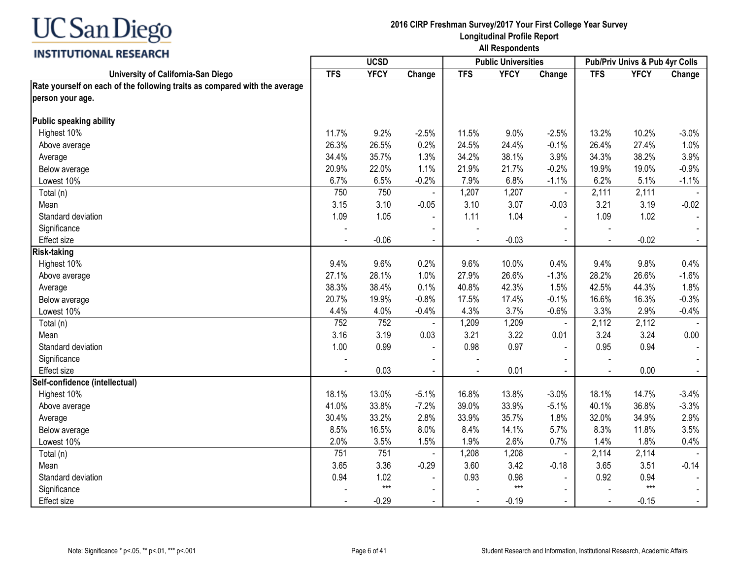

|                                                                            |            | <b>UCSD</b> |                |                | <b>Public Universities</b> |                |                | Pub/Priv Univs & Pub 4yr Colls |                |
|----------------------------------------------------------------------------|------------|-------------|----------------|----------------|----------------------------|----------------|----------------|--------------------------------|----------------|
| University of California-San Diego                                         | <b>TFS</b> | <b>YFCY</b> | Change         | <b>TFS</b>     | <b>YFCY</b>                | Change         | <b>TFS</b>     | <b>YFCY</b>                    | Change         |
| Rate yourself on each of the following traits as compared with the average |            |             |                |                |                            |                |                |                                |                |
| person your age.                                                           |            |             |                |                |                            |                |                |                                |                |
|                                                                            |            |             |                |                |                            |                |                |                                |                |
| Public speaking ability                                                    |            |             |                |                |                            |                |                |                                |                |
| Highest 10%                                                                | 11.7%      | 9.2%        | $-2.5%$        | 11.5%          | 9.0%                       | $-2.5%$        | 13.2%          | 10.2%                          | $-3.0%$        |
| Above average                                                              | 26.3%      | 26.5%       | 0.2%           | 24.5%          | 24.4%                      | $-0.1%$        | 26.4%          | 27.4%                          | 1.0%           |
| Average                                                                    | 34.4%      | 35.7%       | 1.3%           | 34.2%          | 38.1%                      | 3.9%           | 34.3%          | 38.2%                          | 3.9%           |
| Below average                                                              | 20.9%      | 22.0%       | 1.1%           | 21.9%          | 21.7%                      | $-0.2%$        | 19.9%          | 19.0%                          | $-0.9%$        |
| Lowest 10%                                                                 | 6.7%       | 6.5%        | $-0.2%$        | 7.9%           | 6.8%                       | $-1.1%$        | 6.2%           | 5.1%                           | $-1.1%$        |
| Total (n)                                                                  | 750        | 750         | $\blacksquare$ | 1,207          | 1,207                      | $\blacksquare$ | 2,111          | 2,111                          |                |
| Mean                                                                       | 3.15       | 3.10        | $-0.05$        | 3.10           | 3.07                       | $-0.03$        | 3.21           | 3.19                           | $-0.02$        |
| Standard deviation                                                         | 1.09       | 1.05        | $\blacksquare$ | 1.11           | 1.04                       | $\overline{a}$ | 1.09           | 1.02                           | $\blacksquare$ |
| Significance                                                               |            |             | $\blacksquare$ |                |                            |                |                |                                |                |
| Effect size                                                                | $\sim$     | $-0.06$     | $\blacksquare$ |                | $-0.03$                    | $\sim$         | $\blacksquare$ | $-0.02$                        | $\sim$         |
| <b>Risk-taking</b>                                                         |            |             |                |                |                            |                |                |                                |                |
| Highest 10%                                                                | 9.4%       | 9.6%        | 0.2%           | 9.6%           | 10.0%                      | 0.4%           | 9.4%           | 9.8%                           | 0.4%           |
| Above average                                                              | 27.1%      | 28.1%       | 1.0%           | 27.9%          | 26.6%                      | $-1.3%$        | 28.2%          | 26.6%                          | $-1.6%$        |
| Average                                                                    | 38.3%      | 38.4%       | 0.1%           | 40.8%          | 42.3%                      | 1.5%           | 42.5%          | 44.3%                          | 1.8%           |
| Below average                                                              | 20.7%      | 19.9%       | $-0.8%$        | 17.5%          | 17.4%                      | $-0.1%$        | 16.6%          | 16.3%                          | $-0.3%$        |
| Lowest 10%                                                                 | 4.4%       | 4.0%        | $-0.4%$        | 4.3%           | 3.7%                       | $-0.6%$        | 3.3%           | 2.9%                           | $-0.4%$        |
| Total (n)                                                                  | 752        | 752         |                | 1,209          | 1,209                      | $\blacksquare$ | 2,112          | 2,112                          |                |
| Mean                                                                       | 3.16       | 3.19        | 0.03           | 3.21           | 3.22                       | 0.01           | 3.24           | 3.24                           | 0.00           |
| Standard deviation                                                         | 1.00       | 0.99        | $\blacksquare$ | 0.98           | 0.97                       | $\blacksquare$ | 0.95           | 0.94                           | $\sim$         |
| Significance                                                               |            |             | $\blacksquare$ |                |                            |                |                |                                |                |
| Effect size                                                                |            | 0.03        | $\sim$         | $\blacksquare$ | 0.01                       |                | $\blacksquare$ | 0.00                           | $\sim$         |
| Self-confidence (intellectual)                                             |            |             |                |                |                            |                |                |                                |                |
| Highest 10%                                                                | 18.1%      | 13.0%       | $-5.1%$        | 16.8%          | 13.8%                      | $-3.0%$        | 18.1%          | 14.7%                          | $-3.4%$        |
| Above average                                                              | 41.0%      | 33.8%       | $-7.2%$        | 39.0%          | 33.9%                      | $-5.1%$        | 40.1%          | 36.8%                          | $-3.3%$        |
| Average                                                                    | 30.4%      | 33.2%       | 2.8%           | 33.9%          | 35.7%                      | 1.8%           | 32.0%          | 34.9%                          | 2.9%           |
| Below average                                                              | 8.5%       | 16.5%       | 8.0%           | 8.4%           | 14.1%                      | 5.7%           | 8.3%           | 11.8%                          | 3.5%           |
| Lowest 10%                                                                 | 2.0%       | 3.5%        | 1.5%           | 1.9%           | 2.6%                       | 0.7%           | 1.4%           | 1.8%                           | 0.4%           |
| Total (n)                                                                  | 751        | 751         |                | 1,208          | 1,208                      | $\blacksquare$ | 2,114          | 2,114                          |                |
| Mean                                                                       | 3.65       | 3.36        | $-0.29$        | 3.60           | 3.42                       | $-0.18$        | 3.65           | 3.51                           | $-0.14$        |
| Standard deviation                                                         | 0.94       | 1.02        |                | 0.93           | 0.98                       |                | 0.92           | 0.94                           |                |
| Significance                                                               |            | $***$       | $\blacksquare$ |                | $***$                      |                |                | $***$                          |                |
| Effect size                                                                |            | $-0.29$     | $\blacksquare$ |                | $-0.19$                    |                |                | $-0.15$                        | $\sim$         |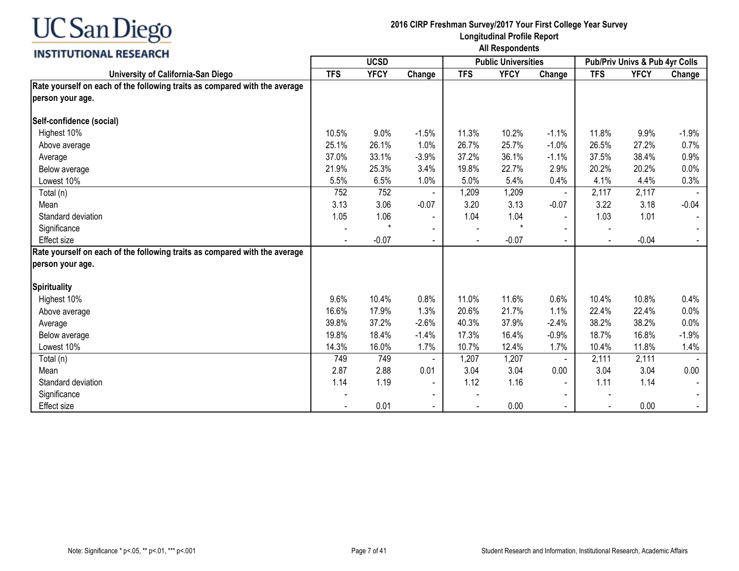

|                                                                            | <b>UCSD</b> |             |                          |            | <b>Public Universities</b> |                | <b>Pub/Priv Univs &amp; Pub 4yr Colls</b> |             |         |
|----------------------------------------------------------------------------|-------------|-------------|--------------------------|------------|----------------------------|----------------|-------------------------------------------|-------------|---------|
| University of California-San Diego                                         | <b>TFS</b>  | <b>YFCY</b> | Change                   | <b>TFS</b> | <b>YFCY</b>                | Change         | <b>TFS</b>                                | <b>YFCY</b> | Change  |
| Rate yourself on each of the following traits as compared with the average |             |             |                          |            |                            |                |                                           |             |         |
| person your age.                                                           |             |             |                          |            |                            |                |                                           |             |         |
| Self-confidence (social)                                                   |             |             |                          |            |                            |                |                                           |             |         |
| Highest 10%                                                                | 10.5%       | 9.0%        | $-1.5%$                  | 11.3%      | 10.2%                      | $-1.1%$        | 11.8%                                     | 9.9%        | $-1.9%$ |
| Above average                                                              | 25.1%       | 26.1%       | 1.0%                     | 26.7%      | 25.7%                      | $-1.0%$        | 26.5%                                     | 27.2%       | 0.7%    |
| Average                                                                    | 37.0%       | 33.1%       | $-3.9%$                  | 37.2%      | 36.1%                      | $-1.1%$        | 37.5%                                     | 38.4%       | 0.9%    |
| Below average                                                              | 21.9%       | 25.3%       | 3.4%                     | 19.8%      | 22.7%                      | 2.9%           | 20.2%                                     | 20.2%       | 0.0%    |
| Lowest 10%                                                                 | 5.5%        | 6.5%        | 1.0%                     | 5.0%       | 5.4%                       | 0.4%           | 4.1%                                      | 4.4%        | 0.3%    |
| Total (n)                                                                  | 752         | 752         |                          | 1,209      | 1,209                      | $\blacksquare$ | 2,117                                     | 2,117       |         |
| Mean                                                                       | 3.13        | 3.06        | $-0.07$                  | 3.20       | 3.13                       | $-0.07$        | 3.22                                      | 3.18        | $-0.04$ |
| Standard deviation                                                         | 1.05        | 1.06        | $\blacksquare$           | 1.04       | 1.04                       | $\blacksquare$ | 1.03                                      | 1.01        |         |
| Significance                                                               |             |             | $\overline{\phantom{a}}$ |            | $\star$                    |                |                                           |             |         |
| <b>Effect size</b>                                                         |             | $-0.07$     | $\blacksquare$           |            | $-0.07$                    | $\sim$         | $\blacksquare$                            | $-0.04$     |         |
| Rate yourself on each of the following traits as compared with the average |             |             |                          |            |                            |                |                                           |             |         |
| person your age.                                                           |             |             |                          |            |                            |                |                                           |             |         |
| <b>Spirituality</b>                                                        |             |             |                          |            |                            |                |                                           |             |         |
| Highest 10%                                                                | 9.6%        | 10.4%       | 0.8%                     | 11.0%      | 11.6%                      | 0.6%           | 10.4%                                     | 10.8%       | 0.4%    |
| Above average                                                              | 16.6%       | 17.9%       | 1.3%                     | 20.6%      | 21.7%                      | 1.1%           | 22.4%                                     | 22.4%       | 0.0%    |
| Average                                                                    | 39.8%       | 37.2%       | $-2.6%$                  | 40.3%      | 37.9%                      | $-2.4%$        | 38.2%                                     | 38.2%       | 0.0%    |
| Below average                                                              | 19.8%       | 18.4%       | $-1.4%$                  | 17.3%      | 16.4%                      | $-0.9%$        | 18.7%                                     | 16.8%       | $-1.9%$ |
| Lowest 10%                                                                 | 14.3%       | 16.0%       | 1.7%                     | 10.7%      | 12.4%                      | 1.7%           | 10.4%                                     | 11.8%       | 1.4%    |
| Total (n)                                                                  | 749         | 749         |                          | 1,207      | 1,207                      | $\blacksquare$ | 2,111                                     | 2,111       |         |
| Mean                                                                       | 2.87        | 2.88        | 0.01                     | 3.04       | 3.04                       | 0.00           | 3.04                                      | 3.04        | 0.00    |
| Standard deviation                                                         | 1.14        | 1.19        | $\blacksquare$           | 1.12       | 1.16                       | $\blacksquare$ | 1.11                                      | 1.14        |         |
| Significance                                                               |             |             | $\overline{\phantom{a}}$ |            |                            |                |                                           |             |         |
| <b>Effect size</b>                                                         |             | 0.01        | $\blacksquare$           |            | 0.00                       | $\sim$         | $\blacksquare$                            | 0.00        |         |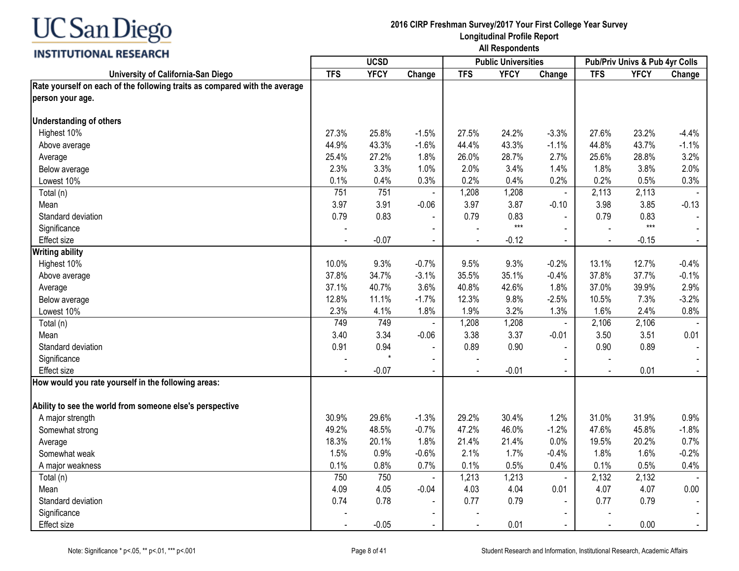

|                                                                            |            | <b>UCSD</b> |                |            | <b>Public Universities</b> |                          |                | Pub/Priv Univs & Pub 4yr Colls |                |
|----------------------------------------------------------------------------|------------|-------------|----------------|------------|----------------------------|--------------------------|----------------|--------------------------------|----------------|
| University of California-San Diego                                         | <b>TFS</b> | <b>YFCY</b> | Change         | <b>TFS</b> | <b>YFCY</b>                | Change                   | <b>TFS</b>     | <b>YFCY</b>                    | Change         |
| Rate yourself on each of the following traits as compared with the average |            |             |                |            |                            |                          |                |                                |                |
| person your age.                                                           |            |             |                |            |                            |                          |                |                                |                |
| <b>Understanding of others</b>                                             |            |             |                |            |                            |                          |                |                                |                |
| Highest 10%                                                                | 27.3%      | 25.8%       | $-1.5%$        | 27.5%      | 24.2%                      | $-3.3%$                  | 27.6%          | 23.2%                          | $-4.4%$        |
| Above average                                                              | 44.9%      | 43.3%       | $-1.6%$        | 44.4%      | 43.3%                      | $-1.1%$                  | 44.8%          | 43.7%                          | $-1.1%$        |
| Average                                                                    | 25.4%      | 27.2%       | 1.8%           | 26.0%      | 28.7%                      | 2.7%                     | 25.6%          | 28.8%                          | 3.2%           |
| Below average                                                              | 2.3%       | 3.3%        | 1.0%           | 2.0%       | 3.4%                       | 1.4%                     | 1.8%           | 3.8%                           | 2.0%           |
| Lowest 10%                                                                 | 0.1%       | 0.4%        | 0.3%           | 0.2%       | 0.4%                       | 0.2%                     | 0.2%           | 0.5%                           | 0.3%           |
| Total (n)                                                                  | 751        | 751         |                | 1,208      | 1,208                      | $\blacksquare$           | 2,113          | 2,113                          |                |
| Mean                                                                       | 3.97       | 3.91        | $-0.06$        | 3.97       | 3.87                       | $-0.10$                  | 3.98           | 3.85                           | $-0.13$        |
| Standard deviation                                                         | 0.79       | 0.83        |                | 0.79       | 0.83                       |                          | 0.79           | 0.83                           |                |
| Significance                                                               |            |             |                |            | $***$                      | $\blacksquare$           |                | $***$                          |                |
| <b>Effect size</b>                                                         |            | $-0.07$     | $\blacksquare$ |            | $-0.12$                    | $\blacksquare$           |                | $-0.15$                        | $\blacksquare$ |
| <b>Writing ability</b>                                                     |            |             |                |            |                            |                          |                |                                |                |
| Highest 10%                                                                | 10.0%      | 9.3%        | $-0.7%$        | 9.5%       | 9.3%                       | $-0.2%$                  | 13.1%          | 12.7%                          | $-0.4%$        |
| Above average                                                              | 37.8%      | 34.7%       | $-3.1%$        | 35.5%      | 35.1%                      | $-0.4%$                  | 37.8%          | 37.7%                          | $-0.1%$        |
| Average                                                                    | 37.1%      | 40.7%       | 3.6%           | 40.8%      | 42.6%                      | 1.8%                     | 37.0%          | 39.9%                          | 2.9%           |
| Below average                                                              | 12.8%      | 11.1%       | $-1.7%$        | 12.3%      | 9.8%                       | $-2.5%$                  | 10.5%          | 7.3%                           | $-3.2%$        |
| Lowest 10%                                                                 | 2.3%       | 4.1%        | 1.8%           | 1.9%       | 3.2%                       | 1.3%                     | 1.6%           | 2.4%                           | 0.8%           |
| Total (n)                                                                  | 749        | 749         |                | 1,208      | 1,208                      | $\blacksquare$           | 2,106          | 2,106                          |                |
| Mean                                                                       | 3.40       | 3.34        | $-0.06$        | 3.38       | 3.37                       | $-0.01$                  | 3.50           | 3.51                           | 0.01           |
| Standard deviation                                                         | 0.91       | 0.94        |                | 0.89       | 0.90                       |                          | 0.90           | 0.89                           |                |
| Significance                                                               |            |             | $\blacksquare$ |            |                            | $\blacksquare$           |                |                                |                |
| <b>Effect size</b>                                                         |            | $-0.07$     | $\blacksquare$ |            | $-0.01$                    | $\blacksquare$           | $\blacksquare$ | 0.01                           | $\sim$         |
| How would you rate yourself in the following areas:                        |            |             |                |            |                            |                          |                |                                |                |
| Ability to see the world from someone else's perspective                   |            |             |                |            |                            |                          |                |                                |                |
| A major strength                                                           | 30.9%      | 29.6%       | $-1.3%$        | 29.2%      | 30.4%                      | 1.2%                     | 31.0%          | 31.9%                          | 0.9%           |
| Somewhat strong                                                            | 49.2%      | 48.5%       | $-0.7%$        | 47.2%      | 46.0%                      | $-1.2%$                  | 47.6%          | 45.8%                          | $-1.8%$        |
| Average                                                                    | 18.3%      | 20.1%       | 1.8%           | 21.4%      | 21.4%                      | 0.0%                     | 19.5%          | 20.2%                          | 0.7%           |
| Somewhat weak                                                              | 1.5%       | 0.9%        | $-0.6%$        | 2.1%       | 1.7%                       | $-0.4%$                  | 1.8%           | 1.6%                           | $-0.2%$        |
| A major weakness                                                           | 0.1%       | 0.8%        | 0.7%           | 0.1%       | 0.5%                       | 0.4%                     | 0.1%           | 0.5%                           | 0.4%           |
| Total (n)                                                                  | 750        | 750         |                | 1,213      | 1,213                      | $\blacksquare$           | 2,132          | 2,132                          |                |
| Mean                                                                       | 4.09       | 4.05        | $-0.04$        | 4.03       | 4.04                       | 0.01                     | 4.07           | 4.07                           | 0.00           |
| Standard deviation                                                         | 0.74       | 0.78        |                | 0.77       | 0.79                       | $\overline{\phantom{a}}$ | 0.77           | 0.79                           | $\sim$         |
| Significance                                                               |            |             |                |            |                            |                          |                |                                |                |
| <b>Effect size</b>                                                         |            | $-0.05$     |                |            | 0.01                       | $\blacksquare$           |                | 0.00                           | $\blacksquare$ |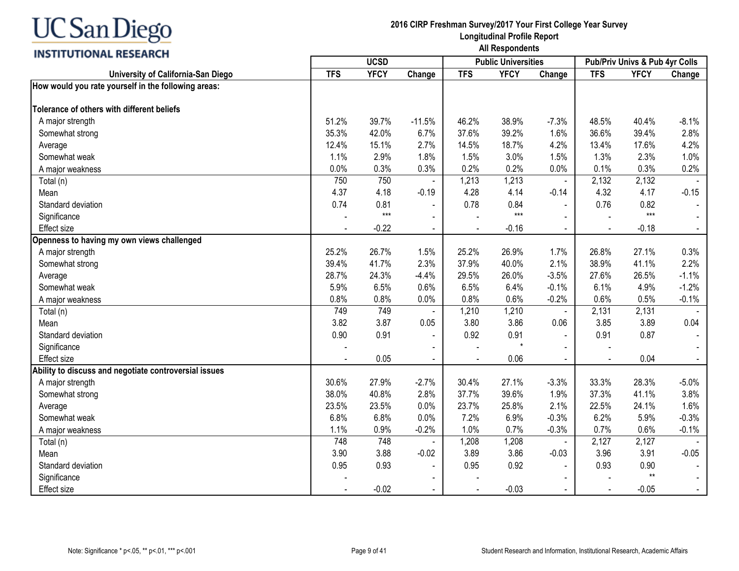## **INSTITUTIONAL RESEARCH**

|                                                       |            | <b>UCSD</b> |                |            | <b>Public Universities</b> |                |            | Pub/Priv Univs & Pub 4yr Colls |         |
|-------------------------------------------------------|------------|-------------|----------------|------------|----------------------------|----------------|------------|--------------------------------|---------|
| University of California-San Diego                    | <b>TFS</b> | <b>YFCY</b> | Change         | <b>TFS</b> | <b>YFCY</b>                | Change         | <b>TFS</b> | <b>YFCY</b>                    | Change  |
| How would you rate yourself in the following areas:   |            |             |                |            |                            |                |            |                                |         |
| Tolerance of others with different beliefs            |            |             |                |            |                            |                |            |                                |         |
| A major strength                                      | 51.2%      | 39.7%       | $-11.5%$       | 46.2%      | 38.9%                      | $-7.3%$        | 48.5%      | 40.4%                          | $-8.1%$ |
| Somewhat strong                                       | 35.3%      | 42.0%       | 6.7%           | 37.6%      | 39.2%                      | 1.6%           | 36.6%      | 39.4%                          | 2.8%    |
| Average                                               | 12.4%      | 15.1%       | 2.7%           | 14.5%      | 18.7%                      | 4.2%           | 13.4%      | 17.6%                          | 4.2%    |
| Somewhat weak                                         | 1.1%       | 2.9%        | 1.8%           | 1.5%       | 3.0%                       | 1.5%           | 1.3%       | 2.3%                           | 1.0%    |
| A major weakness                                      | 0.0%       | 0.3%        | 0.3%           | 0.2%       | 0.2%                       | 0.0%           | 0.1%       | 0.3%                           | 0.2%    |
| Total (n)                                             | 750        | 750         |                | 1,213      | 1,213                      | $\blacksquare$ | 2,132      | 2,132                          |         |
| Mean                                                  | 4.37       | 4.18        | $-0.19$        | 4.28       | 4.14                       | $-0.14$        | 4.32       | 4.17                           | $-0.15$ |
| Standard deviation                                    | 0.74       | 0.81        | $\blacksquare$ | 0.78       | 0.84                       | $\blacksquare$ | 0.76       | 0.82                           |         |
| Significance                                          |            | $***$       | $\blacksquare$ |            | $***$                      | $\blacksquare$ |            | $***$                          |         |
| <b>Effect size</b>                                    |            | $-0.22$     | $\blacksquare$ |            | $-0.16$                    | $\mathbf{r}$   |            | $-0.18$                        | $\sim$  |
| Openness to having my own views challenged            |            |             |                |            |                            |                |            |                                |         |
| A major strength                                      | 25.2%      | 26.7%       | 1.5%           | 25.2%      | 26.9%                      | 1.7%           | 26.8%      | 27.1%                          | 0.3%    |
| Somewhat strong                                       | 39.4%      | 41.7%       | 2.3%           | 37.9%      | 40.0%                      | 2.1%           | 38.9%      | 41.1%                          | 2.2%    |
| Average                                               | 28.7%      | 24.3%       | $-4.4%$        | 29.5%      | 26.0%                      | $-3.5%$        | 27.6%      | 26.5%                          | $-1.1%$ |
| Somewhat weak                                         | 5.9%       | 6.5%        | 0.6%           | 6.5%       | 6.4%                       | $-0.1%$        | 6.1%       | 4.9%                           | $-1.2%$ |
| A major weakness                                      | 0.8%       | 0.8%        | 0.0%           | 0.8%       | 0.6%                       | $-0.2%$        | 0.6%       | 0.5%                           | $-0.1%$ |
| Total (n)                                             | 749        | 749         |                | 1,210      | 1,210                      | $\blacksquare$ | 2,131      | 2,131                          |         |
| Mean                                                  | 3.82       | 3.87        | 0.05           | 3.80       | 3.86                       | 0.06           | 3.85       | 3.89                           | 0.04    |
| Standard deviation                                    | 0.90       | 0.91        |                | 0.92       | 0.91                       |                | 0.91       | 0.87                           |         |
| Significance                                          |            |             |                |            | $\star$                    |                |            |                                |         |
| <b>Effect size</b>                                    |            | 0.05        |                |            | 0.06                       |                |            | 0.04                           |         |
| Ability to discuss and negotiate controversial issues |            |             |                |            |                            |                |            |                                |         |
| A major strength                                      | 30.6%      | 27.9%       | $-2.7%$        | 30.4%      | 27.1%                      | $-3.3%$        | 33.3%      | 28.3%                          | $-5.0%$ |
| Somewhat strong                                       | 38.0%      | 40.8%       | 2.8%           | 37.7%      | 39.6%                      | 1.9%           | 37.3%      | 41.1%                          | 3.8%    |
| Average                                               | 23.5%      | 23.5%       | 0.0%           | 23.7%      | 25.8%                      | 2.1%           | 22.5%      | 24.1%                          | 1.6%    |
| Somewhat weak                                         | 6.8%       | 6.8%        | 0.0%           | 7.2%       | 6.9%                       | $-0.3%$        | 6.2%       | 5.9%                           | $-0.3%$ |
| A major weakness                                      | 1.1%       | 0.9%        | $-0.2%$        | 1.0%       | 0.7%                       | $-0.3%$        | 0.7%       | 0.6%                           | $-0.1%$ |
| Total (n)                                             | 748        | 748         |                | 1,208      | 1,208                      |                | 2,127      | 2,127                          |         |
| Mean                                                  | 3.90       | 3.88        | $-0.02$        | 3.89       | 3.86                       | $-0.03$        | 3.96       | 3.91                           | $-0.05$ |
| Standard deviation                                    | 0.95       | 0.93        | $\blacksquare$ | 0.95       | 0.92                       | $\sim$         | 0.93       | 0.90                           |         |
| Significance                                          |            |             | $\blacksquare$ |            |                            | $\blacksquare$ |            | $**$                           |         |
| <b>Effect size</b>                                    |            | $-0.02$     | $\blacksquare$ |            | $-0.03$                    | $\blacksquare$ |            | $-0.05$                        | $\sim$  |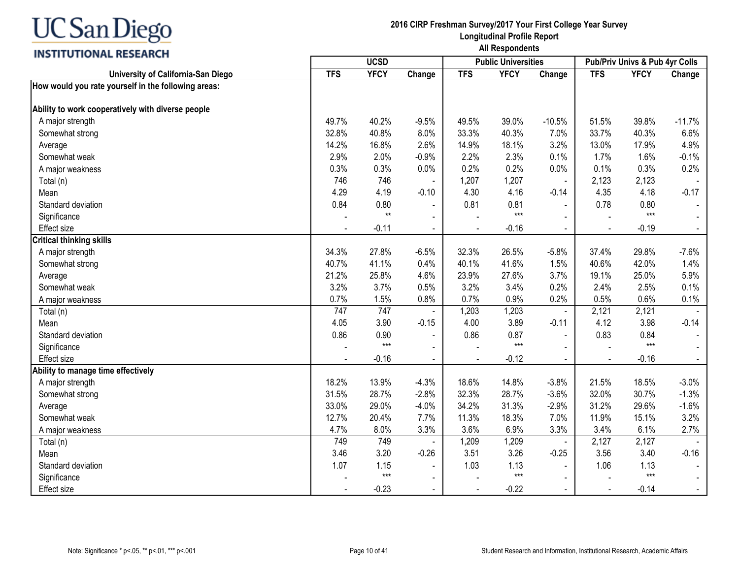## **INSTITUTIONAL RESEARCH**

|                                                     |            | <b>UCSD</b> |                          |            | <b>Public Universities</b> |                |            | Pub/Priv Univs & Pub 4yr Colls |                |
|-----------------------------------------------------|------------|-------------|--------------------------|------------|----------------------------|----------------|------------|--------------------------------|----------------|
| University of California-San Diego                  | <b>TFS</b> | <b>YFCY</b> | Change                   | <b>TFS</b> | <b>YFCY</b>                | Change         | <b>TFS</b> | <b>YFCY</b>                    | Change         |
| How would you rate yourself in the following areas: |            |             |                          |            |                            |                |            |                                |                |
| Ability to work cooperatively with diverse people   |            |             |                          |            |                            |                |            |                                |                |
| A major strength                                    | 49.7%      | 40.2%       | $-9.5%$                  | 49.5%      | 39.0%                      | $-10.5%$       | 51.5%      | 39.8%                          | $-11.7%$       |
| Somewhat strong                                     | 32.8%      | 40.8%       | 8.0%                     | 33.3%      | 40.3%                      | 7.0%           | 33.7%      | 40.3%                          | 6.6%           |
| Average                                             | 14.2%      | 16.8%       | 2.6%                     | 14.9%      | 18.1%                      | 3.2%           | 13.0%      | 17.9%                          | 4.9%           |
| Somewhat weak                                       | 2.9%       | 2.0%        | $-0.9%$                  | 2.2%       | 2.3%                       | 0.1%           | 1.7%       | 1.6%                           | $-0.1%$        |
| A major weakness                                    | 0.3%       | 0.3%        | 0.0%                     | 0.2%       | 0.2%                       | 0.0%           | 0.1%       | 0.3%                           | 0.2%           |
| Total (n)                                           | 746        | 746         |                          | 1,207      | 1,207                      | $\blacksquare$ | 2,123      | 2,123                          |                |
| Mean                                                | 4.29       | 4.19        | $-0.10$                  | 4.30       | 4.16                       | $-0.14$        | 4.35       | 4.18                           | $-0.17$        |
| Standard deviation                                  | 0.84       | 0.80        |                          | 0.81       | 0.81                       | $\sim$         | 0.78       | 0.80                           |                |
| Significance                                        |            | $**$        | $\blacksquare$           |            | $***$                      | $\sim$         |            | $***$                          |                |
| Effect size                                         |            | $-0.11$     | $\sim$                   |            | $-0.16$                    | $\sim$         |            | $-0.19$                        | $\blacksquare$ |
| <b>Critical thinking skills</b>                     |            |             |                          |            |                            |                |            |                                |                |
| A major strength                                    | 34.3%      | 27.8%       | $-6.5%$                  | 32.3%      | 26.5%                      | $-5.8%$        | 37.4%      | 29.8%                          | $-7.6%$        |
| Somewhat strong                                     | 40.7%      | 41.1%       | 0.4%                     | 40.1%      | 41.6%                      | 1.5%           | 40.6%      | 42.0%                          | 1.4%           |
| Average                                             | 21.2%      | 25.8%       | 4.6%                     | 23.9%      | 27.6%                      | 3.7%           | 19.1%      | 25.0%                          | 5.9%           |
| Somewhat weak                                       | 3.2%       | 3.7%        | 0.5%                     | 3.2%       | 3.4%                       | 0.2%           | 2.4%       | 2.5%                           | 0.1%           |
| A major weakness                                    | 0.7%       | 1.5%        | 0.8%                     | 0.7%       | 0.9%                       | 0.2%           | 0.5%       | 0.6%                           | 0.1%           |
| Total (n)                                           | 747        | 747         |                          | 1,203      | 1,203                      | $\blacksquare$ | 2,121      | 2,121                          |                |
| Mean                                                | 4.05       | 3.90        | $-0.15$                  | 4.00       | 3.89                       | $-0.11$        | 4.12       | 3.98                           | $-0.14$        |
| Standard deviation                                  | 0.86       | 0.90        |                          | 0.86       | 0.87                       | $\blacksquare$ | 0.83       | 0.84                           |                |
| Significance                                        |            | $***$       | $\overline{\phantom{a}}$ |            | $***$                      | $\sim$         |            | $***$                          |                |
| <b>Effect size</b>                                  |            | $-0.16$     | $\blacksquare$           |            | $-0.12$                    | $\blacksquare$ |            | $-0.16$                        | $\blacksquare$ |
| Ability to manage time effectively                  |            |             |                          |            |                            |                |            |                                |                |
| A major strength                                    | 18.2%      | 13.9%       | $-4.3%$                  | 18.6%      | 14.8%                      | $-3.8%$        | 21.5%      | 18.5%                          | $-3.0%$        |
| Somewhat strong                                     | 31.5%      | 28.7%       | $-2.8%$                  | 32.3%      | 28.7%                      | $-3.6%$        | 32.0%      | 30.7%                          | $-1.3%$        |
| Average                                             | 33.0%      | 29.0%       | $-4.0%$                  | 34.2%      | 31.3%                      | $-2.9%$        | 31.2%      | 29.6%                          | $-1.6%$        |
| Somewhat weak                                       | 12.7%      | 20.4%       | 7.7%                     | 11.3%      | 18.3%                      | 7.0%           | 11.9%      | 15.1%                          | 3.2%           |
| A major weakness                                    | 4.7%       | 8.0%        | 3.3%                     | 3.6%       | 6.9%                       | 3.3%           | 3.4%       | 6.1%                           | 2.7%           |
| Total (n)                                           | 749        | 749         |                          | 1,209      | 1,209                      |                | 2,127      | 2,127                          |                |
| Mean                                                | 3.46       | 3.20        | $-0.26$                  | 3.51       | 3.26                       | $-0.25$        | 3.56       | 3.40                           | $-0.16$        |
| Standard deviation                                  | 1.07       | 1.15        | $\blacksquare$           | 1.03       | 1.13                       | $\mathbf{r}$   | 1.06       | 1.13                           |                |
| Significance                                        |            | $***$       | $\blacksquare$           |            | $***$                      | $\blacksquare$ |            | $***$                          |                |
| <b>Effect size</b>                                  |            | $-0.23$     | $\blacksquare$           |            | $-0.22$                    | $\blacksquare$ |            | $-0.14$                        | $\sim$         |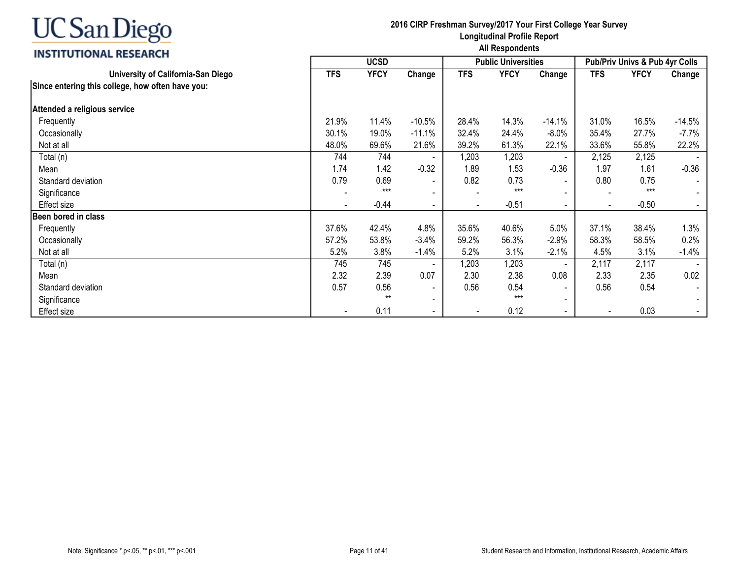## INCTITUTIONAL DECEADEL

| <b>INSITIVIIUNAL RESEARUM</b>                    |                          | <b>UCSD</b> |                          |            | <b>Public Universities</b> |                          |                          | Pub/Priv Univs & Pub 4yr Colls |          |
|--------------------------------------------------|--------------------------|-------------|--------------------------|------------|----------------------------|--------------------------|--------------------------|--------------------------------|----------|
| University of California-San Diego               | <b>TFS</b>               | <b>YFCY</b> | Change                   | <b>TFS</b> | <b>YFCY</b>                | Change                   | <b>TFS</b>               | <b>YFCY</b>                    | Change   |
| Since entering this college, how often have you: |                          |             |                          |            |                            |                          |                          |                                |          |
| Attended a religious service                     |                          |             |                          |            |                            |                          |                          |                                |          |
| Frequently                                       | 21.9%                    | 11.4%       | $-10.5%$                 | 28.4%      | 14.3%                      | $-14.1%$                 | 31.0%                    | 16.5%                          | $-14.5%$ |
| Occasionally                                     | 30.1%                    | 19.0%       | $-11.1%$                 | 32.4%      | 24.4%                      | $-8.0\%$                 | 35.4%                    | 27.7%                          | $-7.7\%$ |
| Not at all                                       | 48.0%                    | 69.6%       | 21.6%                    | 39.2%      | 61.3%                      | 22.1%                    | 33.6%                    | 55.8%                          | 22.2%    |
| Total (n)                                        | 744                      | 744         |                          | 1,203      | 1,203                      |                          | 2,125                    | 2,125                          |          |
| Mean                                             | 1.74                     | 1.42        | $-0.32$                  | 1.89       | 1.53                       | $-0.36$                  | 1.97                     | 1.61                           | $-0.36$  |
| Standard deviation                               | 0.79                     | 0.69        | $\overline{\phantom{a}}$ | 0.82       | 0.73                       | $\blacksquare$           | 0.80                     | 0.75                           |          |
| Significance                                     |                          | $***$       | $\blacksquare$           |            | $***$                      | $\blacksquare$           | $\blacksquare$           | $***$                          |          |
| Effect size                                      | $\overline{\phantom{a}}$ | $-0.44$     | $\overline{\phantom{a}}$ |            | $-0.51$                    | $\sim$                   | $\blacksquare$           | $-0.50$                        |          |
| Been bored in class                              |                          |             |                          |            |                            |                          |                          |                                |          |
| Frequently                                       | 37.6%                    | 42.4%       | 4.8%                     | 35.6%      | 40.6%                      | 5.0%                     | 37.1%                    | 38.4%                          | 1.3%     |
| Occasionally                                     | 57.2%                    | 53.8%       | $-3.4%$                  | 59.2%      | 56.3%                      | $-2.9%$                  | 58.3%                    | 58.5%                          | 0.2%     |
| Not at all                                       | 5.2%                     | 3.8%        | $-1.4%$                  | 5.2%       | 3.1%                       | $-2.1%$                  | 4.5%                     | 3.1%                           | $-1.4%$  |
| Total (n)                                        | 745                      | 745         |                          | 1,203      | 1,203                      | $\sim$                   | 2,117                    | 2,117                          |          |
| Mean                                             | 2.32                     | 2.39        | 0.07                     | 2.30       | 2.38                       | 0.08                     | 2.33                     | 2.35                           | 0.02     |
| Standard deviation                               | 0.57                     | 0.56        | $\overline{\phantom{a}}$ | 0.56       | 0.54                       |                          | 0.56                     | 0.54                           |          |
| Significance                                     |                          | $***$       | $\blacksquare$           |            | $***$                      | $\overline{\phantom{a}}$ |                          |                                |          |
| Effect size                                      |                          | 0.11        | $\overline{\phantom{a}}$ |            | 0.12                       | $\sim$                   | $\overline{\phantom{a}}$ | 0.03                           |          |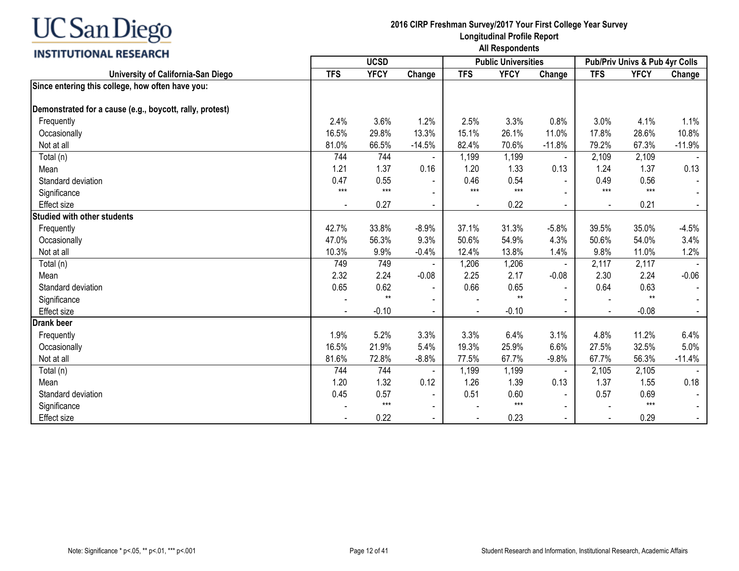## **INSTITUTIONAL RESEARCH**

|                                                          | <b>UCSD</b> |             |                          |            | <b>Public Universities</b> |                | Pub/Priv Univs & Pub 4yr Colls |             |                |
|----------------------------------------------------------|-------------|-------------|--------------------------|------------|----------------------------|----------------|--------------------------------|-------------|----------------|
| University of California-San Diego                       | <b>TFS</b>  | <b>YFCY</b> | Change                   | <b>TFS</b> | <b>YFCY</b>                | Change         | <b>TFS</b>                     | <b>YFCY</b> | Change         |
| Since entering this college, how often have you:         |             |             |                          |            |                            |                |                                |             |                |
| Demonstrated for a cause (e.g., boycott, rally, protest) |             |             |                          |            |                            |                |                                |             |                |
| Frequently                                               | 2.4%        | 3.6%        | 1.2%                     | 2.5%       | 3.3%                       | 0.8%           | 3.0%                           | 4.1%        | 1.1%           |
| Occasionally                                             | 16.5%       | 29.8%       | 13.3%                    | 15.1%      | 26.1%                      | 11.0%          | 17.8%                          | 28.6%       | 10.8%          |
| Not at all                                               | 81.0%       | 66.5%       | $-14.5%$                 | 82.4%      | 70.6%                      | $-11.8%$       | 79.2%                          | 67.3%       | $-11.9%$       |
| Total (n)                                                | 744         | 744         | $\overline{\phantom{a}}$ | 1,199      | 1,199                      | $\blacksquare$ | 2,109                          | 2,109       |                |
| Mean                                                     | 1.21        | 1.37        | 0.16                     | 1.20       | 1.33                       | 0.13           | 1.24                           | 1.37        | 0.13           |
| Standard deviation                                       | 0.47        | 0.55        | $\blacksquare$           | 0.46       | 0.54                       |                | 0.49                           | 0.56        |                |
| Significance                                             | $***$       | $***$       |                          | $***$      | $***$                      |                | $***$                          | $***$       |                |
| <b>Effect size</b>                                       |             | 0.27        |                          |            | 0.22                       |                |                                | 0.21        |                |
| <b>Studied with other students</b>                       |             |             |                          |            |                            |                |                                |             |                |
| Frequently                                               | 42.7%       | 33.8%       | $-8.9%$                  | 37.1%      | 31.3%                      | $-5.8%$        | 39.5%                          | 35.0%       | $-4.5%$        |
| Occasionally                                             | 47.0%       | 56.3%       | 9.3%                     | 50.6%      | 54.9%                      | 4.3%           | 50.6%                          | 54.0%       | 3.4%           |
| Not at all                                               | 10.3%       | 9.9%        | $-0.4%$                  | 12.4%      | 13.8%                      | 1.4%           | 9.8%                           | 11.0%       | 1.2%           |
| Total (n)                                                | 749         | 749         |                          | 1,206      | 1,206                      |                | 2,117                          | 2,117       |                |
| Mean                                                     | 2.32        | 2.24        | $-0.08$                  | 2.25       | 2.17                       | $-0.08$        | 2.30                           | 2.24        | $-0.06$        |
| Standard deviation                                       | 0.65        | 0.62        | $\blacksquare$           | 0.66       | 0.65                       | $\blacksquare$ | 0.64                           | 0.63        | $\sim$         |
| Significance                                             |             | $**$        | $\blacksquare$           |            | $**$                       |                |                                | $**$        |                |
| <b>Effect size</b>                                       |             | $-0.10$     |                          |            | $-0.10$                    |                |                                | $-0.08$     | $\sim$         |
| <b>Drank beer</b>                                        |             |             |                          |            |                            |                |                                |             |                |
| Frequently                                               | 1.9%        | 5.2%        | 3.3%                     | 3.3%       | 6.4%                       | 3.1%           | 4.8%                           | 11.2%       | 6.4%           |
| Occasionally                                             | 16.5%       | 21.9%       | 5.4%                     | 19.3%      | 25.9%                      | 6.6%           | 27.5%                          | 32.5%       | 5.0%           |
| Not at all                                               | 81.6%       | 72.8%       | $-8.8%$                  | 77.5%      | 67.7%                      | $-9.8%$        | 67.7%                          | 56.3%       | $-11.4%$       |
| Total (n)                                                | 744         | 744         |                          | 1,199      | 1,199                      | $\blacksquare$ | 2,105                          | 2,105       |                |
| Mean                                                     | 1.20        | 1.32        | 0.12                     | 1.26       | 1.39                       | 0.13           | 1.37                           | 1.55        | 0.18           |
| Standard deviation                                       | 0.45        | 0.57        | $\blacksquare$           | 0.51       | 0.60                       | $\blacksquare$ | 0.57                           | 0.69        |                |
| Significance                                             |             | $***$       | $\blacksquare$           |            | $***$                      |                |                                | $***$       |                |
| <b>Effect size</b>                                       |             | 0.22        | $\blacksquare$           |            | 0.23                       |                |                                | 0.29        | $\blacksquare$ |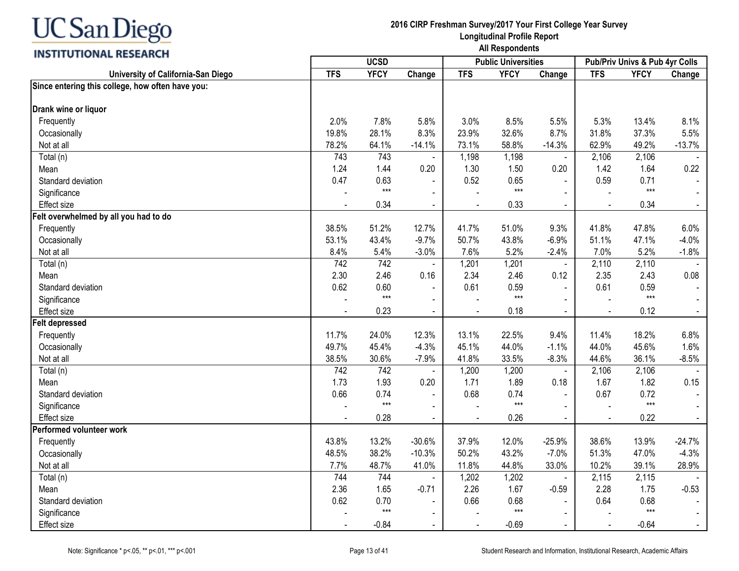## **INSTITUTIONAL RESEARCH**

|                                                  |                |             | <b>UCSD</b><br><b>Public Universities</b> |                          |             | Pub/Priv Univs & Pub 4yr Colls |                |             |          |
|--------------------------------------------------|----------------|-------------|-------------------------------------------|--------------------------|-------------|--------------------------------|----------------|-------------|----------|
| University of California-San Diego               | <b>TFS</b>     | <b>YFCY</b> | Change                                    | <b>TFS</b>               | <b>YFCY</b> | Change                         | <b>TFS</b>     | <b>YFCY</b> | Change   |
| Since entering this college, how often have you: |                |             |                                           |                          |             |                                |                |             |          |
| Drank wine or liquor                             |                |             |                                           |                          |             |                                |                |             |          |
| Frequently                                       | 2.0%           | 7.8%        | 5.8%                                      | 3.0%                     | 8.5%        | 5.5%                           | 5.3%           | 13.4%       | 8.1%     |
| Occasionally                                     | 19.8%          | 28.1%       | 8.3%                                      | 23.9%                    | 32.6%       | 8.7%                           | 31.8%          | 37.3%       | 5.5%     |
| Not at all                                       | 78.2%          | 64.1%       | $-14.1%$                                  | 73.1%                    | 58.8%       | $-14.3%$                       | 62.9%          | 49.2%       | $-13.7%$ |
| Total (n)                                        | 743            | 743         |                                           | 1,198                    | 1,198       | $\blacksquare$                 | 2,106          | 2,106       |          |
| Mean                                             | 1.24           | 1.44        | 0.20                                      | 1.30                     | 1.50        | 0.20                           | 1.42           | 1.64        | 0.22     |
| Standard deviation                               | 0.47           | 0.63        | $\blacksquare$                            | 0.52                     | 0.65        | $\blacksquare$                 | 0.59           | 0.71        |          |
| Significance                                     |                | $***$       | $\blacksquare$                            |                          | $***$       | $\blacksquare$                 |                | $***$       |          |
| <b>Effect size</b>                               |                | 0.34        |                                           |                          | 0.33        |                                |                | 0.34        |          |
| Felt overwhelmed by all you had to do            |                |             |                                           |                          |             |                                |                |             |          |
| Frequently                                       | 38.5%          | 51.2%       | 12.7%                                     | 41.7%                    | 51.0%       | 9.3%                           | 41.8%          | 47.8%       | 6.0%     |
| Occasionally                                     | 53.1%          | 43.4%       | $-9.7%$                                   | 50.7%                    | 43.8%       | $-6.9%$                        | 51.1%          | 47.1%       | $-4.0%$  |
| Not at all                                       | 8.4%           | 5.4%        | $-3.0%$                                   | 7.6%                     | 5.2%        | $-2.4%$                        | 7.0%           | 5.2%        | $-1.8%$  |
| Total (n)                                        | 742            | 742         | $\blacksquare$                            | 1,201                    | 1,201       | $\omega$                       | 2,110          | 2,110       |          |
| Mean                                             | 2.30           | 2.46        | 0.16                                      | 2.34                     | 2.46        | 0.12                           | 2.35           | 2.43        | 0.08     |
| Standard deviation                               | 0.62           | 0.60        | $\blacksquare$                            | 0.61                     | 0.59        | $\blacksquare$                 | 0.61           | 0.59        |          |
| Significance                                     |                | $***$       |                                           |                          | $***$       |                                |                | $***$       |          |
| <b>Effect size</b>                               | $\overline{a}$ | 0.23        | $\blacksquare$                            | $\overline{\phantom{a}}$ | 0.18        | $\blacksquare$                 | $\blacksquare$ | 0.12        | $\sim$   |
| <b>Felt depressed</b>                            |                |             |                                           |                          |             |                                |                |             |          |
| Frequently                                       | 11.7%          | 24.0%       | 12.3%                                     | 13.1%                    | 22.5%       | 9.4%                           | 11.4%          | 18.2%       | 6.8%     |
| Occasionally                                     | 49.7%          | 45.4%       | $-4.3%$                                   | 45.1%                    | 44.0%       | $-1.1%$                        | 44.0%          | 45.6%       | 1.6%     |
| Not at all                                       | 38.5%          | 30.6%       | $-7.9%$                                   | 41.8%                    | 33.5%       | $-8.3%$                        | 44.6%          | 36.1%       | $-8.5%$  |
| Total (n)                                        | 742            | 742         |                                           | 1,200                    | 1,200       | $\blacksquare$                 | 2,106          | 2,106       |          |
| Mean                                             | 1.73           | 1.93        | 0.20                                      | 1.71                     | 1.89        | 0.18                           | 1.67           | 1.82        | 0.15     |
| Standard deviation                               | 0.66           | 0.74        | $\blacksquare$                            | 0.68                     | 0.74        | $\blacksquare$                 | 0.67           | 0.72        |          |
| Significance                                     |                | $***$       | $\blacksquare$                            |                          | $***$       | $\mathbf{r}$                   |                | $***$       |          |
| <b>Effect size</b>                               |                | 0.28        |                                           |                          | 0.26        |                                |                | 0.22        | $\sim$   |
| Performed volunteer work                         |                |             |                                           |                          |             |                                |                |             |          |
| Frequently                                       | 43.8%          | 13.2%       | $-30.6%$                                  | 37.9%                    | 12.0%       | $-25.9%$                       | 38.6%          | 13.9%       | $-24.7%$ |
| Occasionally                                     | 48.5%          | 38.2%       | $-10.3%$                                  | 50.2%                    | 43.2%       | $-7.0%$                        | 51.3%          | 47.0%       | $-4.3%$  |
| Not at all                                       | 7.7%           | 48.7%       | 41.0%                                     | 11.8%                    | 44.8%       | 33.0%                          | 10.2%          | 39.1%       | 28.9%    |
| Total (n)                                        | 744            | 744         | $\overline{\phantom{a}}$                  | 1,202                    | 1,202       | $\blacksquare$                 | 2,115          | 2,115       |          |
| Mean                                             | 2.36           | 1.65        | $-0.71$                                   | 2.26                     | 1.67        | $-0.59$                        | 2.28           | 1.75        | $-0.53$  |
| Standard deviation                               | 0.62           | 0.70        |                                           | 0.66                     | 0.68        | $\blacksquare$                 | 0.64           | 0.68        | $\sim$   |
| Significance                                     |                | $***$       |                                           |                          | $***$       |                                |                | $***$       |          |
| <b>Effect size</b>                               |                | $-0.84$     | $\sim$                                    | $\overline{\phantom{a}}$ | $-0.69$     | $\blacksquare$                 |                | $-0.64$     | $\sim$   |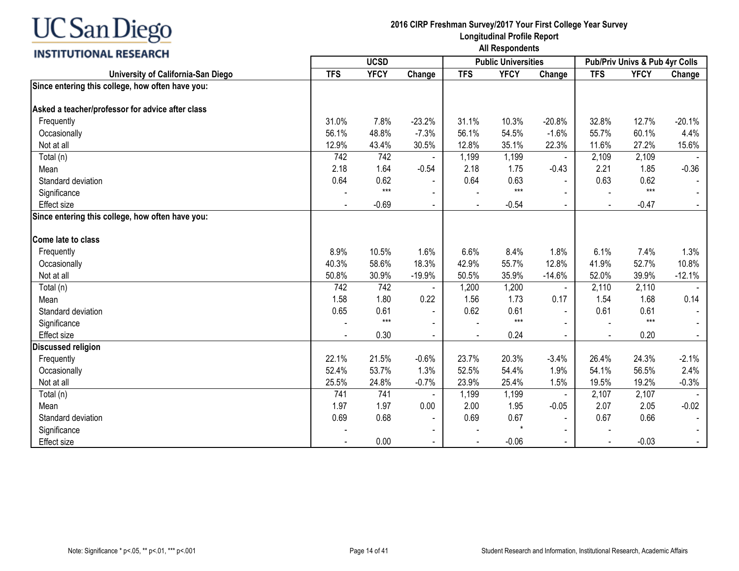## **INSTITUTIONAL RESEARCH**

|                                                  |                |             |                          | <b>Public Universities</b> |             | Pub/Priv Univs & Pub 4yr Colls |                |             |          |
|--------------------------------------------------|----------------|-------------|--------------------------|----------------------------|-------------|--------------------------------|----------------|-------------|----------|
| University of California-San Diego               | <b>TFS</b>     | <b>YFCY</b> | Change                   | <b>TFS</b>                 | <b>YFCY</b> | Change                         | <b>TFS</b>     | <b>YFCY</b> | Change   |
| Since entering this college, how often have you: |                |             |                          |                            |             |                                |                |             |          |
|                                                  |                |             |                          |                            |             |                                |                |             |          |
| Asked a teacher/professor for advice after class |                |             |                          |                            |             |                                |                |             |          |
| Frequently                                       | 31.0%          | 7.8%        | $-23.2%$                 | 31.1%                      | 10.3%       | $-20.8%$                       | 32.8%          | 12.7%       | $-20.1%$ |
| Occasionally                                     | 56.1%          | 48.8%       | $-7.3%$                  | 56.1%                      | 54.5%       | $-1.6%$                        | 55.7%          | 60.1%       | 4.4%     |
| Not at all                                       | 12.9%          | 43.4%       | 30.5%                    | 12.8%                      | 35.1%       | 22.3%                          | 11.6%          | 27.2%       | 15.6%    |
| Total (n)                                        | 742            | 742         |                          | 1,199                      | 1,199       |                                | 2,109          | 2,109       |          |
| Mean                                             | 2.18           | 1.64        | $-0.54$                  | 2.18                       | 1.75        | $-0.43$                        | 2.21           | 1.85        | $-0.36$  |
| Standard deviation                               | 0.64           | 0.62        |                          | 0.64                       | 0.63        | $\sim$                         | 0.63           | 0.62        |          |
| Significance                                     |                | $***$       | $\overline{\phantom{0}}$ |                            | $***$       | $\blacksquare$                 |                | $***$       |          |
| Effect size                                      | $\blacksquare$ | $-0.69$     | $\overline{\phantom{a}}$ |                            | $-0.54$     | $\blacksquare$                 | $\blacksquare$ | $-0.47$     | $\sim$   |
| Since entering this college, how often have you: |                |             |                          |                            |             |                                |                |             |          |
| Come late to class                               |                |             |                          |                            |             |                                |                |             |          |
| Frequently                                       | 8.9%           | 10.5%       | 1.6%                     | 6.6%                       | 8.4%        | 1.8%                           | 6.1%           | 7.4%        | 1.3%     |
| Occasionally                                     | 40.3%          | 58.6%       | 18.3%                    | 42.9%                      | 55.7%       | 12.8%                          | 41.9%          | 52.7%       | 10.8%    |
| Not at all                                       | 50.8%          | 30.9%       | $-19.9%$                 | 50.5%                      | 35.9%       | $-14.6%$                       | 52.0%          | 39.9%       | $-12.1%$ |
| Total (n)                                        | 742            | 742         |                          | 1,200                      | 1,200       | $\blacksquare$                 | 2,110          | 2,110       |          |
| Mean                                             | 1.58           | 1.80        | 0.22                     | 1.56                       | 1.73        | 0.17                           | 1.54           | 1.68        | 0.14     |
| Standard deviation                               | 0.65           | 0.61        | $\blacksquare$           | 0.62                       | 0.61        | $\blacksquare$                 | 0.61           | 0.61        |          |
| Significance                                     |                | $***$       |                          |                            | $***$       |                                |                | $***$       |          |
| <b>Effect size</b>                               |                | 0.30        |                          |                            | 0.24        | $\sim$                         |                | 0.20        | $\sim$   |
| <b>Discussed religion</b>                        |                |             |                          |                            |             |                                |                |             |          |
| Frequently                                       | 22.1%          | 21.5%       | $-0.6%$                  | 23.7%                      | 20.3%       | $-3.4%$                        | 26.4%          | 24.3%       | $-2.1%$  |
| Occasionally                                     | 52.4%          | 53.7%       | 1.3%                     | 52.5%                      | 54.4%       | 1.9%                           | 54.1%          | 56.5%       | 2.4%     |
| Not at all                                       | 25.5%          | 24.8%       | $-0.7%$                  | 23.9%                      | 25.4%       | 1.5%                           | 19.5%          | 19.2%       | $-0.3%$  |
| Total (n)                                        | 741            | 741         |                          | 1,199                      | 1,199       | $\blacksquare$                 | 2,107          | 2,107       |          |
| Mean                                             | 1.97           | 1.97        | 0.00                     | 2.00                       | 1.95        | $-0.05$                        | 2.07           | 2.05        | $-0.02$  |
| Standard deviation                               | 0.69           | 0.68        | $\overline{\phantom{a}}$ | 0.69                       | 0.67        | $\blacksquare$                 | 0.67           | 0.66        |          |
| Significance                                     |                |             |                          |                            |             |                                |                |             |          |
| <b>Effect size</b>                               |                | 0.00        | $\blacksquare$           |                            | $-0.06$     | $\blacksquare$                 |                | $-0.03$     | $\sim$   |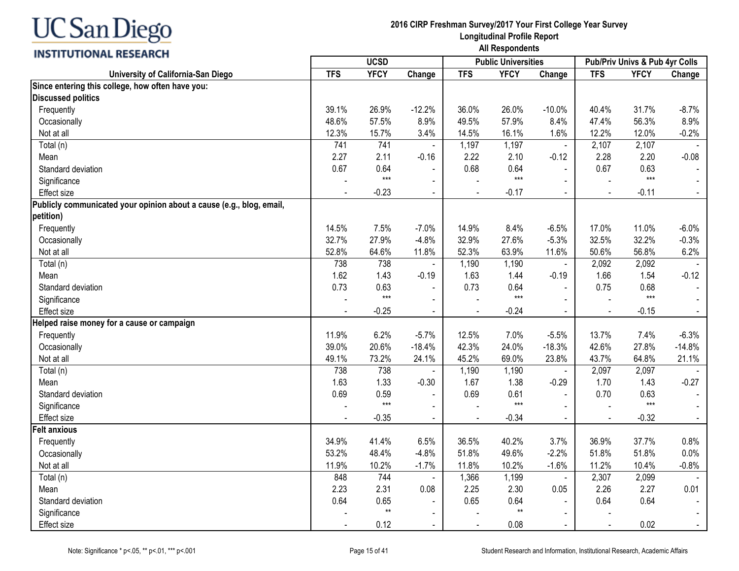| JC San Diego |  |
|--------------|--|
|--------------|--|

| <b>INSTITUTIONAL RESEARCH</b>                                        | All Respondents |              |                |            |                            |                |            |                                |                  |  |
|----------------------------------------------------------------------|-----------------|--------------|----------------|------------|----------------------------|----------------|------------|--------------------------------|------------------|--|
|                                                                      |                 | <b>UCSD</b>  |                |            | <b>Public Universities</b> |                |            | Pub/Priv Univs & Pub 4yr Colls |                  |  |
| University of California-San Diego                                   | <b>TFS</b>      | <b>YFCY</b>  | Change         | <b>TFS</b> | <b>YFCY</b>                | Change         | <b>TFS</b> | <b>YFCY</b>                    | Change           |  |
| Since entering this college, how often have you:                     |                 |              |                |            |                            |                |            |                                |                  |  |
| <b>Discussed politics</b>                                            |                 |              |                |            |                            |                |            |                                |                  |  |
| Frequently                                                           | 39.1%           | 26.9%        | $-12.2%$       | 36.0%      | 26.0%                      | $-10.0%$       | 40.4%      | 31.7%                          | $-8.7%$          |  |
| Occasionally                                                         | 48.6%           | 57.5%        | 8.9%           | 49.5%      | 57.9%                      | 8.4%           | 47.4%      | 56.3%                          | 8.9%             |  |
| Not at all                                                           | 12.3%           | 15.7%        | 3.4%           | 14.5%      | 16.1%                      | 1.6%           | 12.2%      | 12.0%                          | $-0.2%$          |  |
| Total (n)                                                            | 741             | 741          |                | 1,197      | 1,197                      | $\blacksquare$ | 2,107      | 2,107                          |                  |  |
| Mean                                                                 | 2.27            | 2.11         | $-0.16$        | 2.22       | 2.10                       | $-0.12$        | 2.28       | 2.20                           | $-0.08$          |  |
| Standard deviation                                                   | 0.67            | 0.64         |                | 0.68       | 0.64                       | ÷,             | 0.67       | 0.63                           |                  |  |
| Significance                                                         |                 | $***$        | $\blacksquare$ |            | $***$                      | $\sim$         |            | $***$                          |                  |  |
| Effect size                                                          |                 | $-0.23$      | $\blacksquare$ |            | $-0.17$                    | $\blacksquare$ |            | $-0.11$                        |                  |  |
| Publicly communicated your opinion about a cause (e.g., blog, email, |                 |              |                |            |                            |                |            |                                |                  |  |
| petition)                                                            |                 |              |                |            |                            |                |            |                                |                  |  |
| Frequently                                                           | 14.5%           | 7.5%         | $-7.0%$        | 14.9%      | 8.4%                       | $-6.5%$        | 17.0%      | 11.0%                          | $-6.0%$          |  |
| Occasionally                                                         | 32.7%           | 27.9%        | $-4.8%$        | 32.9%      | 27.6%                      | $-5.3%$        | 32.5%      | 32.2%                          | $-0.3%$          |  |
| Not at all                                                           | 52.8%           | 64.6%        | 11.8%          | 52.3%      | 63.9%                      | 11.6%          | 50.6%      | 56.8%                          | 6.2%             |  |
| Total (n)                                                            | 738             | 738          |                | 1,190      | 1,190                      | $\blacksquare$ | 2,092      | 2,092                          |                  |  |
| Mean                                                                 | 1.62            | 1.43         | $-0.19$        | 1.63       | 1.44                       | $-0.19$        | 1.66       | 1.54                           | $-0.12$          |  |
| Standard deviation                                                   | 0.73            | 0.63         | $\blacksquare$ | 0.73       | 0.64                       | $\sim$         | 0.75       | 0.68                           |                  |  |
| Significance                                                         |                 | $***$        | $\blacksquare$ |            | $***$                      |                |            | $***$                          |                  |  |
| Effect size                                                          |                 | $-0.25$      | $\sim$         |            | $-0.24$                    |                |            | $-0.15$                        | $\omega$ .       |  |
| Helped raise money for a cause or campaign                           |                 |              |                |            |                            |                |            |                                |                  |  |
| Frequently                                                           | 11.9%           | 6.2%         | $-5.7%$        | 12.5%      | 7.0%                       | $-5.5%$        | 13.7%      | 7.4%                           | $-6.3%$          |  |
| Occasionally                                                         | 39.0%           | 20.6%        | $-18.4%$       | 42.3%      | 24.0%                      | $-18.3%$       | 42.6%      | 27.8%                          | $-14.8%$         |  |
| Not at all                                                           | 49.1%           | 73.2%        | 24.1%          | 45.2%      | 69.0%                      | 23.8%          | 43.7%      | 64.8%                          | 21.1%            |  |
| Total (n)                                                            | 738             | 738          |                | 1,190      | 1,190                      | $\blacksquare$ | 2,097      | 2,097                          |                  |  |
| Mean                                                                 | 1.63            | 1.33         | $-0.30$        | 1.67       | 1.38                       | $-0.29$        | 1.70       | 1.43                           | $-0.27$          |  |
| Standard deviation                                                   | 0.69            | 0.59         | $\blacksquare$ | 0.69       | 0.61                       | $\blacksquare$ | 0.70       | 0.63                           |                  |  |
| Significance                                                         |                 | $***$        | $\blacksquare$ |            | $***$                      | $\blacksquare$ |            | $***$                          |                  |  |
| Effect size                                                          |                 | $-0.35$      |                |            | $-0.34$                    | $\blacksquare$ |            | $-0.32$                        |                  |  |
| <b>Felt anxious</b>                                                  |                 |              |                |            |                            |                |            |                                |                  |  |
| Frequently                                                           | 34.9%           | 41.4%        | 6.5%           | 36.5%      | 40.2%                      | 3.7%           | 36.9%      | 37.7%                          | 0.8%             |  |
| Occasionally                                                         | 53.2%           | 48.4%        | $-4.8%$        | 51.8%      | 49.6%                      | $-2.2%$        | 51.8%      | 51.8%                          | 0.0%             |  |
| Not at all                                                           | 11.9%           | 10.2%        | $-1.7%$        | 11.8%      | 10.2%                      | $-1.6%$        | 11.2%      | 10.4%                          | $-0.8%$          |  |
| Total (n)                                                            | 848             | 744          | $\blacksquare$ | 1,366      | 1,199                      | $\blacksquare$ | 2,307      | 2,099                          |                  |  |
| Mean                                                                 | 2.23            | 2.31         | 0.08           | 2.25       | 2.30                       | 0.05           | 2.26       | 2.27                           | 0.01             |  |
| Standard deviation                                                   | 0.64            | 0.65         | $\blacksquare$ | 0.65       | 0.64                       |                | 0.64       | 0.64                           | $\sim$           |  |
| Significance                                                         |                 | $\star\star$ | $\blacksquare$ |            | $^{\star\star}$            | $\overline{a}$ |            |                                |                  |  |
| Effect size                                                          |                 | 0.12         | $\sim$         |            | 0.08                       | $\blacksquare$ |            | 0.02                           | $\omega_{\rm c}$ |  |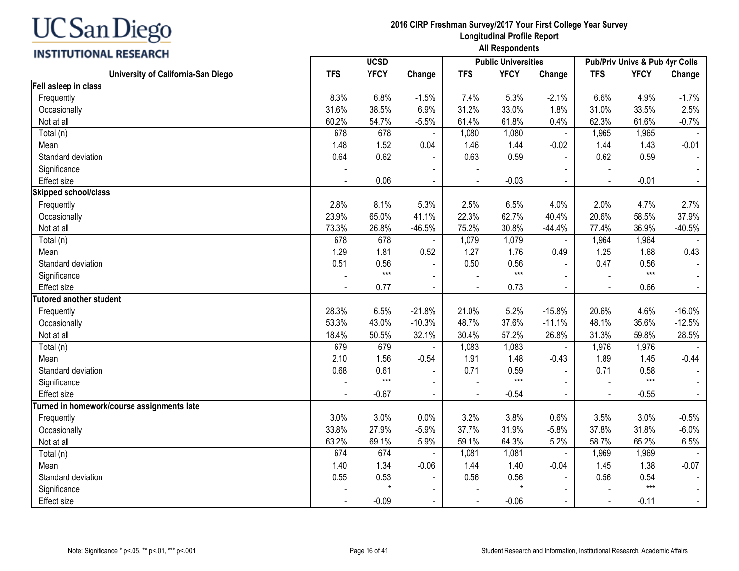| C San Diego |  |
|-------------|--|
|-------------|--|

|                                            |                | <b>UCSD</b> |                          |            | <b>Public Universities</b> |                |                | Pub/Priv Univs & Pub 4yr Colls |                |
|--------------------------------------------|----------------|-------------|--------------------------|------------|----------------------------|----------------|----------------|--------------------------------|----------------|
| University of California-San Diego         | <b>TFS</b>     | <b>YFCY</b> | Change                   | <b>TFS</b> | <b>YFCY</b>                | Change         | <b>TFS</b>     | <b>YFCY</b>                    | Change         |
| Fell asleep in class                       |                |             |                          |            |                            |                |                |                                |                |
| Frequently                                 | 8.3%           | 6.8%        | $-1.5%$                  | 7.4%       | 5.3%                       | $-2.1%$        | 6.6%           | 4.9%                           | $-1.7%$        |
| Occasionally                               | 31.6%          | 38.5%       | 6.9%                     | 31.2%      | 33.0%                      | 1.8%           | 31.0%          | 33.5%                          | 2.5%           |
| Not at all                                 | 60.2%          | 54.7%       | $-5.5%$                  | 61.4%      | 61.8%                      | 0.4%           | 62.3%          | 61.6%                          | $-0.7%$        |
| Total (n)                                  | 678            | 678         |                          | 1,080      | 1,080                      | $\blacksquare$ | 1,965          | 1,965                          |                |
| Mean                                       | 1.48           | 1.52        | 0.04                     | 1.46       | 1.44                       | $-0.02$        | 1.44           | 1.43                           | $-0.01$        |
| Standard deviation                         | 0.64           | 0.62        |                          | 0.63       | 0.59                       | $\blacksquare$ | 0.62           | 0.59                           |                |
| Significance                               |                |             |                          |            |                            |                |                |                                |                |
| Effect size                                |                | 0.06        | $\blacksquare$           |            | $-0.03$                    | $\blacksquare$ | $\overline{a}$ | $-0.01$                        | $\blacksquare$ |
| Skipped school/class                       |                |             |                          |            |                            |                |                |                                |                |
| Frequently                                 | 2.8%           | 8.1%        | 5.3%                     | 2.5%       | 6.5%                       | 4.0%           | 2.0%           | 4.7%                           | 2.7%           |
| Occasionally                               | 23.9%          | 65.0%       | 41.1%                    | 22.3%      | 62.7%                      | 40.4%          | 20.6%          | 58.5%                          | 37.9%          |
| Not at all                                 | 73.3%          | 26.8%       | $-46.5%$                 | 75.2%      | 30.8%                      | $-44.4%$       | 77.4%          | 36.9%                          | $-40.5%$       |
| Total (n)                                  | 678            | 678         | $\blacksquare$           | 1,079      | 1,079                      | $\blacksquare$ | 1,964          | 1,964                          |                |
| Mean                                       | 1.29           | 1.81        | 0.52                     | 1.27       | 1.76                       | 0.49           | 1.25           | 1.68                           | 0.43           |
| Standard deviation                         | 0.51           | 0.56        | $\blacksquare$           | 0.50       | 0.56                       | $\blacksquare$ | 0.47           | 0.56                           |                |
| Significance                               |                | $***$       | $\blacksquare$           |            | $***$                      |                |                | $***$                          |                |
| Effect size                                | $\blacksquare$ | 0.77        | $\blacksquare$           |            | 0.73                       | $\blacksquare$ | $\blacksquare$ | 0.66                           | $\blacksquare$ |
| <b>Tutored another student</b>             |                |             |                          |            |                            |                |                |                                |                |
| Frequently                                 | 28.3%          | 6.5%        | $-21.8%$                 | 21.0%      | 5.2%                       | $-15.8%$       | 20.6%          | 4.6%                           | $-16.0%$       |
| Occasionally                               | 53.3%          | 43.0%       | $-10.3%$                 | 48.7%      | 37.6%                      | $-11.1%$       | 48.1%          | 35.6%                          | $-12.5%$       |
| Not at all                                 | 18.4%          | 50.5%       | 32.1%                    | 30.4%      | 57.2%                      | 26.8%          | 31.3%          | 59.8%                          | 28.5%          |
| Total (n)                                  | 679            | 679         |                          | 1,083      | 1,083                      | $\blacksquare$ | 1,976          | 1,976                          |                |
| Mean                                       | 2.10           | 1.56        | $-0.54$                  | 1.91       | 1.48                       | $-0.43$        | 1.89           | 1.45                           | $-0.44$        |
| Standard deviation                         | 0.68           | 0.61        |                          | 0.71       | 0.59                       |                | 0.71           | 0.58                           |                |
| Significance                               |                | $***$       |                          |            | $***$                      |                |                | $***$                          |                |
| Effect size                                |                | $-0.67$     | $\blacksquare$           |            | $-0.54$                    |                | $\overline{a}$ | $-0.55$                        |                |
| Turned in homework/course assignments late |                |             |                          |            |                            |                |                |                                |                |
| Frequently                                 | 3.0%           | 3.0%        | 0.0%                     | 3.2%       | 3.8%                       | 0.6%           | 3.5%           | 3.0%                           | $-0.5%$        |
| Occasionally                               | 33.8%          | 27.9%       | $-5.9%$                  | 37.7%      | 31.9%                      | $-5.8%$        | 37.8%          | 31.8%                          | $-6.0%$        |
| Not at all                                 | 63.2%          | 69.1%       | 5.9%                     | 59.1%      | 64.3%                      | 5.2%           | 58.7%          | 65.2%                          | 6.5%           |
| Total (n)                                  | 674            | 674         |                          | 1,081      | 1,081                      | $\blacksquare$ | 1,969          | 1,969                          |                |
| Mean                                       | 1.40           | 1.34        | $-0.06$                  | 1.44       | 1.40                       | $-0.04$        | 1.45           | 1.38                           | $-0.07$        |
| Standard deviation                         | 0.55           | 0.53        | $\overline{\phantom{a}}$ | 0.56       | 0.56                       |                | 0.56           | 0.54                           |                |
| Significance                               |                | $\star$     | $\overline{\phantom{a}}$ |            | $\star$                    |                |                | $***$                          |                |
| <b>Effect size</b>                         |                | $-0.09$     | $\sim$                   |            | $-0.06$                    | $\sim$         | $\blacksquare$ | $-0.11$                        |                |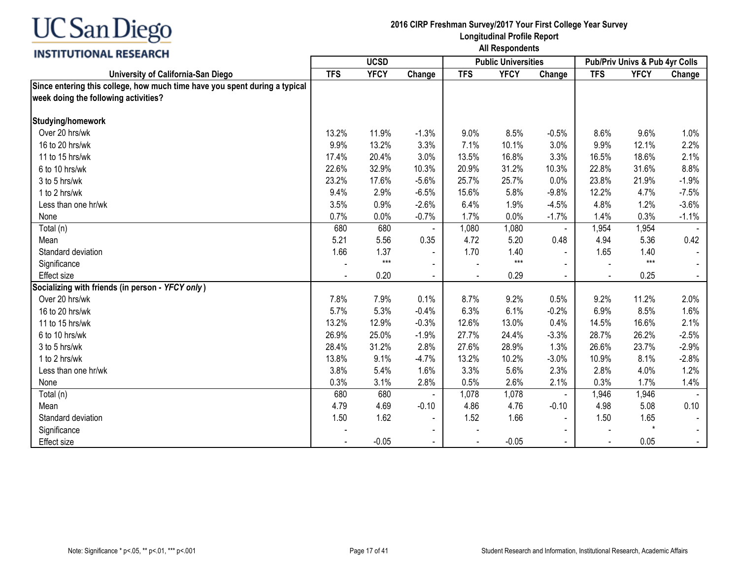

| ,,,,,,,,,,,,,,,,,,,,,,,,,                                                  | <b>UCSD</b> |             |                |            | <b>Public Universities</b> |                | Pub/Priv Univs & Pub 4yr Colls |             |         |
|----------------------------------------------------------------------------|-------------|-------------|----------------|------------|----------------------------|----------------|--------------------------------|-------------|---------|
| University of California-San Diego                                         | <b>TFS</b>  | <b>YFCY</b> | Change         | <b>TFS</b> | <b>YFCY</b>                | Change         | <b>TFS</b>                     | <b>YFCY</b> | Change  |
| Since entering this college, how much time have you spent during a typical |             |             |                |            |                            |                |                                |             |         |
| week doing the following activities?                                       |             |             |                |            |                            |                |                                |             |         |
| Studying/homework                                                          |             |             |                |            |                            |                |                                |             |         |
| Over 20 hrs/wk                                                             | 13.2%       | 11.9%       | $-1.3%$        | 9.0%       | 8.5%                       | $-0.5%$        | 8.6%                           | 9.6%        | 1.0%    |
| 16 to 20 hrs/wk                                                            | 9.9%        | 13.2%       | 3.3%           | 7.1%       | 10.1%                      | 3.0%           | 9.9%                           | 12.1%       | 2.2%    |
| 11 to 15 hrs/wk                                                            | 17.4%       | 20.4%       | 3.0%           | 13.5%      | 16.8%                      | 3.3%           | 16.5%                          | 18.6%       | 2.1%    |
| 6 to 10 hrs/wk                                                             | 22.6%       | 32.9%       | 10.3%          | 20.9%      | 31.2%                      | 10.3%          | 22.8%                          | 31.6%       | 8.8%    |
| 3 to 5 hrs/wk                                                              | 23.2%       | 17.6%       | $-5.6%$        | 25.7%      | 25.7%                      | 0.0%           | 23.8%                          | 21.9%       | $-1.9%$ |
| 1 to 2 hrs/wk                                                              | 9.4%        | 2.9%        | $-6.5%$        | 15.6%      | 5.8%                       | $-9.8%$        | 12.2%                          | 4.7%        | $-7.5%$ |
| Less than one hr/wk                                                        | 3.5%        | 0.9%        | $-2.6%$        | 6.4%       | 1.9%                       | $-4.5%$        | 4.8%                           | 1.2%        | $-3.6%$ |
| None                                                                       | 0.7%        | 0.0%        | $-0.7%$        | 1.7%       | 0.0%                       | $-1.7%$        | 1.4%                           | 0.3%        | $-1.1%$ |
| Total (n)                                                                  | 680         | 680         |                | 1,080      | 1,080                      | $\blacksquare$ | 1,954                          | 1,954       |         |
| Mean                                                                       | 5.21        | 5.56        | 0.35           | 4.72       | 5.20                       | 0.48           | 4.94                           | 5.36        | 0.42    |
| Standard deviation                                                         | 1.66        | 1.37        | $\blacksquare$ | 1.70       | 1.40                       |                | 1.65                           | 1.40        |         |
| Significance                                                               |             | $***$       |                |            | $***$                      |                |                                | $***$       |         |
| <b>Effect size</b>                                                         |             | 0.20        | $\blacksquare$ |            | 0.29                       |                | $\blacksquare$                 | 0.25        |         |
| Socializing with friends (in person - YFCY only)                           |             |             |                |            |                            |                |                                |             |         |
| Over 20 hrs/wk                                                             | 7.8%        | 7.9%        | 0.1%           | 8.7%       | 9.2%                       | 0.5%           | 9.2%                           | 11.2%       | 2.0%    |
| 16 to 20 hrs/wk                                                            | 5.7%        | 5.3%        | $-0.4%$        | 6.3%       | 6.1%                       | $-0.2%$        | 6.9%                           | 8.5%        | 1.6%    |
| 11 to 15 hrs/wk                                                            | 13.2%       | 12.9%       | $-0.3%$        | 12.6%      | 13.0%                      | 0.4%           | 14.5%                          | 16.6%       | 2.1%    |
| 6 to 10 hrs/wk                                                             | 26.9%       | 25.0%       | $-1.9%$        | 27.7%      | 24.4%                      | $-3.3%$        | 28.7%                          | 26.2%       | $-2.5%$ |
| 3 to 5 hrs/wk                                                              | 28.4%       | 31.2%       | 2.8%           | 27.6%      | 28.9%                      | 1.3%           | 26.6%                          | 23.7%       | $-2.9%$ |
| 1 to 2 hrs/wk                                                              | 13.8%       | 9.1%        | $-4.7%$        | 13.2%      | 10.2%                      | $-3.0%$        | 10.9%                          | 8.1%        | $-2.8%$ |
| Less than one hr/wk                                                        | 3.8%        | 5.4%        | 1.6%           | 3.3%       | 5.6%                       | 2.3%           | 2.8%                           | 4.0%        | 1.2%    |
| None                                                                       | 0.3%        | 3.1%        | 2.8%           | 0.5%       | 2.6%                       | 2.1%           | 0.3%                           | 1.7%        | 1.4%    |
| Total (n)                                                                  | 680         | 680         |                | 1,078      | 1,078                      |                | 1,946                          | 1,946       |         |
| Mean                                                                       | 4.79        | 4.69        | $-0.10$        | 4.86       | 4.76                       | $-0.10$        | 4.98                           | 5.08        | 0.10    |
| Standard deviation                                                         | 1.50        | 1.62        |                | 1.52       | 1.66                       |                | 1.50                           | 1.65        |         |
| Significance                                                               |             |             | $\blacksquare$ |            |                            |                |                                | $\star$     |         |
| <b>Effect size</b>                                                         |             | $-0.05$     |                |            | $-0.05$                    |                |                                | 0.05        |         |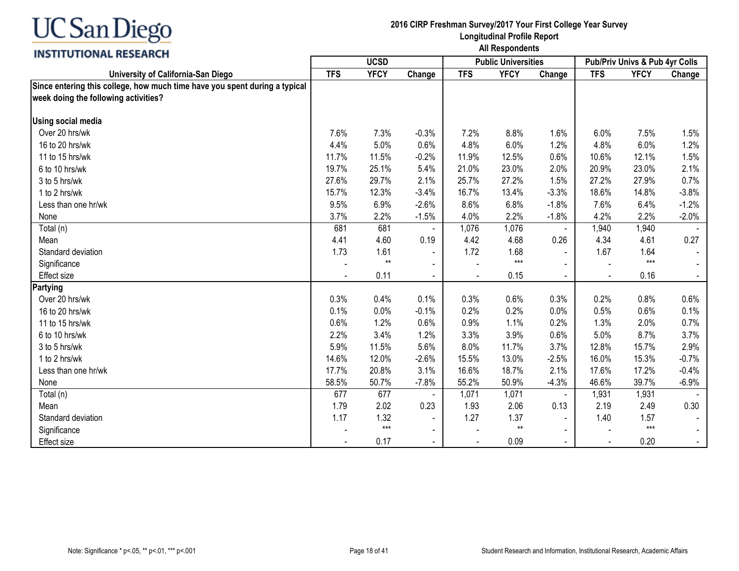

| ,,,,,,,,,,,,,,,,,,,,,,,,,                                                  | <b>UCSD</b> |             |                |            | <b>Public Universities</b> |                | <b>Pub/Priv Univs &amp; Pub 4yr Colls</b> |             |         |
|----------------------------------------------------------------------------|-------------|-------------|----------------|------------|----------------------------|----------------|-------------------------------------------|-------------|---------|
| University of California-San Diego                                         | <b>TFS</b>  | <b>YFCY</b> | Change         | <b>TFS</b> | <b>YFCY</b>                | Change         | <b>TFS</b>                                | <b>YFCY</b> | Change  |
| Since entering this college, how much time have you spent during a typical |             |             |                |            |                            |                |                                           |             |         |
| week doing the following activities?                                       |             |             |                |            |                            |                |                                           |             |         |
| <b>Using social media</b>                                                  |             |             |                |            |                            |                |                                           |             |         |
| Over 20 hrs/wk                                                             | 7.6%        | 7.3%        | $-0.3%$        | 7.2%       | 8.8%                       | 1.6%           | 6.0%                                      | 7.5%        | 1.5%    |
| 16 to 20 hrs/wk                                                            | 4.4%        | 5.0%        | 0.6%           | 4.8%       | 6.0%                       | 1.2%           | 4.8%                                      | 6.0%        | 1.2%    |
| 11 to 15 hrs/wk                                                            | 11.7%       | 11.5%       | $-0.2%$        | 11.9%      | 12.5%                      | 0.6%           | 10.6%                                     | 12.1%       | 1.5%    |
| 6 to 10 hrs/wk                                                             | 19.7%       | 25.1%       | 5.4%           | 21.0%      | 23.0%                      | 2.0%           | 20.9%                                     | 23.0%       | 2.1%    |
| 3 to 5 hrs/wk                                                              | 27.6%       | 29.7%       | 2.1%           | 25.7%      | 27.2%                      | 1.5%           | 27.2%                                     | 27.9%       | 0.7%    |
| 1 to 2 hrs/wk                                                              | 15.7%       | 12.3%       | $-3.4%$        | 16.7%      | 13.4%                      | $-3.3%$        | 18.6%                                     | 14.8%       | $-3.8%$ |
| Less than one hr/wk                                                        | 9.5%        | 6.9%        | $-2.6%$        | 8.6%       | 6.8%                       | $-1.8%$        | 7.6%                                      | 6.4%        | $-1.2%$ |
| None                                                                       | 3.7%        | 2.2%        | $-1.5%$        | 4.0%       | 2.2%                       | $-1.8%$        | 4.2%                                      | 2.2%        | $-2.0%$ |
| Total (n)                                                                  | 681         | 681         |                | 1,076      | 1,076                      | $\blacksquare$ | 1,940                                     | 1,940       |         |
| Mean                                                                       | 4.41        | 4.60        | 0.19           | 4.42       | 4.68                       | 0.26           | 4.34                                      | 4.61        | 0.27    |
| Standard deviation                                                         | 1.73        | 1.61        | $\blacksquare$ | 1.72       | 1.68                       |                | 1.67                                      | 1.64        |         |
| Significance                                                               |             | $**$        | $\blacksquare$ |            | $***$                      |                |                                           | $***$       |         |
| <b>Effect size</b>                                                         |             | 0.11        | $\blacksquare$ |            | 0.15                       |                | $\blacksquare$                            | 0.16        |         |
| <b>Partying</b>                                                            |             |             |                |            |                            |                |                                           |             |         |
| Over 20 hrs/wk                                                             | 0.3%        | 0.4%        | 0.1%           | 0.3%       | 0.6%                       | 0.3%           | 0.2%                                      | 0.8%        | 0.6%    |
| 16 to 20 hrs/wk                                                            | 0.1%        | 0.0%        | $-0.1%$        | 0.2%       | 0.2%                       | 0.0%           | 0.5%                                      | 0.6%        | 0.1%    |
| 11 to 15 hrs/wk                                                            | 0.6%        | 1.2%        | 0.6%           | 0.9%       | 1.1%                       | 0.2%           | 1.3%                                      | 2.0%        | 0.7%    |
| 6 to 10 hrs/wk                                                             | 2.2%        | 3.4%        | 1.2%           | 3.3%       | 3.9%                       | 0.6%           | 5.0%                                      | 8.7%        | 3.7%    |
| 3 to 5 hrs/wk                                                              | 5.9%        | 11.5%       | 5.6%           | 8.0%       | 11.7%                      | 3.7%           | 12.8%                                     | 15.7%       | 2.9%    |
| 1 to 2 hrs/wk                                                              | 14.6%       | 12.0%       | $-2.6%$        | 15.5%      | 13.0%                      | $-2.5%$        | 16.0%                                     | 15.3%       | $-0.7%$ |
| Less than one hr/wk                                                        | 17.7%       | 20.8%       | 3.1%           | 16.6%      | 18.7%                      | 2.1%           | 17.6%                                     | 17.2%       | $-0.4%$ |
| None                                                                       | 58.5%       | 50.7%       | $-7.8%$        | 55.2%      | 50.9%                      | $-4.3%$        | 46.6%                                     | 39.7%       | $-6.9%$ |
| Total (n)                                                                  | 677         | 677         |                | 1,071      | 1,071                      | $\blacksquare$ | 1,931                                     | 1,931       |         |
| Mean                                                                       | 1.79        | 2.02        | 0.23           | 1.93       | 2.06                       | 0.13           | 2.19                                      | 2.49        | 0.30    |
| Standard deviation                                                         | 1.17        | 1.32        |                | 1.27       | 1.37                       | $\blacksquare$ | 1.40                                      | 1.57        |         |
| Significance                                                               |             | $***$       | $\blacksquare$ |            | $^{\star\star}$            |                |                                           | $***$       |         |
| <b>Effect size</b>                                                         |             | 0.17        |                |            | 0.09                       |                |                                           | 0.20        |         |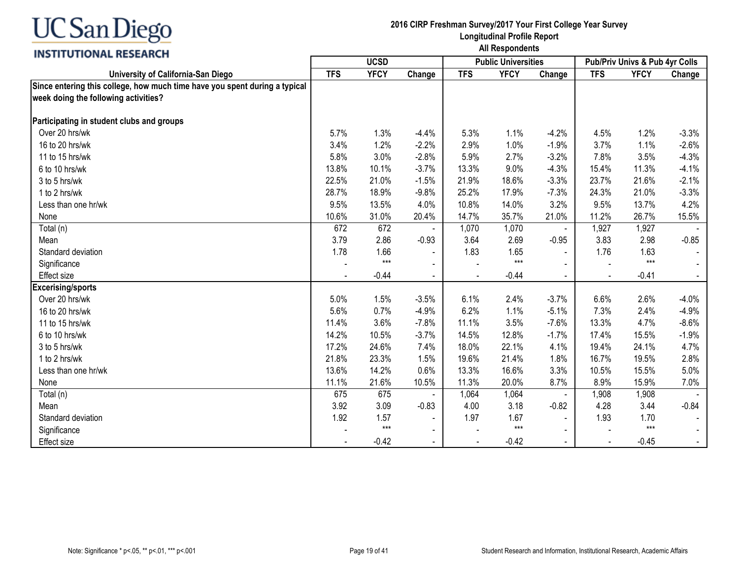### **INSTITUTIONAL RESEARCH**

|                                                                            |            | <b>UCSD</b> |                |            | <b>Public Universities</b> |                |                | Pub/Priv Univs & Pub 4yr Colls |         |
|----------------------------------------------------------------------------|------------|-------------|----------------|------------|----------------------------|----------------|----------------|--------------------------------|---------|
| University of California-San Diego                                         | <b>TFS</b> | <b>YFCY</b> | Change         | <b>TFS</b> | <b>YFCY</b>                | Change         | <b>TFS</b>     | <b>YFCY</b>                    | Change  |
| Since entering this college, how much time have you spent during a typical |            |             |                |            |                            |                |                |                                |         |
| week doing the following activities?                                       |            |             |                |            |                            |                |                |                                |         |
| Participating in student clubs and groups                                  |            |             |                |            |                            |                |                |                                |         |
| Over 20 hrs/wk                                                             | 5.7%       | 1.3%        | $-4.4%$        | 5.3%       | 1.1%                       | $-4.2%$        | 4.5%           | 1.2%                           | $-3.3%$ |
| 16 to 20 hrs/wk                                                            | 3.4%       | 1.2%        | $-2.2%$        | 2.9%       | 1.0%                       | $-1.9%$        | 3.7%           | 1.1%                           | $-2.6%$ |
| 11 to 15 hrs/wk                                                            | 5.8%       | 3.0%        | $-2.8%$        | 5.9%       | 2.7%                       | $-3.2%$        | 7.8%           | 3.5%                           | $-4.3%$ |
| 6 to 10 hrs/wk                                                             | 13.8%      | 10.1%       | $-3.7%$        | 13.3%      | 9.0%                       | $-4.3%$        | 15.4%          | 11.3%                          | $-4.1%$ |
| 3 to 5 hrs/wk                                                              | 22.5%      | 21.0%       | $-1.5%$        | 21.9%      | 18.6%                      | $-3.3%$        | 23.7%          | 21.6%                          | $-2.1%$ |
| 1 to 2 hrs/wk                                                              | 28.7%      | 18.9%       | $-9.8%$        | 25.2%      | 17.9%                      | $-7.3%$        | 24.3%          | 21.0%                          | $-3.3%$ |
| Less than one hr/wk                                                        | 9.5%       | 13.5%       | 4.0%           | 10.8%      | 14.0%                      | 3.2%           | 9.5%           | 13.7%                          | 4.2%    |
| None                                                                       | 10.6%      | 31.0%       | 20.4%          | 14.7%      | 35.7%                      | 21.0%          | 11.2%          | 26.7%                          | 15.5%   |
| Total (n)                                                                  | 672        | 672         |                | 1,070      | 1,070                      | $\blacksquare$ | 1,927          | 1,927                          |         |
| Mean                                                                       | 3.79       | 2.86        | $-0.93$        | 3.64       | 2.69                       | $-0.95$        | 3.83           | 2.98                           | $-0.85$ |
| Standard deviation                                                         | 1.78       | 1.66        |                | 1.83       | 1.65                       |                | 1.76           | 1.63                           |         |
| Significance                                                               |            | $***$       |                |            | $***$                      |                |                | $***$                          |         |
| <b>Effect size</b>                                                         |            | $-0.44$     |                |            | $-0.44$                    |                | $\blacksquare$ | $-0.41$                        |         |
| <b>Excerising/sports</b>                                                   |            |             |                |            |                            |                |                |                                |         |
| Over 20 hrs/wk                                                             | 5.0%       | 1.5%        | $-3.5%$        | 6.1%       | 2.4%                       | $-3.7%$        | 6.6%           | 2.6%                           | $-4.0%$ |
| 16 to 20 hrs/wk                                                            | 5.6%       | 0.7%        | $-4.9%$        | 6.2%       | 1.1%                       | $-5.1%$        | 7.3%           | 2.4%                           | $-4.9%$ |
| 11 to 15 hrs/wk                                                            | 11.4%      | 3.6%        | $-7.8%$        | 11.1%      | 3.5%                       | $-7.6%$        | 13.3%          | 4.7%                           | $-8.6%$ |
| 6 to 10 hrs/wk                                                             | 14.2%      | 10.5%       | $-3.7%$        | 14.5%      | 12.8%                      | $-1.7%$        | 17.4%          | 15.5%                          | $-1.9%$ |
| 3 to 5 hrs/wk                                                              | 17.2%      | 24.6%       | 7.4%           | 18.0%      | 22.1%                      | 4.1%           | 19.4%          | 24.1%                          | 4.7%    |
| 1 to 2 hrs/wk                                                              | 21.8%      | 23.3%       | 1.5%           | 19.6%      | 21.4%                      | 1.8%           | 16.7%          | 19.5%                          | 2.8%    |
| Less than one hr/wk                                                        | 13.6%      | 14.2%       | 0.6%           | 13.3%      | 16.6%                      | 3.3%           | 10.5%          | 15.5%                          | 5.0%    |
| None                                                                       | 11.1%      | 21.6%       | 10.5%          | 11.3%      | 20.0%                      | 8.7%           | 8.9%           | 15.9%                          | 7.0%    |
| Total (n)                                                                  | 675        | 675         |                | 1,064      | 1,064                      |                | 1,908          | 1,908                          |         |
| Mean                                                                       | 3.92       | 3.09        | $-0.83$        | 4.00       | 3.18                       | $-0.82$        | 4.28           | 3.44                           | $-0.84$ |
| Standard deviation                                                         | 1.92       | 1.57        |                | 1.97       | 1.67                       |                | 1.93           | 1.70                           |         |
| Significance                                                               |            | $***$       | $\blacksquare$ |            | $***$                      |                |                | $***$                          |         |
| <b>Effect size</b>                                                         |            | $-0.42$     | $\sim$         |            | $-0.42$                    | $\sim$         | $\blacksquare$ | $-0.45$                        |         |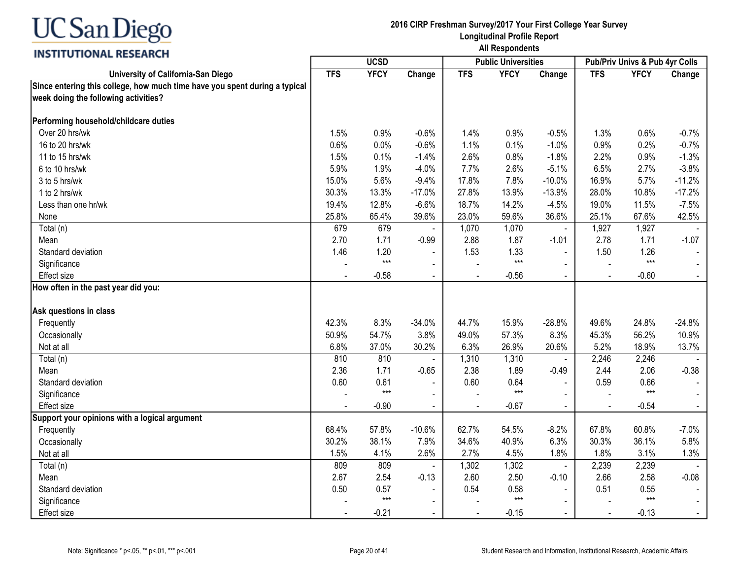## **INSTITUTIONAL RESEARCH**

|                                                                                                                    | <b>UCSD</b> |             |                |                | <b>Public Universities</b> |                | Pub/Priv Univs & Pub 4yr Colls |             |          |
|--------------------------------------------------------------------------------------------------------------------|-------------|-------------|----------------|----------------|----------------------------|----------------|--------------------------------|-------------|----------|
| University of California-San Diego                                                                                 | <b>TFS</b>  | <b>YFCY</b> | Change         | <b>TFS</b>     | <b>YFCY</b>                | Change         | <b>TFS</b>                     | <b>YFCY</b> | Change   |
| Since entering this college, how much time have you spent during a typical<br>week doing the following activities? |             |             |                |                |                            |                |                                |             |          |
| Performing household/childcare duties                                                                              |             |             |                |                |                            |                |                                |             |          |
| Over 20 hrs/wk                                                                                                     | 1.5%        | 0.9%        | $-0.6%$        | 1.4%           | 0.9%                       | $-0.5%$        | 1.3%                           | 0.6%        | $-0.7%$  |
| 16 to 20 hrs/wk                                                                                                    | 0.6%        | 0.0%        | $-0.6%$        | 1.1%           | 0.1%                       | $-1.0%$        | 0.9%                           | 0.2%        | $-0.7%$  |
| 11 to 15 hrs/wk                                                                                                    | 1.5%        | 0.1%        | $-1.4%$        | 2.6%           | 0.8%                       | $-1.8%$        | 2.2%                           | 0.9%        | $-1.3%$  |
| 6 to 10 hrs/wk                                                                                                     | 5.9%        | 1.9%        | $-4.0%$        | 7.7%           | 2.6%                       | $-5.1%$        | 6.5%                           | 2.7%        | $-3.8%$  |
| 3 to 5 hrs/wk                                                                                                      | 15.0%       | 5.6%        | $-9.4%$        | 17.8%          | 7.8%                       | $-10.0%$       | 16.9%                          | 5.7%        | $-11.2%$ |
| 1 to 2 hrs/wk                                                                                                      | 30.3%       | 13.3%       | $-17.0%$       | 27.8%          | 13.9%                      | $-13.9%$       | 28.0%                          | 10.8%       | $-17.2%$ |
| Less than one hr/wk                                                                                                | 19.4%       | 12.8%       | $-6.6%$        | 18.7%          | 14.2%                      | $-4.5%$        | 19.0%                          | 11.5%       | $-7.5%$  |
| None                                                                                                               | 25.8%       | 65.4%       | 39.6%          | 23.0%          | 59.6%                      | 36.6%          | 25.1%                          | 67.6%       | 42.5%    |
| Total (n)                                                                                                          | 679         | 679         |                | 1,070          | 1,070                      |                | 1,927                          | 1,927       |          |
| Mean                                                                                                               | 2.70        | 1.71        | $-0.99$        | 2.88           | 1.87                       | $-1.01$        | 2.78                           | 1.71        | $-1.07$  |
| Standard deviation                                                                                                 | 1.46        | 1.20        | $\blacksquare$ | 1.53           | 1.33                       | $\Delta$       | 1.50                           | 1.26        |          |
| Significance                                                                                                       |             | $***$       | $\blacksquare$ |                | $***$                      |                |                                | $***$       |          |
| <b>Effect size</b>                                                                                                 |             | $-0.58$     | $\blacksquare$ |                | $-0.56$                    |                |                                | $-0.60$     |          |
| How often in the past year did you:                                                                                |             |             |                |                |                            |                |                                |             |          |
| Ask questions in class                                                                                             |             |             |                |                |                            |                |                                |             |          |
| Frequently                                                                                                         | 42.3%       | 8.3%        | $-34.0%$       | 44.7%          | 15.9%                      | $-28.8%$       | 49.6%                          | 24.8%       | $-24.8%$ |
| Occasionally                                                                                                       | 50.9%       | 54.7%       | 3.8%           | 49.0%          | 57.3%                      | 8.3%           | 45.3%                          | 56.2%       | 10.9%    |
| Not at all                                                                                                         | 6.8%        | 37.0%       | 30.2%          | 6.3%           | 26.9%                      | 20.6%          | 5.2%                           | 18.9%       | 13.7%    |
| Total (n)                                                                                                          | 810         | 810         |                | 1,310          | 1,310                      | $\blacksquare$ | 2,246                          | 2,246       |          |
| Mean                                                                                                               | 2.36        | 1.71        | $-0.65$        | 2.38           | 1.89                       | $-0.49$        | 2.44                           | 2.06        | $-0.38$  |
| Standard deviation                                                                                                 | 0.60        | 0.61        | $\blacksquare$ | 0.60           | 0.64                       | $\sim$         | 0.59                           | 0.66        |          |
| Significance                                                                                                       |             | $***$       | $\blacksquare$ |                | $***$                      |                |                                | $***$       |          |
| Effect size                                                                                                        |             | $-0.90$     | $\blacksquare$ |                | $-0.67$                    |                | $\overline{a}$                 | $-0.54$     |          |
| Support your opinions with a logical argument                                                                      |             |             |                |                |                            |                |                                |             |          |
| Frequently                                                                                                         | 68.4%       | 57.8%       | $-10.6%$       | 62.7%          | 54.5%                      | $-8.2%$        | 67.8%                          | 60.8%       | $-7.0%$  |
| Occasionally                                                                                                       | 30.2%       | 38.1%       | 7.9%           | 34.6%          | 40.9%                      | 6.3%           | 30.3%                          | 36.1%       | 5.8%     |
| Not at all                                                                                                         | 1.5%        | 4.1%        | 2.6%           | 2.7%           | 4.5%                       | 1.8%           | 1.8%                           | 3.1%        | 1.3%     |
| Total (n)                                                                                                          | 809         | 809         |                | 1,302          | 1,302                      | $\blacksquare$ | 2,239                          | 2,239       |          |
| Mean                                                                                                               | 2.67        | 2.54        | $-0.13$        | 2.60           | 2.50                       | $-0.10$        | 2.66                           | 2.58        | $-0.08$  |
| Standard deviation                                                                                                 | 0.50        | 0.57        |                | 0.54           | 0.58                       |                | 0.51                           | 0.55        |          |
| Significance                                                                                                       |             | $***$       | $\blacksquare$ |                | $***$                      | $\sim$         |                                | $***$       |          |
| Effect size                                                                                                        |             | $-0.21$     | $\sim$         | $\blacksquare$ | $-0.15$                    | $\blacksquare$ | $\blacksquare$                 | $-0.13$     |          |
|                                                                                                                    |             |             |                |                |                            |                |                                |             |          |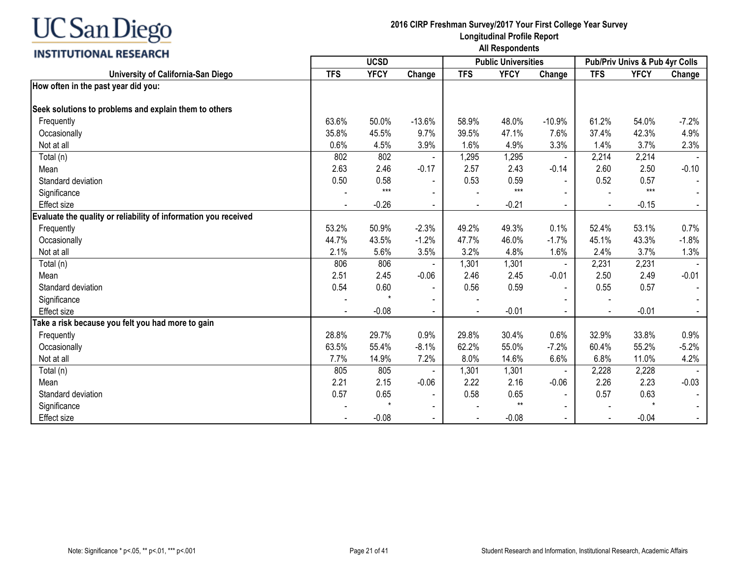## **INSTITUTIONAL RESEARCH**

|                                                                 | <b>UCSD</b> |             |                          |            | <b>Public Universities</b> |                | <b>Pub/Priv Univs &amp; Pub 4yr Colls</b> |             |         |
|-----------------------------------------------------------------|-------------|-------------|--------------------------|------------|----------------------------|----------------|-------------------------------------------|-------------|---------|
| University of California-San Diego                              | <b>TFS</b>  | <b>YFCY</b> | Change                   | <b>TFS</b> | <b>YFCY</b>                | Change         | <b>TFS</b>                                | <b>YFCY</b> | Change  |
| How often in the past year did you:                             |             |             |                          |            |                            |                |                                           |             |         |
|                                                                 |             |             |                          |            |                            |                |                                           |             |         |
| Seek solutions to problems and explain them to others           |             |             |                          |            |                            |                |                                           |             |         |
| Frequently                                                      | 63.6%       | 50.0%       | $-13.6%$                 | 58.9%      | 48.0%                      | $-10.9%$       | 61.2%                                     | 54.0%       | $-7.2%$ |
| Occasionally                                                    | 35.8%       | 45.5%       | 9.7%                     | 39.5%      | 47.1%                      | 7.6%           | 37.4%                                     | 42.3%       | 4.9%    |
| Not at all                                                      | 0.6%        | 4.5%        | 3.9%                     | 1.6%       | 4.9%                       | 3.3%           | 1.4%                                      | 3.7%        | 2.3%    |
| Total (n)                                                       | 802         | 802         |                          | 1,295      | 1,295                      | $\blacksquare$ | 2,214                                     | 2,214       |         |
| Mean                                                            | 2.63        | 2.46        | $-0.17$                  | 2.57       | 2.43                       | $-0.14$        | 2.60                                      | 2.50        | $-0.10$ |
| Standard deviation                                              | 0.50        | 0.58        |                          | 0.53       | 0.59                       |                | 0.52                                      | 0.57        |         |
| Significance                                                    |             | $***$       |                          |            | $***$                      |                |                                           | $***$       |         |
| <b>Effect size</b>                                              |             | $-0.26$     | $\overline{\phantom{0}}$ |            | $-0.21$                    |                | $\overline{\phantom{a}}$                  | $-0.15$     |         |
| Evaluate the quality or reliability of information you received |             |             |                          |            |                            |                |                                           |             |         |
| Frequently                                                      | 53.2%       | 50.9%       | $-2.3%$                  | 49.2%      | 49.3%                      | 0.1%           | 52.4%                                     | 53.1%       | 0.7%    |
| Occasionally                                                    | 44.7%       | 43.5%       | $-1.2%$                  | 47.7%      | 46.0%                      | $-1.7%$        | 45.1%                                     | 43.3%       | $-1.8%$ |
| Not at all                                                      | 2.1%        | 5.6%        | 3.5%                     | 3.2%       | 4.8%                       | 1.6%           | 2.4%                                      | 3.7%        | 1.3%    |
| Total (n)                                                       | 806         | 806         |                          | 1,301      | 1,301                      |                | 2,231                                     | 2,231       |         |
| Mean                                                            | 2.51        | 2.45        | $-0.06$                  | 2.46       | 2.45                       | $-0.01$        | 2.50                                      | 2.49        | $-0.01$ |
| Standard deviation                                              | 0.54        | 0.60        |                          | 0.56       | 0.59                       | $\blacksquare$ | 0.55                                      | 0.57        |         |
| Significance                                                    |             |             |                          |            |                            |                |                                           |             |         |
| <b>Effect size</b>                                              |             | $-0.08$     |                          |            | $-0.01$                    |                |                                           | $-0.01$     | $\sim$  |
| Take a risk because you felt you had more to gain               |             |             |                          |            |                            |                |                                           |             |         |
| Frequently                                                      | 28.8%       | 29.7%       | 0.9%                     | 29.8%      | 30.4%                      | 0.6%           | 32.9%                                     | 33.8%       | 0.9%    |
| Occasionally                                                    | 63.5%       | 55.4%       | $-8.1%$                  | 62.2%      | 55.0%                      | $-7.2%$        | 60.4%                                     | 55.2%       | $-5.2%$ |
| Not at all                                                      | 7.7%        | 14.9%       | 7.2%                     | 8.0%       | 14.6%                      | 6.6%           | 6.8%                                      | 11.0%       | 4.2%    |
| Total (n)                                                       | 805         | 805         |                          | 1,301      | 1,301                      |                | 2,228                                     | 2,228       |         |
| Mean                                                            | 2.21        | 2.15        | $-0.06$                  | 2.22       | 2.16                       | $-0.06$        | 2.26                                      | 2.23        | $-0.03$ |
| Standard deviation                                              | 0.57        | 0.65        | $\overline{\phantom{a}}$ | 0.58       | 0.65                       | $\blacksquare$ | 0.57                                      | 0.63        |         |
| Significance                                                    |             |             |                          |            | $***$                      |                |                                           |             |         |
| <b>Effect size</b>                                              |             | $-0.08$     |                          |            | $-0.08$                    |                |                                           | $-0.04$     |         |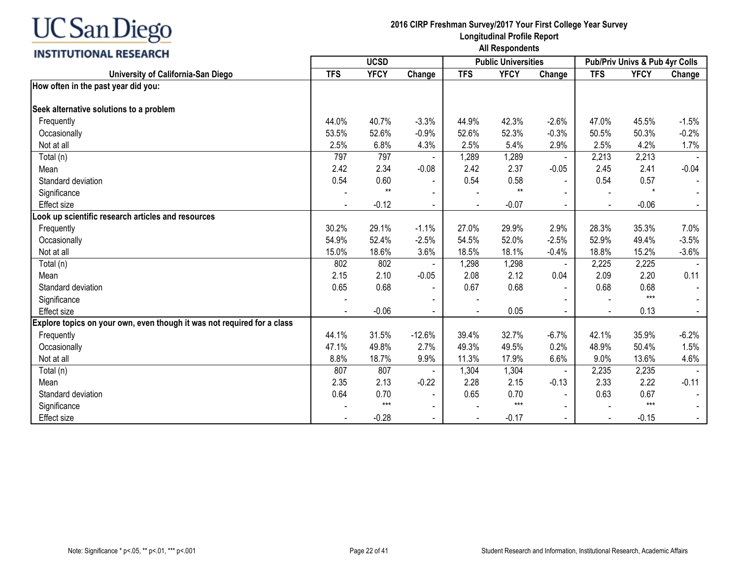## **INSTITUTIONAL RESEARCH**

| <b>INSTRUCTIONAL BESEARCH</b>                                           | <b>UCSD</b> |             |                          |            | <b>Public Universities</b> |                          | Pub/Priv Univs & Pub 4yr Colls |             |         |
|-------------------------------------------------------------------------|-------------|-------------|--------------------------|------------|----------------------------|--------------------------|--------------------------------|-------------|---------|
| University of California-San Diego                                      | <b>TFS</b>  | <b>YFCY</b> | Change                   | <b>TFS</b> | <b>YFCY</b>                | Change                   | <b>TFS</b>                     | <b>YFCY</b> | Change  |
| How often in the past year did you:                                     |             |             |                          |            |                            |                          |                                |             |         |
| Seek alternative solutions to a problem                                 |             |             |                          |            |                            |                          |                                |             |         |
| Frequently                                                              | 44.0%       | 40.7%       | $-3.3%$                  | 44.9%      | 42.3%                      | $-2.6%$                  | 47.0%                          | 45.5%       | $-1.5%$ |
| Occasionally                                                            | 53.5%       | 52.6%       | $-0.9%$                  | 52.6%      | 52.3%                      | $-0.3%$                  | 50.5%                          | 50.3%       | $-0.2%$ |
| Not at all                                                              | 2.5%        | 6.8%        | 4.3%                     | 2.5%       | 5.4%                       | 2.9%                     | 2.5%                           | 4.2%        | 1.7%    |
| Total (n)                                                               | 797         | 797         | $\blacksquare$           | 1,289      | 1,289                      | $\blacksquare$           | 2,213                          | 2,213       |         |
| Mean                                                                    | 2.42        | 2.34        | $-0.08$                  | 2.42       | 2.37                       | $-0.05$                  | 2.45                           | 2.41        | $-0.04$ |
| Standard deviation                                                      | 0.54        | 0.60        | $\blacksquare$           | 0.54       | 0.58                       |                          | 0.54                           | 0.57        |         |
| Significance                                                            |             | $**$        |                          |            | $**$                       |                          |                                | $\star$     |         |
| Effect size                                                             |             | $-0.12$     |                          |            | $-0.07$                    |                          | $\blacksquare$                 | $-0.06$     |         |
| Look up scientific research articles and resources                      |             |             |                          |            |                            |                          |                                |             |         |
| Frequently                                                              | 30.2%       | 29.1%       | $-1.1%$                  | 27.0%      | 29.9%                      | 2.9%                     | 28.3%                          | 35.3%       | 7.0%    |
| Occasionally                                                            | 54.9%       | 52.4%       | $-2.5%$                  | 54.5%      | 52.0%                      | $-2.5%$                  | 52.9%                          | 49.4%       | $-3.5%$ |
| Not at all                                                              | 15.0%       | 18.6%       | 3.6%                     | 18.5%      | 18.1%                      | $-0.4%$                  | 18.8%                          | 15.2%       | $-3.6%$ |
| Total (n)                                                               | 802         | 802         |                          | 1,298      | 1,298                      | $\overline{\phantom{a}}$ | 2,225                          | 2,225       |         |
| Mean                                                                    | 2.15        | 2.10        | $-0.05$                  | 2.08       | 2.12                       | 0.04                     | 2.09                           | 2.20        | 0.11    |
| Standard deviation                                                      | 0.65        | 0.68        | $\overline{\phantom{a}}$ | 0.67       | 0.68                       |                          | 0.68                           | 0.68        |         |
| Significance                                                            |             |             |                          |            |                            |                          |                                | $***$       |         |
| <b>Effect size</b>                                                      |             | $-0.06$     |                          |            | 0.05                       |                          |                                | 0.13        |         |
| Explore topics on your own, even though it was not required for a class |             |             |                          |            |                            |                          |                                |             |         |
| Frequently                                                              | 44.1%       | 31.5%       | $-12.6%$                 | 39.4%      | 32.7%                      | $-6.7%$                  | 42.1%                          | 35.9%       | $-6.2%$ |
| Occasionally                                                            | 47.1%       | 49.8%       | 2.7%                     | 49.3%      | 49.5%                      | 0.2%                     | 48.9%                          | 50.4%       | 1.5%    |
| Not at all                                                              | 8.8%        | 18.7%       | 9.9%                     | 11.3%      | 17.9%                      | 6.6%                     | 9.0%                           | 13.6%       | 4.6%    |
| Total (n)                                                               | 807         | 807         |                          | 1,304      | 1,304                      | $\sim$                   | 2,235                          | 2,235       |         |
| Mean                                                                    | 2.35        | 2.13        | $-0.22$                  | 2.28       | 2.15                       | $-0.13$                  | 2.33                           | 2.22        | $-0.11$ |
| Standard deviation                                                      | 0.64        | 0.70        | $\overline{\phantom{a}}$ | 0.65       | 0.70                       |                          | 0.63                           | 0.67        |         |
| Significance                                                            |             | $***$       | $\blacksquare$           |            | $***$                      |                          |                                | $***$       |         |
| <b>Effect size</b>                                                      |             | $-0.28$     |                          |            | $-0.17$                    |                          |                                | $-0.15$     |         |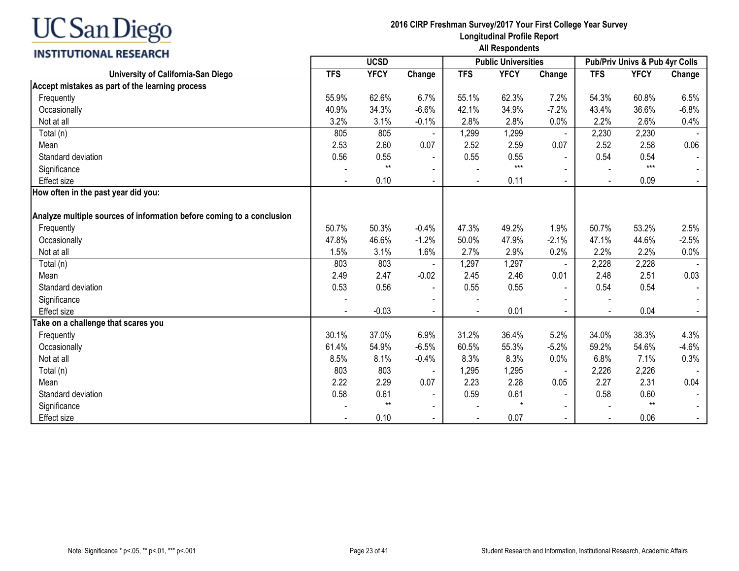| <b>INSTITUTIONAL RESEARCH</b>                                         | All Respondents                           |             |                |                |             |                |                |                                |         |  |  |
|-----------------------------------------------------------------------|-------------------------------------------|-------------|----------------|----------------|-------------|----------------|----------------|--------------------------------|---------|--|--|
|                                                                       | <b>UCSD</b><br><b>Public Universities</b> |             |                |                |             |                |                | Pub/Priv Univs & Pub 4yr Colls |         |  |  |
| University of California-San Diego                                    | <b>TFS</b>                                | <b>YFCY</b> | Change         | <b>TFS</b>     | <b>YFCY</b> | Change         | <b>TFS</b>     | <b>YFCY</b>                    | Change  |  |  |
| Accept mistakes as part of the learning process                       |                                           |             |                |                |             |                |                |                                |         |  |  |
| Frequently                                                            | 55.9%                                     | 62.6%       | 6.7%           | 55.1%          | 62.3%       | 7.2%           | 54.3%          | 60.8%                          | 6.5%    |  |  |
| Occasionally                                                          | 40.9%                                     | 34.3%       | $-6.6%$        | 42.1%          | 34.9%       | $-7.2%$        | 43.4%          | 36.6%                          | $-6.8%$ |  |  |
| Not at all                                                            | 3.2%                                      | 3.1%        | $-0.1%$        | 2.8%           | 2.8%        | 0.0%           | 2.2%           | 2.6%                           | 0.4%    |  |  |
| Total (n)                                                             | 805                                       | 805         |                | 1,299          | 1,299       |                | 2,230          | 2,230                          |         |  |  |
| Mean                                                                  | 2.53                                      | 2.60        | 0.07           | 2.52           | 2.59        | 0.07           | 2.52           | 2.58                           | 0.06    |  |  |
| Standard deviation                                                    | 0.56                                      | 0.55        |                | 0.55           | 0.55        |                | 0.54           | 0.54                           |         |  |  |
| Significance                                                          |                                           | $**$        |                |                | $***$       |                |                | $***$                          |         |  |  |
| <b>Effect size</b>                                                    |                                           | 0.10        | $\blacksquare$ |                | 0.11        | $\sim$         | $\blacksquare$ | 0.09                           |         |  |  |
| How often in the past year did you:                                   |                                           |             |                |                |             |                |                |                                |         |  |  |
|                                                                       |                                           |             |                |                |             |                |                |                                |         |  |  |
| Analyze multiple sources of information before coming to a conclusion |                                           |             |                |                |             |                |                |                                |         |  |  |
| Frequently                                                            | 50.7%                                     | 50.3%       | $-0.4%$        | 47.3%          | 49.2%       | 1.9%           | 50.7%          | 53.2%                          | 2.5%    |  |  |
| Occasionally                                                          | 47.8%                                     | 46.6%       | $-1.2%$        | 50.0%          | 47.9%       | $-2.1%$        | 47.1%          | 44.6%                          | $-2.5%$ |  |  |
| Not at all                                                            | 1.5%                                      | 3.1%        | 1.6%           | 2.7%           | 2.9%        | 0.2%           | 2.2%           | 2.2%                           | 0.0%    |  |  |
| Total (n)                                                             | 803                                       | 803         |                | 1,297          | 1,297       |                | 2,228          | 2,228                          |         |  |  |
| Mean                                                                  | 2.49                                      | 2.47        | $-0.02$        | 2.45           | 2.46        | 0.01           | 2.48           | 2.51                           | 0.03    |  |  |
| Standard deviation                                                    | 0.53                                      | 0.56        | $\blacksquare$ | 0.55           | 0.55        |                | 0.54           | 0.54                           |         |  |  |
| Significance                                                          |                                           |             |                |                |             |                |                |                                |         |  |  |
| <b>Effect size</b>                                                    |                                           | $-0.03$     | $\sim$         | $\overline{a}$ | 0.01        | $\mathbf{r}$   | $\blacksquare$ | 0.04                           |         |  |  |
| Take on a challenge that scares you                                   |                                           |             |                |                |             |                |                |                                |         |  |  |
| Frequently                                                            | 30.1%                                     | 37.0%       | 6.9%           | 31.2%          | 36.4%       | 5.2%           | 34.0%          | 38.3%                          | 4.3%    |  |  |
| Occasionally                                                          | 61.4%                                     | 54.9%       | $-6.5%$        | 60.5%          | 55.3%       | $-5.2%$        | 59.2%          | 54.6%                          | $-4.6%$ |  |  |
| Not at all                                                            | 8.5%                                      | 8.1%        | $-0.4%$        | 8.3%           | 8.3%        | 0.0%           | 6.8%           | 7.1%                           | 0.3%    |  |  |
| Total (n)                                                             | 803                                       | 803         |                | 1,295          | 1,295       | $\blacksquare$ | 2,226          | 2,226                          |         |  |  |
| Mean                                                                  | 2.22                                      | 2.29        | 0.07           | 2.23           | 2.28        | 0.05           | 2.27           | 2.31                           | 0.04    |  |  |
| Standard deviation                                                    | 0.58                                      | 0.61        | $\blacksquare$ | 0.59           | 0.61        |                | 0.58           | 0.60                           |         |  |  |
| Significance                                                          |                                           | $**$        | $\blacksquare$ |                | $\star$     |                |                | $**$                           |         |  |  |
| Effect size                                                           |                                           | 0.10        |                |                | 0.07        |                |                | 0.06                           |         |  |  |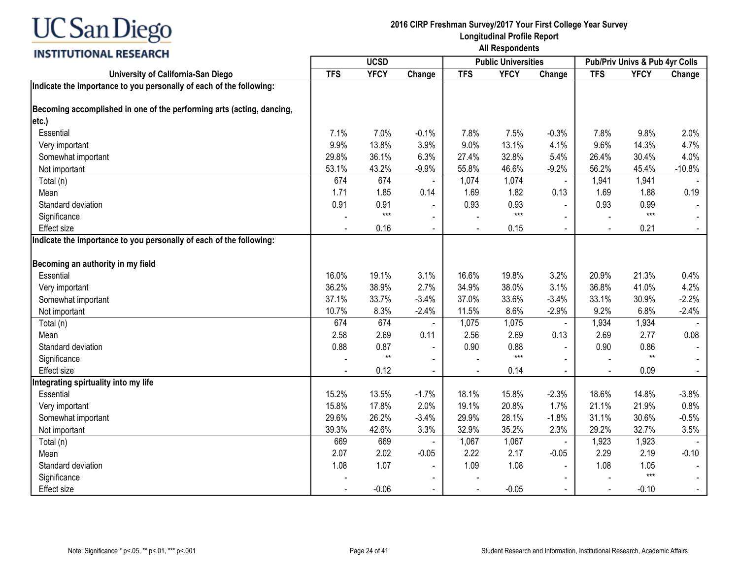

| <u>,,,,,,,,,,,,,,,,,,,,,,</u>                                         |            | <b>UCSD</b><br><b>Public Universities</b> |                          |            |             |                | Pub/Priv Univs & Pub 4yr Colls |             |          |  |
|-----------------------------------------------------------------------|------------|-------------------------------------------|--------------------------|------------|-------------|----------------|--------------------------------|-------------|----------|--|
| University of California-San Diego                                    | <b>TFS</b> | <b>YFCY</b>                               | Change                   | <b>TFS</b> | <b>YFCY</b> | Change         | <b>TFS</b>                     | <b>YFCY</b> | Change   |  |
| Indicate the importance to you personally of each of the following:   |            |                                           |                          |            |             |                |                                |             |          |  |
| Becoming accomplished in one of the performing arts (acting, dancing, |            |                                           |                          |            |             |                |                                |             |          |  |
| etc.)                                                                 |            |                                           |                          |            |             |                |                                |             |          |  |
| Essential                                                             | 7.1%       | 7.0%                                      | $-0.1%$                  | 7.8%       | 7.5%        | $-0.3%$        | 7.8%                           | 9.8%        | 2.0%     |  |
| Very important                                                        | 9.9%       | 13.8%                                     | 3.9%                     | 9.0%       | 13.1%       | 4.1%           | 9.6%                           | 14.3%       | 4.7%     |  |
| Somewhat important                                                    | 29.8%      | 36.1%                                     | 6.3%                     | 27.4%      | 32.8%       | 5.4%           | 26.4%                          | 30.4%       | 4.0%     |  |
| Not important                                                         | 53.1%      | 43.2%                                     | $-9.9%$                  | 55.8%      | 46.6%       | $-9.2%$        | 56.2%                          | 45.4%       | $-10.8%$ |  |
| Total (n)                                                             | 674        | 674                                       |                          | 1,074      | 1,074       | $\blacksquare$ | 1,941                          | 1,941       |          |  |
| Mean                                                                  | 1.71       | 1.85                                      | 0.14                     | 1.69       | 1.82        | 0.13           | 1.69                           | 1.88        | 0.19     |  |
| Standard deviation                                                    | 0.91       | 0.91                                      |                          | 0.93       | 0.93        |                | 0.93                           | 0.99        |          |  |
| Significance                                                          |            | $***$                                     | $\blacksquare$           |            | $***$       |                |                                | $***$       |          |  |
| <b>Effect size</b>                                                    |            | 0.16                                      | $\blacksquare$           |            | 0.15        |                |                                | 0.21        |          |  |
| Indicate the importance to you personally of each of the following:   |            |                                           |                          |            |             |                |                                |             |          |  |
| Becoming an authority in my field                                     |            |                                           |                          |            |             |                |                                |             |          |  |
| Essential                                                             | 16.0%      | 19.1%                                     | 3.1%                     | 16.6%      | 19.8%       | 3.2%           | 20.9%                          | 21.3%       | 0.4%     |  |
| Very important                                                        | 36.2%      | 38.9%                                     | 2.7%                     | 34.9%      | 38.0%       | 3.1%           | 36.8%                          | 41.0%       | 4.2%     |  |
| Somewhat important                                                    | 37.1%      | 33.7%                                     | $-3.4%$                  | 37.0%      | 33.6%       | $-3.4%$        | 33.1%                          | 30.9%       | $-2.2%$  |  |
| Not important                                                         | 10.7%      | 8.3%                                      | $-2.4%$                  | 11.5%      | 8.6%        | $-2.9%$        | 9.2%                           | 6.8%        | $-2.4%$  |  |
| Total (n)                                                             | 674        | 674                                       |                          | 1,075      | 1,075       | $\blacksquare$ | 1,934                          | 1,934       |          |  |
| Mean                                                                  | 2.58       | 2.69                                      | 0.11                     | 2.56       | 2.69        | 0.13           | 2.69                           | 2.77        | 0.08     |  |
| Standard deviation                                                    | 0.88       | 0.87                                      | $\blacksquare$           | 0.90       | 0.88        | $\blacksquare$ | 0.90                           | 0.86        |          |  |
| Significance                                                          |            | $**$                                      | $\blacksquare$           |            | $***$       |                |                                | $**$        |          |  |
| <b>Effect size</b>                                                    |            | 0.12                                      | $\blacksquare$           |            | 0.14        | $\blacksquare$ |                                | 0.09        | $\sim$   |  |
| Integrating spirtuality into my life                                  |            |                                           |                          |            |             |                |                                |             |          |  |
| Essential                                                             | 15.2%      | 13.5%                                     | $-1.7%$                  | 18.1%      | 15.8%       | $-2.3%$        | 18.6%                          | 14.8%       | $-3.8%$  |  |
| Very important                                                        | 15.8%      | 17.8%                                     | 2.0%                     | 19.1%      | 20.8%       | 1.7%           | 21.1%                          | 21.9%       | 0.8%     |  |
| Somewhat important                                                    | 29.6%      | 26.2%                                     | $-3.4%$                  | 29.9%      | 28.1%       | $-1.8%$        | 31.1%                          | 30.6%       | $-0.5%$  |  |
| Not important                                                         | 39.3%      | 42.6%                                     | 3.3%                     | 32.9%      | 35.2%       | 2.3%           | 29.2%                          | 32.7%       | 3.5%     |  |
| Total (n)                                                             | 669        | 669                                       |                          | 1,067      | 1,067       | $\blacksquare$ | 1,923                          | 1,923       |          |  |
| Mean                                                                  | 2.07       | 2.02                                      | $-0.05$                  | 2.22       | 2.17        | $-0.05$        | 2.29                           | 2.19        | $-0.10$  |  |
| Standard deviation                                                    | 1.08       | 1.07                                      | $\overline{\phantom{a}}$ | 1.09       | 1.08        | $\overline{a}$ | 1.08                           | 1.05        |          |  |
| Significance                                                          |            |                                           | $\blacksquare$           |            |             | $\blacksquare$ |                                | $***$       |          |  |
| <b>Effect size</b>                                                    |            | $-0.06$                                   | $\blacksquare$           |            | $-0.05$     | $\blacksquare$ |                                | $-0.10$     | $\sim$   |  |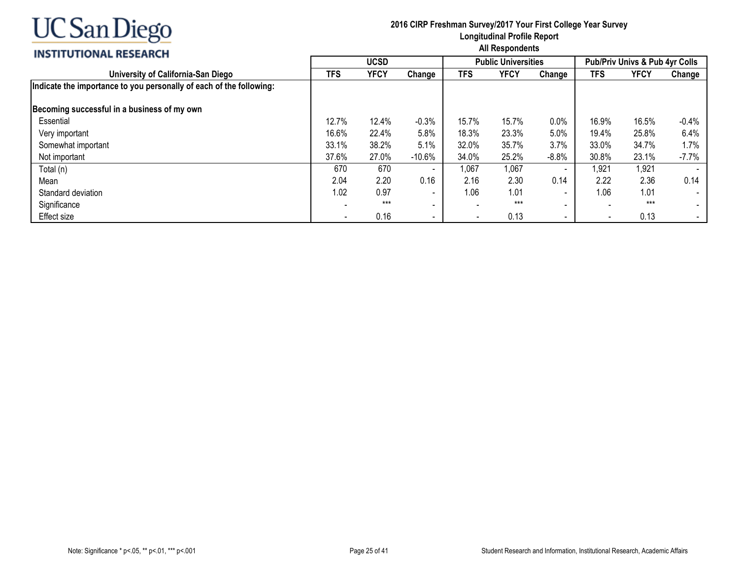

| <b>INSTITUTIONAL RESEARCH</b>                                       | All Respondents |             |                          |       |                            |                          |                                           |             |                          |  |
|---------------------------------------------------------------------|-----------------|-------------|--------------------------|-------|----------------------------|--------------------------|-------------------------------------------|-------------|--------------------------|--|
|                                                                     |                 | <b>UCSD</b> |                          |       | <b>Public Universities</b> |                          | <b>Pub/Priv Univs &amp; Pub 4vr Colls</b> |             |                          |  |
| University of California-San Diego                                  | <b>TFS</b>      | <b>YFCY</b> | Change                   | TFS   | <b>YFCY</b>                | Change                   | <b>TFS</b>                                | <b>YFCY</b> | Change                   |  |
| Indicate the importance to you personally of each of the following: |                 |             |                          |       |                            |                          |                                           |             |                          |  |
| Becoming successful in a business of my own                         |                 |             |                          |       |                            |                          |                                           |             |                          |  |
| Essential                                                           | 12.7%           | 12.4%       | $-0.3%$                  | 15.7% | 15.7%                      | 0.0%                     | 16.9%                                     | 16.5%       | $-0.4\%$                 |  |
| Very important                                                      | 16.6%           | 22.4%       | 5.8%                     | 18.3% | 23.3%                      | 5.0%                     | 19.4%                                     | 25.8%       | 6.4%                     |  |
| Somewhat important                                                  | 33.1%           | 38.2%       | 5.1%                     | 32.0% | 35.7%                      | 3.7%                     | 33.0%                                     | 34.7%       | 1.7%                     |  |
| Not important                                                       | 37.6%           | 27.0%       | $-10.6%$                 | 34.0% | 25.2%                      | $-8.8%$                  | 30.8%                                     | 23.1%       | $-7.7%$                  |  |
| Total (n)                                                           | 670             | 670         |                          | 1,067 | 1,067                      | $\overline{\phantom{a}}$ | ,921                                      | 1,921       |                          |  |
| Mean                                                                | 2.04            | 2.20        | 0.16                     | 2.16  | 2.30                       | 0.14                     | 2.22                                      | 2.36        | 0.14                     |  |
| Standard deviation                                                  | 1.02            | 0.97        | $\sim$                   | 1.06  | 1.01                       | $\sim$                   | 1.06                                      | 1.01        | $\overline{\phantom{a}}$ |  |
| Significance                                                        |                 | $***$       | $\sim$                   |       | $***$                      | $\sim$                   |                                           | $***$       |                          |  |
| Effect size                                                         |                 | 0.16        | $\overline{\phantom{0}}$ |       | 0.13                       | $\sim$                   | $\overline{\phantom{a}}$                  | 0.13        |                          |  |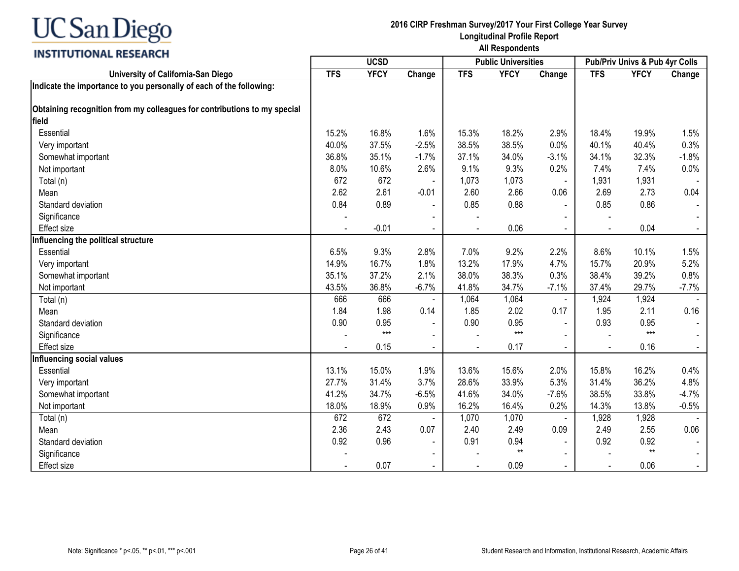

| <u>,,,,,,,,,,,,,,,,,,,,,,</u>                                            |                | <b>UCSD</b><br><b>Public Universities</b> |                          |                |             | Pub/Priv Univs & Pub 4yr Colls |            |             |                |
|--------------------------------------------------------------------------|----------------|-------------------------------------------|--------------------------|----------------|-------------|--------------------------------|------------|-------------|----------------|
| University of California-San Diego                                       | <b>TFS</b>     | <b>YFCY</b>                               | Change                   | <b>TFS</b>     | <b>YFCY</b> | Change                         | <b>TFS</b> | <b>YFCY</b> | Change         |
| Indicate the importance to you personally of each of the following:      |                |                                           |                          |                |             |                                |            |             |                |
| Obtaining recognition from my colleagues for contributions to my special |                |                                           |                          |                |             |                                |            |             |                |
| field                                                                    |                |                                           |                          |                |             |                                |            |             |                |
| Essential                                                                | 15.2%          | 16.8%                                     | 1.6%                     | 15.3%          | 18.2%       | 2.9%                           | 18.4%      | 19.9%       | 1.5%           |
| Very important                                                           | 40.0%          | 37.5%                                     | $-2.5%$                  | 38.5%          | 38.5%       | 0.0%                           | 40.1%      | 40.4%       | 0.3%           |
| Somewhat important                                                       | 36.8%          | 35.1%                                     | $-1.7%$                  | 37.1%          | 34.0%       | $-3.1%$                        | 34.1%      | 32.3%       | $-1.8%$        |
| Not important                                                            | 8.0%           | 10.6%                                     | 2.6%                     | 9.1%           | 9.3%        | 0.2%                           | 7.4%       | 7.4%        | 0.0%           |
| Total (n)                                                                | 672            | 672                                       | $\blacksquare$           | 1,073          | 1,073       | $\blacksquare$                 | 1,931      | 1,931       |                |
| Mean                                                                     | 2.62           | 2.61                                      | $-0.01$                  | 2.60           | 2.66        | 0.06                           | 2.69       | 2.73        | 0.04           |
| Standard deviation                                                       | 0.84           | 0.89                                      | $\blacksquare$           | 0.85           | 0.88        | $\blacksquare$                 | 0.85       | 0.86        |                |
| Significance                                                             |                |                                           |                          |                |             |                                |            |             |                |
| <b>Effect size</b>                                                       |                | $-0.01$                                   | $\blacksquare$           |                | 0.06        |                                |            | 0.04        |                |
| Influencing the political structure                                      |                |                                           |                          |                |             |                                |            |             |                |
| Essential                                                                | 6.5%           | 9.3%                                      | 2.8%                     | 7.0%           | 9.2%        | 2.2%                           | 8.6%       | 10.1%       | 1.5%           |
| Very important                                                           | 14.9%          | 16.7%                                     | 1.8%                     | 13.2%          | 17.9%       | 4.7%                           | 15.7%      | 20.9%       | 5.2%           |
| Somewhat important                                                       | 35.1%          | 37.2%                                     | 2.1%                     | 38.0%          | 38.3%       | 0.3%                           | 38.4%      | 39.2%       | 0.8%           |
| Not important                                                            | 43.5%          | 36.8%                                     | $-6.7%$                  | 41.8%          | 34.7%       | $-7.1%$                        | 37.4%      | 29.7%       | $-7.7%$        |
| Total (n)                                                                | 666            | 666                                       |                          | 1,064          | 1,064       | $\blacksquare$                 | 1,924      | 1,924       |                |
| Mean                                                                     | 1.84           | 1.98                                      | 0.14                     | 1.85           | 2.02        | 0.17                           | 1.95       | 2.11        | 0.16           |
| Standard deviation                                                       | 0.90           | 0.95                                      | $\blacksquare$           | 0.90           | 0.95        | $\sim$                         | 0.93       | 0.95        |                |
| Significance                                                             |                | $***$                                     |                          |                | $***$       |                                |            | $***$       |                |
| <b>Effect size</b>                                                       | $\blacksquare$ | 0.15                                      | $\blacksquare$           | $\blacksquare$ | 0.17        | $\blacksquare$                 |            | 0.16        | $\blacksquare$ |
| Influencing social values                                                |                |                                           |                          |                |             |                                |            |             |                |
| Essential                                                                | 13.1%          | 15.0%                                     | 1.9%                     | 13.6%          | 15.6%       | 2.0%                           | 15.8%      | 16.2%       | 0.4%           |
| Very important                                                           | 27.7%          | 31.4%                                     | 3.7%                     | 28.6%          | 33.9%       | 5.3%                           | 31.4%      | 36.2%       | 4.8%           |
| Somewhat important                                                       | 41.2%          | 34.7%                                     | $-6.5%$                  | 41.6%          | 34.0%       | $-7.6%$                        | 38.5%      | 33.8%       | $-4.7%$        |
| Not important                                                            | 18.0%          | 18.9%                                     | 0.9%                     | 16.2%          | 16.4%       | 0.2%                           | 14.3%      | 13.8%       | $-0.5%$        |
| Total (n)                                                                | 672            | 672                                       |                          | 1,070          | 1,070       |                                | 1,928      | 1,928       |                |
| Mean                                                                     | 2.36           | 2.43                                      | 0.07                     | 2.40           | 2.49        | 0.09                           | 2.49       | 2.55        | 0.06           |
| Standard deviation                                                       | 0.92           | 0.96                                      | $\blacksquare$           | 0.91           | 0.94        | $\blacksquare$                 | 0.92       | 0.92        |                |
| Significance                                                             |                |                                           | $\overline{\phantom{a}}$ |                | $**$        |                                |            | $**$        |                |
| <b>Effect size</b>                                                       |                | 0.07                                      | $\blacksquare$           |                | 0.09        | $\blacksquare$                 |            | 0.06        |                |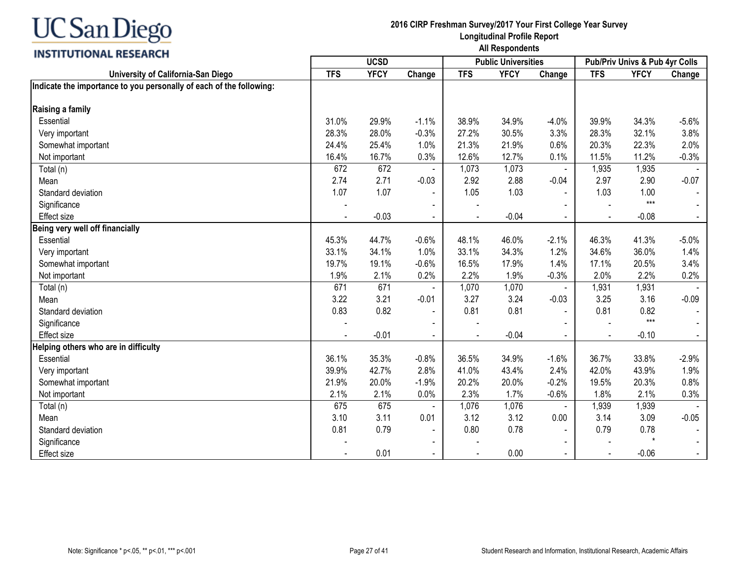

|                                                                     | <b>UCSD</b> |             |                          |            | <b>Public Universities</b> |                | Pub/Priv Univs & Pub 4yr Colls |             |         |
|---------------------------------------------------------------------|-------------|-------------|--------------------------|------------|----------------------------|----------------|--------------------------------|-------------|---------|
| University of California-San Diego                                  | <b>TFS</b>  | <b>YFCY</b> | Change                   | <b>TFS</b> | <b>YFCY</b>                | Change         | <b>TFS</b>                     | <b>YFCY</b> | Change  |
| Indicate the importance to you personally of each of the following: |             |             |                          |            |                            |                |                                |             |         |
| Raising a family                                                    |             |             |                          |            |                            |                |                                |             |         |
| Essential                                                           | 31.0%       | 29.9%       | $-1.1%$                  | 38.9%      | 34.9%                      | $-4.0%$        | 39.9%                          | 34.3%       | $-5.6%$ |
| Very important                                                      | 28.3%       | 28.0%       | $-0.3%$                  | 27.2%      | 30.5%                      | 3.3%           | 28.3%                          | 32.1%       | 3.8%    |
| Somewhat important                                                  | 24.4%       | 25.4%       | 1.0%                     | 21.3%      | 21.9%                      | 0.6%           | 20.3%                          | 22.3%       | 2.0%    |
| Not important                                                       | 16.4%       | 16.7%       | 0.3%                     | 12.6%      | 12.7%                      | 0.1%           | 11.5%                          | 11.2%       | $-0.3%$ |
| Total (n)                                                           | 672         | 672         |                          | 1,073      | 1,073                      | $\blacksquare$ | 1,935                          | 1,935       |         |
| Mean                                                                | 2.74        | 2.71        | $-0.03$                  | 2.92       | 2.88                       | $-0.04$        | 2.97                           | 2.90        | $-0.07$ |
| Standard deviation                                                  | 1.07        | 1.07        |                          | 1.05       | 1.03                       |                | 1.03                           | 1.00        |         |
| Significance                                                        |             |             |                          |            |                            |                |                                | $***$       |         |
| <b>Effect size</b>                                                  |             | $-0.03$     | $\blacksquare$           |            | $-0.04$                    | $\sim$         |                                | $-0.08$     | $\sim$  |
| Being very well off financially                                     |             |             |                          |            |                            |                |                                |             |         |
| Essential                                                           | 45.3%       | 44.7%       | $-0.6%$                  | 48.1%      | 46.0%                      | $-2.1%$        | 46.3%                          | 41.3%       | $-5.0%$ |
| Very important                                                      | 33.1%       | 34.1%       | 1.0%                     | 33.1%      | 34.3%                      | 1.2%           | 34.6%                          | 36.0%       | 1.4%    |
| Somewhat important                                                  | 19.7%       | 19.1%       | $-0.6%$                  | 16.5%      | 17.9%                      | 1.4%           | 17.1%                          | 20.5%       | 3.4%    |
| Not important                                                       | 1.9%        | 2.1%        | 0.2%                     | 2.2%       | 1.9%                       | $-0.3%$        | 2.0%                           | 2.2%        | 0.2%    |
| Total (n)                                                           | 671         | 671         |                          | 1,070      | 1,070                      | $\blacksquare$ | 1,931                          | 1,931       |         |
| Mean                                                                | 3.22        | 3.21        | $-0.01$                  | 3.27       | 3.24                       | $-0.03$        | 3.25                           | 3.16        | $-0.09$ |
| Standard deviation                                                  | 0.83        | 0.82        |                          | 0.81       | 0.81                       | $\sim$         | 0.81                           | 0.82        |         |
| Significance                                                        |             |             | $\blacksquare$           |            |                            |                |                                | $***$       |         |
| <b>Effect size</b>                                                  |             | $-0.01$     | $\blacksquare$           |            | $-0.04$                    | $\sim$         |                                | $-0.10$     | $\sim$  |
| Helping others who are in difficulty                                |             |             |                          |            |                            |                |                                |             |         |
| Essential                                                           | 36.1%       | 35.3%       | $-0.8%$                  | 36.5%      | 34.9%                      | $-1.6%$        | 36.7%                          | 33.8%       | $-2.9%$ |
| Very important                                                      | 39.9%       | 42.7%       | 2.8%                     | 41.0%      | 43.4%                      | 2.4%           | 42.0%                          | 43.9%       | 1.9%    |
| Somewhat important                                                  | 21.9%       | 20.0%       | $-1.9%$                  | 20.2%      | 20.0%                      | $-0.2%$        | 19.5%                          | 20.3%       | 0.8%    |
| Not important                                                       | 2.1%        | 2.1%        | 0.0%                     | 2.3%       | 1.7%                       | $-0.6%$        | 1.8%                           | 2.1%        | 0.3%    |
| Total (n)                                                           | 675         | 675         |                          | 1,076      | 1,076                      | $\blacksquare$ | 1,939                          | 1,939       |         |
| Mean                                                                | 3.10        | 3.11        | 0.01                     | 3.12       | 3.12                       | 0.00           | 3.14                           | 3.09        | $-0.05$ |
| Standard deviation                                                  | 0.81        | 0.79        | $\overline{\phantom{a}}$ | 0.80       | 0.78                       | $\sim$         | 0.79                           | 0.78        |         |
| Significance                                                        |             |             | $\blacksquare$           |            |                            |                |                                | $\star$     |         |
| <b>Effect size</b>                                                  |             | 0.01        | $\blacksquare$           |            | 0.00                       | $\sim$         |                                | $-0.06$     | $\sim$  |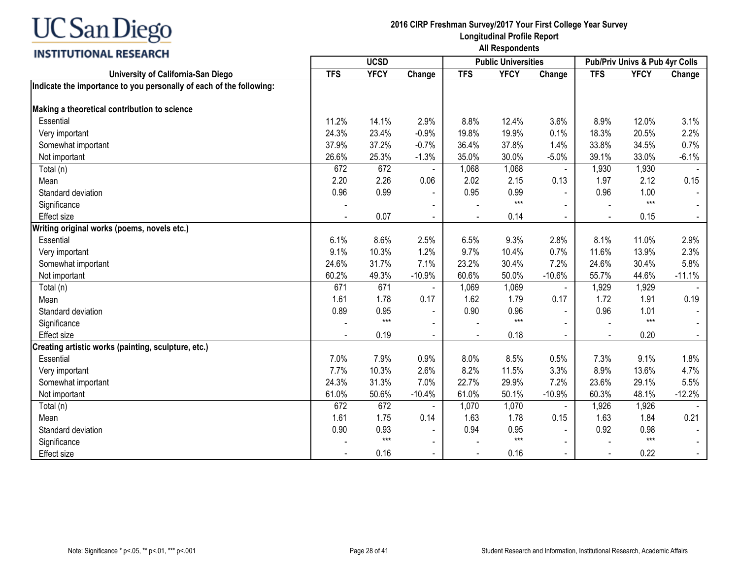## **INSTITUTIONAL RESEARCH**

| ---------------------                                               |            |             | <b>Public Universities</b> |            | Pub/Priv Univs & Pub 4yr Colls |                |            |             |          |
|---------------------------------------------------------------------|------------|-------------|----------------------------|------------|--------------------------------|----------------|------------|-------------|----------|
| University of California-San Diego                                  | <b>TFS</b> | <b>YFCY</b> | Change                     | <b>TFS</b> | <b>YFCY</b>                    | Change         | <b>TFS</b> | <b>YFCY</b> | Change   |
| Indicate the importance to you personally of each of the following: |            |             |                            |            |                                |                |            |             |          |
| Making a theoretical contribution to science                        |            |             |                            |            |                                |                |            |             |          |
| Essential                                                           | 11.2%      | 14.1%       | 2.9%                       | 8.8%       | 12.4%                          | 3.6%           | 8.9%       | 12.0%       | 3.1%     |
| Very important                                                      | 24.3%      | 23.4%       | $-0.9%$                    | 19.8%      | 19.9%                          | 0.1%           | 18.3%      | 20.5%       | 2.2%     |
| Somewhat important                                                  | 37.9%      | 37.2%       | $-0.7%$                    | 36.4%      | 37.8%                          | 1.4%           | 33.8%      | 34.5%       | 0.7%     |
| Not important                                                       | 26.6%      | 25.3%       | $-1.3%$                    | 35.0%      | 30.0%                          | $-5.0%$        | 39.1%      | 33.0%       | $-6.1%$  |
| Total (n)                                                           | 672        | 672         | $\blacksquare$             | 1,068      | 1,068                          | $\blacksquare$ | 1,930      | 1,930       |          |
| Mean                                                                | 2.20       | 2.26        | 0.06                       | 2.02       | 2.15                           | 0.13           | 1.97       | 2.12        | 0.15     |
| Standard deviation                                                  | 0.96       | 0.99        |                            | 0.95       | 0.99                           |                | 0.96       | 1.00        |          |
| Significance                                                        |            |             | $\blacksquare$             |            | $***$                          |                |            | $***$       |          |
| <b>Effect size</b>                                                  |            | 0.07        | $\blacksquare$             |            | 0.14                           | $\blacksquare$ |            | 0.15        | $\sim$   |
| Writing original works (poems, novels etc.)                         |            |             |                            |            |                                |                |            |             |          |
| Essential                                                           | 6.1%       | 8.6%        | 2.5%                       | 6.5%       | 9.3%                           | 2.8%           | 8.1%       | 11.0%       | 2.9%     |
| Very important                                                      | 9.1%       | 10.3%       | 1.2%                       | 9.7%       | 10.4%                          | 0.7%           | 11.6%      | 13.9%       | 2.3%     |
| Somewhat important                                                  | 24.6%      | 31.7%       | 7.1%                       | 23.2%      | 30.4%                          | 7.2%           | 24.6%      | 30.4%       | 5.8%     |
| Not important                                                       | 60.2%      | 49.3%       | $-10.9%$                   | 60.6%      | 50.0%                          | $-10.6%$       | 55.7%      | 44.6%       | $-11.1%$ |
| Total (n)                                                           | 671        | 671         |                            | 1,069      | 1,069                          | $\blacksquare$ | 1,929      | 1,929       |          |
| Mean                                                                | 1.61       | 1.78        | 0.17                       | 1.62       | 1.79                           | 0.17           | 1.72       | 1.91        | 0.19     |
| Standard deviation                                                  | 0.89       | 0.95        | $\blacksquare$             | 0.90       | 0.96                           |                | 0.96       | 1.01        |          |
| Significance                                                        |            | $***$       | $\blacksquare$             |            | $***$                          |                |            | $***$       |          |
| <b>Effect size</b>                                                  |            | 0.19        | $\blacksquare$             |            | 0.18                           | $\blacksquare$ |            | 0.20        | $\sim$   |
| Creating artistic works (painting, sculpture, etc.)                 |            |             |                            |            |                                |                |            |             |          |
| Essential                                                           | 7.0%       | 7.9%        | 0.9%                       | 8.0%       | 8.5%                           | 0.5%           | 7.3%       | 9.1%        | 1.8%     |
| Very important                                                      | 7.7%       | 10.3%       | 2.6%                       | 8.2%       | 11.5%                          | 3.3%           | 8.9%       | 13.6%       | 4.7%     |
| Somewhat important                                                  | 24.3%      | 31.3%       | 7.0%                       | 22.7%      | 29.9%                          | 7.2%           | 23.6%      | 29.1%       | 5.5%     |
| Not important                                                       | 61.0%      | 50.6%       | $-10.4%$                   | 61.0%      | 50.1%                          | $-10.9%$       | 60.3%      | 48.1%       | $-12.2%$ |
| Total (n)                                                           | 672        | 672         |                            | 1,070      | 1,070                          | $\blacksquare$ | 1,926      | 1,926       |          |
| Mean                                                                | 1.61       | 1.75        | 0.14                       | 1.63       | 1.78                           | 0.15           | 1.63       | 1.84        | 0.21     |
| Standard deviation                                                  | 0.90       | 0.93        | $\overline{\phantom{0}}$   | 0.94       | 0.95                           | $\sim$         | 0.92       | 0.98        |          |
| Significance                                                        |            | $***$       | $\blacksquare$             |            | $***$                          |                |            | $***$       |          |
| <b>Effect size</b>                                                  |            | 0.16        | $\blacksquare$             |            | 0.16                           |                |            | 0.22        | $\sim$   |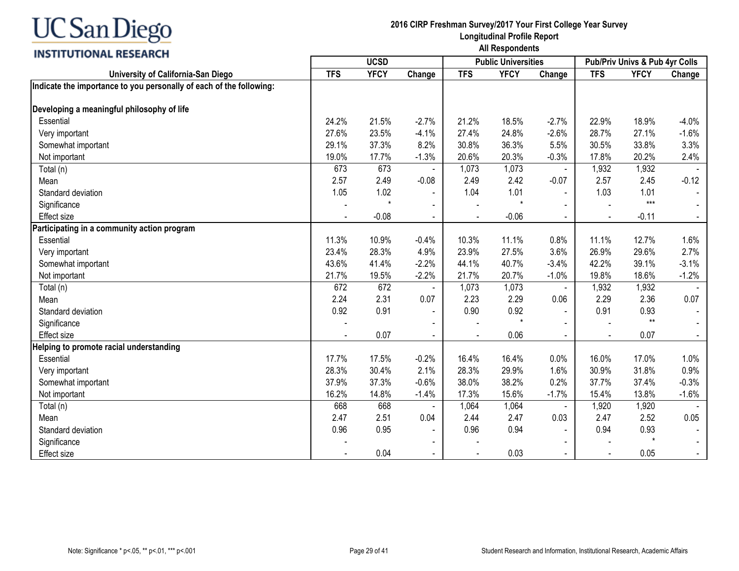## **INSTITUTIONAL RESEARCH**

| <b>TFS</b><br><b>YFCY</b><br>Change<br><b>TFS</b><br><b>YFCY</b><br><b>TFS</b><br><b>YFCY</b><br>University of California-San Diego<br>Change<br>Change<br>Indicate the importance to you personally of each of the following:<br>Developing a meaningful philosophy of life<br>Essential<br>24.2%<br>$-2.7%$<br>18.5%<br>18.9%<br>$-4.0%$<br>21.5%<br>21.2%<br>$-2.7%$<br>22.9%<br>$-2.6%$<br>28.7%<br>27.6%<br>23.5%<br>$-4.1%$<br>24.8%<br>27.1%<br>$-1.6%$<br>27.4%<br>Very important<br>29.1%<br>37.3%<br>8.2%<br>30.8%<br>36.3%<br>5.5%<br>30.5%<br>33.8%<br>3.3%<br>Somewhat important<br>19.0%<br>17.7%<br>$-1.3%$<br>20.3%<br>$-0.3%$<br>17.8%<br>20.2%<br>2.4%<br>20.6%<br>Not important<br>673<br>673<br>1,073<br>1,932<br>1,932<br>1,073<br>Total (n)<br>$\blacksquare$<br>2.49<br>$-0.08$<br>2.42<br>2.45<br>$-0.12$<br>2.57<br>2.49<br>$-0.07$<br>2.57<br>Mean<br>1.05<br>1.02<br>1.01<br>1.03<br>1.01<br>1.04<br>Standard deviation<br>$\blacksquare$<br>$***$<br>$\ddot{\phantom{0}}$<br>$\star$<br>Significance<br>$-0.06$<br>$-0.08$<br>$-0.11$<br><b>Effect size</b> |
|-----------------------------------------------------------------------------------------------------------------------------------------------------------------------------------------------------------------------------------------------------------------------------------------------------------------------------------------------------------------------------------------------------------------------------------------------------------------------------------------------------------------------------------------------------------------------------------------------------------------------------------------------------------------------------------------------------------------------------------------------------------------------------------------------------------------------------------------------------------------------------------------------------------------------------------------------------------------------------------------------------------------------------------------------------------------------------------------|
|                                                                                                                                                                                                                                                                                                                                                                                                                                                                                                                                                                                                                                                                                                                                                                                                                                                                                                                                                                                                                                                                                         |
|                                                                                                                                                                                                                                                                                                                                                                                                                                                                                                                                                                                                                                                                                                                                                                                                                                                                                                                                                                                                                                                                                         |
|                                                                                                                                                                                                                                                                                                                                                                                                                                                                                                                                                                                                                                                                                                                                                                                                                                                                                                                                                                                                                                                                                         |
|                                                                                                                                                                                                                                                                                                                                                                                                                                                                                                                                                                                                                                                                                                                                                                                                                                                                                                                                                                                                                                                                                         |
|                                                                                                                                                                                                                                                                                                                                                                                                                                                                                                                                                                                                                                                                                                                                                                                                                                                                                                                                                                                                                                                                                         |
|                                                                                                                                                                                                                                                                                                                                                                                                                                                                                                                                                                                                                                                                                                                                                                                                                                                                                                                                                                                                                                                                                         |
|                                                                                                                                                                                                                                                                                                                                                                                                                                                                                                                                                                                                                                                                                                                                                                                                                                                                                                                                                                                                                                                                                         |
|                                                                                                                                                                                                                                                                                                                                                                                                                                                                                                                                                                                                                                                                                                                                                                                                                                                                                                                                                                                                                                                                                         |
|                                                                                                                                                                                                                                                                                                                                                                                                                                                                                                                                                                                                                                                                                                                                                                                                                                                                                                                                                                                                                                                                                         |
|                                                                                                                                                                                                                                                                                                                                                                                                                                                                                                                                                                                                                                                                                                                                                                                                                                                                                                                                                                                                                                                                                         |
|                                                                                                                                                                                                                                                                                                                                                                                                                                                                                                                                                                                                                                                                                                                                                                                                                                                                                                                                                                                                                                                                                         |
|                                                                                                                                                                                                                                                                                                                                                                                                                                                                                                                                                                                                                                                                                                                                                                                                                                                                                                                                                                                                                                                                                         |
|                                                                                                                                                                                                                                                                                                                                                                                                                                                                                                                                                                                                                                                                                                                                                                                                                                                                                                                                                                                                                                                                                         |
| Participating in a community action program                                                                                                                                                                                                                                                                                                                                                                                                                                                                                                                                                                                                                                                                                                                                                                                                                                                                                                                                                                                                                                             |
| 11.3%<br>10.9%<br>$-0.4%$<br>10.3%<br>11.1%<br>0.8%<br>11.1%<br>12.7%<br>1.6%<br>Essential                                                                                                                                                                                                                                                                                                                                                                                                                                                                                                                                                                                                                                                                                                                                                                                                                                                                                                                                                                                              |
| 4.9%<br>3.6%<br>2.7%<br>23.4%<br>28.3%<br>23.9%<br>27.5%<br>26.9%<br>29.6%<br>Very important                                                                                                                                                                                                                                                                                                                                                                                                                                                                                                                                                                                                                                                                                                                                                                                                                                                                                                                                                                                            |
| 43.6%<br>41.4%<br>$-2.2%$<br>40.7%<br>42.2%<br>39.1%<br>$-3.1%$<br>Somewhat important<br>44.1%<br>$-3.4%$                                                                                                                                                                                                                                                                                                                                                                                                                                                                                                                                                                                                                                                                                                                                                                                                                                                                                                                                                                               |
| 20.7%<br>21.7%<br>19.5%<br>$-2.2%$<br>21.7%<br>$-1.0%$<br>19.8%<br>18.6%<br>$-1.2%$<br>Not important                                                                                                                                                                                                                                                                                                                                                                                                                                                                                                                                                                                                                                                                                                                                                                                                                                                                                                                                                                                    |
| 672<br>672<br>1,073<br>1,932<br>1,932<br>1,073<br>Total (n)<br>$\blacksquare$                                                                                                                                                                                                                                                                                                                                                                                                                                                                                                                                                                                                                                                                                                                                                                                                                                                                                                                                                                                                           |
| 2.31<br>2.24<br>0.07<br>2.29<br>0.06<br>2.29<br>2.36<br>0.07<br>2.23<br>Mean                                                                                                                                                                                                                                                                                                                                                                                                                                                                                                                                                                                                                                                                                                                                                                                                                                                                                                                                                                                                            |
| 0.92<br>0.91<br>0.90<br>0.92<br>0.91<br>0.93<br>Standard deviation                                                                                                                                                                                                                                                                                                                                                                                                                                                                                                                                                                                                                                                                                                                                                                                                                                                                                                                                                                                                                      |
| $**$<br>$\star$<br>Significance                                                                                                                                                                                                                                                                                                                                                                                                                                                                                                                                                                                                                                                                                                                                                                                                                                                                                                                                                                                                                                                         |
| 0.07<br>0.06<br>0.07<br><b>Effect size</b><br>$\sim$<br>$\sim$<br>$\blacksquare$                                                                                                                                                                                                                                                                                                                                                                                                                                                                                                                                                                                                                                                                                                                                                                                                                                                                                                                                                                                                        |
| Helping to promote racial understanding                                                                                                                                                                                                                                                                                                                                                                                                                                                                                                                                                                                                                                                                                                                                                                                                                                                                                                                                                                                                                                                 |
| 17.7%<br>$-0.2%$<br>17.0%<br>17.5%<br>16.4%<br>16.4%<br>0.0%<br>16.0%<br>1.0%<br>Essential                                                                                                                                                                                                                                                                                                                                                                                                                                                                                                                                                                                                                                                                                                                                                                                                                                                                                                                                                                                              |
| 28.3%<br>2.1%<br>29.9%<br>30.9%<br>31.8%<br>0.9%<br>30.4%<br>28.3%<br>1.6%<br>Very important                                                                                                                                                                                                                                                                                                                                                                                                                                                                                                                                                                                                                                                                                                                                                                                                                                                                                                                                                                                            |
| $-0.6%$<br>38.2%<br>0.2%<br>37.9%<br>37.3%<br>38.0%<br>37.7%<br>37.4%<br>$-0.3%$<br>Somewhat important                                                                                                                                                                                                                                                                                                                                                                                                                                                                                                                                                                                                                                                                                                                                                                                                                                                                                                                                                                                  |
| 16.2%<br>14.8%<br>$-1.4%$<br>15.6%<br>$-1.7%$<br>15.4%<br>13.8%<br>$-1.6%$<br>Not important<br>17.3%                                                                                                                                                                                                                                                                                                                                                                                                                                                                                                                                                                                                                                                                                                                                                                                                                                                                                                                                                                                    |
| 668<br>668<br>1,064<br>1,920<br>1,920<br>Total (n)<br>1,064<br>$\blacksquare$                                                                                                                                                                                                                                                                                                                                                                                                                                                                                                                                                                                                                                                                                                                                                                                                                                                                                                                                                                                                           |
| 2.51<br>2.47<br>2.47<br>2.47<br>0.04<br>2.44<br>0.03<br>2.52<br>0.05<br>Mean                                                                                                                                                                                                                                                                                                                                                                                                                                                                                                                                                                                                                                                                                                                                                                                                                                                                                                                                                                                                            |
| 0.96<br>0.95<br>0.96<br>0.94<br>0.94<br>0.93<br>Standard deviation                                                                                                                                                                                                                                                                                                                                                                                                                                                                                                                                                                                                                                                                                                                                                                                                                                                                                                                                                                                                                      |
| $\star$<br>Significance                                                                                                                                                                                                                                                                                                                                                                                                                                                                                                                                                                                                                                                                                                                                                                                                                                                                                                                                                                                                                                                                 |
| 0.04<br>0.03<br>0.05<br>Effect size<br>$\sim$<br>$\blacksquare$<br>$\overline{\phantom{0}}$                                                                                                                                                                                                                                                                                                                                                                                                                                                                                                                                                                                                                                                                                                                                                                                                                                                                                                                                                                                             |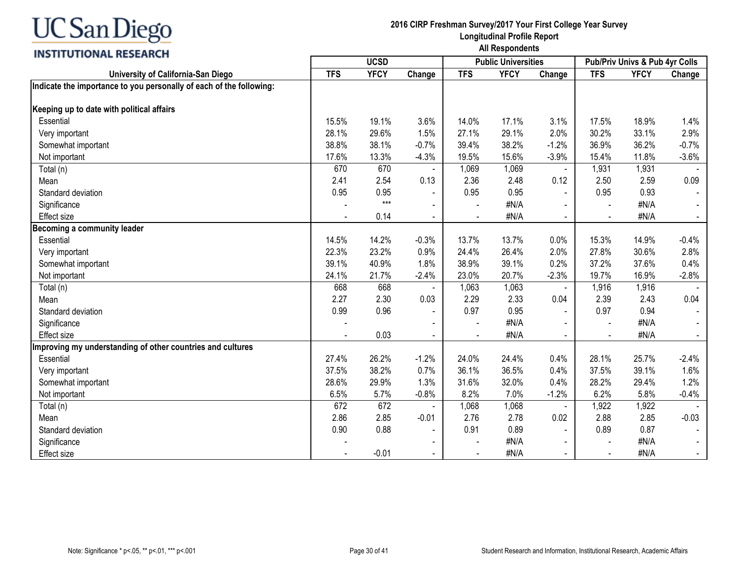## **INSTITUTIONAL RESEARCH**

|                                                                     | <b>UCSD</b> |             |                          |            | <b>Public Universities</b> |                |            | Pub/Priv Univs & Pub 4yr Colls |         |  |
|---------------------------------------------------------------------|-------------|-------------|--------------------------|------------|----------------------------|----------------|------------|--------------------------------|---------|--|
| University of California-San Diego                                  | <b>TFS</b>  | <b>YFCY</b> | Change                   | <b>TFS</b> | <b>YFCY</b>                | Change         | <b>TFS</b> | <b>YFCY</b>                    | Change  |  |
| Indicate the importance to you personally of each of the following: |             |             |                          |            |                            |                |            |                                |         |  |
| Keeping up to date with political affairs                           |             |             |                          |            |                            |                |            |                                |         |  |
| Essential                                                           | 15.5%       | 19.1%       | 3.6%                     | 14.0%      | 17.1%                      | 3.1%           | 17.5%      | 18.9%                          | 1.4%    |  |
| Very important                                                      | 28.1%       | 29.6%       | 1.5%                     | 27.1%      | 29.1%                      | 2.0%           | 30.2%      | 33.1%                          | 2.9%    |  |
| Somewhat important                                                  | 38.8%       | 38.1%       | $-0.7%$                  | 39.4%      | 38.2%                      | $-1.2%$        | 36.9%      | 36.2%                          | $-0.7%$ |  |
| Not important                                                       | 17.6%       | 13.3%       | $-4.3%$                  | 19.5%      | 15.6%                      | $-3.9%$        | 15.4%      | 11.8%                          | $-3.6%$ |  |
| Total (n)                                                           | 670         | 670         |                          | 1,069      | 1,069                      | $\blacksquare$ | 1,931      | 1,931                          |         |  |
| Mean                                                                | 2.41        | 2.54        | 0.13                     | 2.36       | 2.48                       | 0.12           | 2.50       | 2.59                           | 0.09    |  |
| Standard deviation                                                  | 0.95        | 0.95        |                          | 0.95       | 0.95                       |                | 0.95       | 0.93                           |         |  |
| Significance                                                        |             | $***$       | $\blacksquare$           |            | #N/A                       |                |            | #N/A                           |         |  |
| <b>Effect size</b>                                                  |             | 0.14        | $\blacksquare$           |            | #N/A                       |                |            | #N/A                           | $\sim$  |  |
| Becoming a community leader                                         |             |             |                          |            |                            |                |            |                                |         |  |
| Essential                                                           | 14.5%       | 14.2%       | $-0.3%$                  | 13.7%      | 13.7%                      | 0.0%           | 15.3%      | 14.9%                          | $-0.4%$ |  |
| Very important                                                      | 22.3%       | 23.2%       | 0.9%                     | 24.4%      | 26.4%                      | 2.0%           | 27.8%      | 30.6%                          | 2.8%    |  |
| Somewhat important                                                  | 39.1%       | 40.9%       | 1.8%                     | 38.9%      | 39.1%                      | 0.2%           | 37.2%      | 37.6%                          | 0.4%    |  |
| Not important                                                       | 24.1%       | 21.7%       | $-2.4%$                  | 23.0%      | 20.7%                      | $-2.3%$        | 19.7%      | 16.9%                          | $-2.8%$ |  |
| Total (n)                                                           | 668         | 668         |                          | 1,063      | 1,063                      | $\blacksquare$ | 1,916      | 1,916                          |         |  |
| Mean                                                                | 2.27        | 2.30        | 0.03                     | 2.29       | 2.33                       | 0.04           | 2.39       | 2.43                           | 0.04    |  |
| Standard deviation                                                  | 0.99        | 0.96        | $\blacksquare$           | 0.97       | 0.95                       |                | 0.97       | 0.94                           |         |  |
| Significance                                                        |             |             | $\overline{\phantom{a}}$ |            | #N/A                       |                |            | #N/A                           |         |  |
| <b>Effect size</b>                                                  |             | 0.03        | $\blacksquare$           |            | #N/A                       | $\blacksquare$ |            | #N/A                           | $\sim$  |  |
| Improving my understanding of other countries and cultures          |             |             |                          |            |                            |                |            |                                |         |  |
| Essential                                                           | 27.4%       | 26.2%       | $-1.2%$                  | 24.0%      | 24.4%                      | 0.4%           | 28.1%      | 25.7%                          | $-2.4%$ |  |
| Very important                                                      | 37.5%       | 38.2%       | 0.7%                     | 36.1%      | 36.5%                      | 0.4%           | 37.5%      | 39.1%                          | 1.6%    |  |
| Somewhat important                                                  | 28.6%       | 29.9%       | 1.3%                     | 31.6%      | 32.0%                      | 0.4%           | 28.2%      | 29.4%                          | 1.2%    |  |
| Not important                                                       | 6.5%        | 5.7%        | $-0.8%$                  | 8.2%       | 7.0%                       | $-1.2%$        | 6.2%       | 5.8%                           | $-0.4%$ |  |
| Total (n)                                                           | 672         | 672         |                          | 1,068      | 1,068                      | $\blacksquare$ | 1,922      | 1,922                          |         |  |
| Mean                                                                | 2.86        | 2.85        | $-0.01$                  | 2.76       | 2.78                       | 0.02           | 2.88       | 2.85                           | $-0.03$ |  |
| Standard deviation                                                  | 0.90        | 0.88        |                          | 0.91       | 0.89                       | $\blacksquare$ | 0.89       | 0.87                           |         |  |
| Significance                                                        |             |             | $\overline{\phantom{a}}$ |            | #N/A                       |                |            | #N/A                           | $\sim$  |  |
| <b>Effect size</b>                                                  |             | $-0.01$     | $\blacksquare$           |            | #N/A                       | $\blacksquare$ |            | #N/A                           | $\sim$  |  |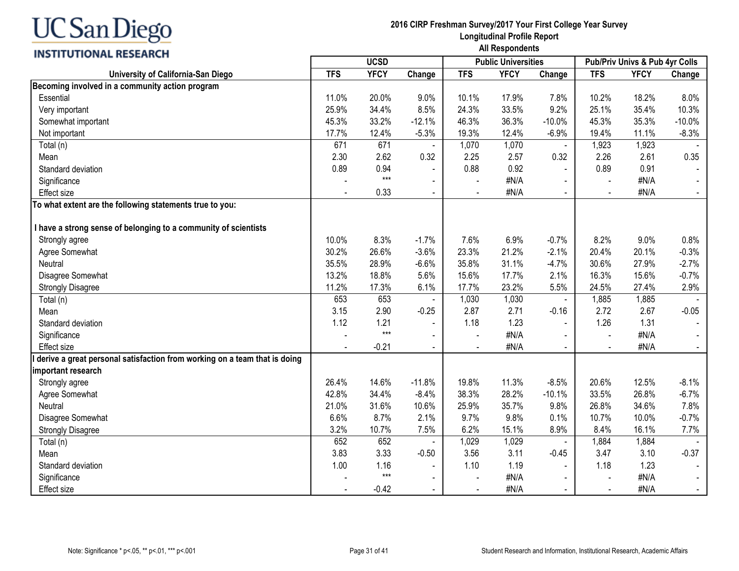## **INSTITUTIONAL RESEARCH**

| ,,,,,,,,,,,,,,,,,,,,,,,,                                                  |            | <b>UCSD</b> |                |            | <b>Public Universities</b> |                | Pub/Priv Univs & Pub 4yr Colls |             |          |
|---------------------------------------------------------------------------|------------|-------------|----------------|------------|----------------------------|----------------|--------------------------------|-------------|----------|
| University of California-San Diego                                        | <b>TFS</b> | <b>YFCY</b> | Change         | <b>TFS</b> | <b>YFCY</b>                | Change         | <b>TFS</b>                     | <b>YFCY</b> | Change   |
| Becoming involved in a community action program                           |            |             |                |            |                            |                |                                |             |          |
| Essential                                                                 | 11.0%      | 20.0%       | 9.0%           | 10.1%      | 17.9%                      | 7.8%           | 10.2%                          | 18.2%       | 8.0%     |
| Very important                                                            | 25.9%      | 34.4%       | 8.5%           | 24.3%      | 33.5%                      | 9.2%           | 25.1%                          | 35.4%       | 10.3%    |
| Somewhat important                                                        | 45.3%      | 33.2%       | $-12.1%$       | 46.3%      | 36.3%                      | $-10.0%$       | 45.3%                          | 35.3%       | $-10.0%$ |
| Not important                                                             | 17.7%      | 12.4%       | $-5.3%$        | 19.3%      | 12.4%                      | $-6.9%$        | 19.4%                          | 11.1%       | $-8.3%$  |
| Total (n)                                                                 | 671        | 671         |                | 1,070      | 1,070                      |                | 1,923                          | 1,923       |          |
| Mean                                                                      | 2.30       | 2.62        | 0.32           | 2.25       | 2.57                       | 0.32           | 2.26                           | 2.61        | 0.35     |
| Standard deviation                                                        | 0.89       | 0.94        |                | 0.88       | 0.92                       |                | 0.89                           | 0.91        |          |
| Significance                                                              |            | $***$       |                |            | #N/A                       |                |                                | #N/A        |          |
| <b>Effect size</b>                                                        |            | 0.33        |                |            | #N/A                       |                |                                | #N/A        |          |
| To what extent are the following statements true to you:                  |            |             |                |            |                            |                |                                |             |          |
|                                                                           |            |             |                |            |                            |                |                                |             |          |
| I have a strong sense of belonging to a community of scientists           |            |             |                |            |                            |                |                                |             |          |
| Strongly agree                                                            | 10.0%      | 8.3%        | $-1.7%$        | 7.6%       | 6.9%                       | $-0.7%$        | 8.2%                           | 9.0%        | 0.8%     |
| Agree Somewhat                                                            | 30.2%      | 26.6%       | $-3.6%$        | 23.3%      | 21.2%                      | $-2.1%$        | 20.4%                          | 20.1%       | $-0.3%$  |
| Neutral                                                                   | 35.5%      | 28.9%       | $-6.6%$        | 35.8%      | 31.1%                      | $-4.7%$        | 30.6%                          | 27.9%       | $-2.7%$  |
| Disagree Somewhat                                                         | 13.2%      | 18.8%       | 5.6%           | 15.6%      | 17.7%                      | 2.1%           | 16.3%                          | 15.6%       | $-0.7%$  |
| <b>Strongly Disagree</b>                                                  | 11.2%      | 17.3%       | 6.1%           | 17.7%      | 23.2%                      | 5.5%           | 24.5%                          | 27.4%       | 2.9%     |
| Total (n)                                                                 | 653        | 653         |                | 1,030      | 1,030                      |                | 1,885                          | 1,885       |          |
| Mean                                                                      | 3.15       | 2.90        | $-0.25$        | 2.87       | 2.71                       | $-0.16$        | 2.72                           | 2.67        | $-0.05$  |
| Standard deviation                                                        | 1.12       | 1.21        | $\blacksquare$ | 1.18       | 1.23                       | $\blacksquare$ | 1.26                           | 1.31        |          |
| Significance                                                              |            | $***$       | $\blacksquare$ |            | #N/A                       |                | $\overline{a}$                 | #N/A        |          |
| <b>Effect size</b>                                                        |            | $-0.21$     | $\blacksquare$ |            | #N/A                       | $\blacksquare$ | $\overline{\phantom{a}}$       | #N/A        |          |
| derive a great personal satisfaction from working on a team that is doing |            |             |                |            |                            |                |                                |             |          |
| important research                                                        |            |             |                |            |                            |                |                                |             |          |
| Strongly agree                                                            | 26.4%      | 14.6%       | $-11.8%$       | 19.8%      | 11.3%                      | $-8.5%$        | 20.6%                          | 12.5%       | $-8.1%$  |
| Agree Somewhat                                                            | 42.8%      | 34.4%       | $-8.4%$        | 38.3%      | 28.2%                      | $-10.1%$       | 33.5%                          | 26.8%       | $-6.7%$  |
| Neutral                                                                   | 21.0%      | 31.6%       | 10.6%          | 25.9%      | 35.7%                      | 9.8%           | 26.8%                          | 34.6%       | 7.8%     |
| Disagree Somewhat                                                         | 6.6%       | 8.7%        | 2.1%           | 9.7%       | 9.8%                       | 0.1%           | 10.7%                          | 10.0%       | $-0.7%$  |
| <b>Strongly Disagree</b>                                                  | 3.2%       | 10.7%       | 7.5%           | 6.2%       | 15.1%                      | 8.9%           | 8.4%                           | 16.1%       | 7.7%     |
| Total (n)                                                                 | 652        | 652         |                | 1,029      | 1,029                      |                | 1,884                          | 1,884       |          |
| Mean                                                                      | 3.83       | 3.33        | $-0.50$        | 3.56       | 3.11                       | $-0.45$        | 3.47                           | 3.10        | $-0.37$  |
| Standard deviation                                                        | 1.00       | 1.16        | $\mathbf{r}$   | 1.10       | 1.19                       | $\sim$         | 1.18                           | 1.23        |          |
| Significance                                                              |            | $***$       | $\blacksquare$ |            | #N/A                       |                | $\blacksquare$                 | #N/A        |          |
| <b>Effect size</b>                                                        |            | $-0.42$     | $\sim$         | $\sim$     | #N/A                       | $\blacksquare$ | $\sim$                         | #N/A        |          |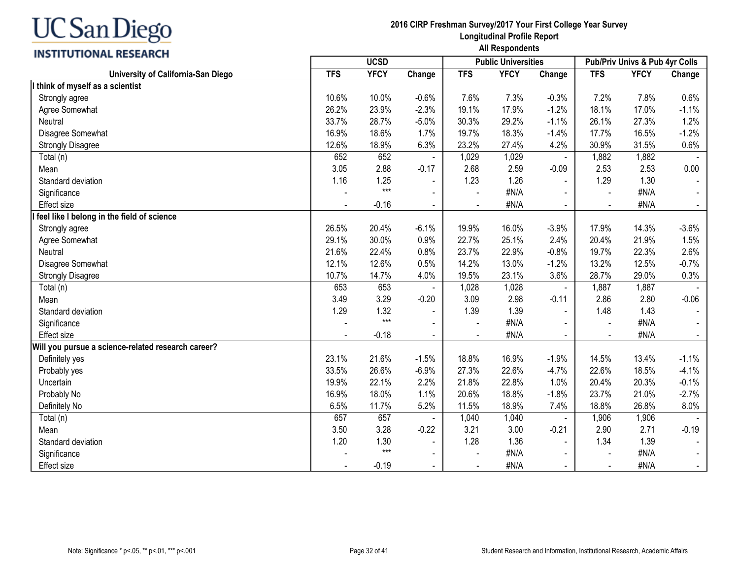## **INSTITUTIONAL RESEARCH**

| <u>,,,,,,,,,,,,,,,,,,,,,,</u>                      | <b>UCSD</b> |             |                |                | <b>Public Universities</b> |                | Pub/Priv Univs & Pub 4yr Colls |             |                |
|----------------------------------------------------|-------------|-------------|----------------|----------------|----------------------------|----------------|--------------------------------|-------------|----------------|
| University of California-San Diego                 | <b>TFS</b>  | <b>YFCY</b> | Change         | <b>TFS</b>     | <b>YFCY</b>                | Change         | <b>TFS</b>                     | <b>YFCY</b> | Change         |
| think of myself as a scientist                     |             |             |                |                |                            |                |                                |             |                |
| Strongly agree                                     | 10.6%       | 10.0%       | $-0.6%$        | 7.6%           | 7.3%                       | $-0.3%$        | 7.2%                           | 7.8%        | 0.6%           |
| Agree Somewhat                                     | 26.2%       | 23.9%       | $-2.3%$        | 19.1%          | 17.9%                      | $-1.2%$        | 18.1%                          | 17.0%       | $-1.1%$        |
| Neutral                                            | 33.7%       | 28.7%       | $-5.0%$        | 30.3%          | 29.2%                      | $-1.1%$        | 26.1%                          | 27.3%       | 1.2%           |
| Disagree Somewhat                                  | 16.9%       | 18.6%       | 1.7%           | 19.7%          | 18.3%                      | $-1.4%$        | 17.7%                          | 16.5%       | $-1.2%$        |
| <b>Strongly Disagree</b>                           | 12.6%       | 18.9%       | 6.3%           | 23.2%          | 27.4%                      | 4.2%           | 30.9%                          | 31.5%       | 0.6%           |
| Total (n)                                          | 652         | 652         |                | 1,029          | 1,029                      |                | 1,882                          | 1,882       |                |
| Mean                                               | 3.05        | 2.88        | $-0.17$        | 2.68           | 2.59                       | $-0.09$        | 2.53                           | 2.53        | 0.00           |
| Standard deviation                                 | 1.16        | 1.25        | $\blacksquare$ | 1.23           | 1.26                       | $\mathbf{r}$   | 1.29                           | 1.30        | $\blacksquare$ |
| Significance                                       |             | $***$       | $\sim$         |                | #N/A                       |                |                                | #N/A        | $\sim$         |
| Effect size                                        |             | $-0.16$     | $\sim$         |                | #N/A                       |                |                                | #N/A        | $\blacksquare$ |
| feel like I belong in the field of science         |             |             |                |                |                            |                |                                |             |                |
| Strongly agree                                     | 26.5%       | 20.4%       | $-6.1%$        | 19.9%          | 16.0%                      | $-3.9%$        | 17.9%                          | 14.3%       | $-3.6%$        |
| Agree Somewhat                                     | 29.1%       | 30.0%       | 0.9%           | 22.7%          | 25.1%                      | 2.4%           | 20.4%                          | 21.9%       | 1.5%           |
| Neutral                                            | 21.6%       | 22.4%       | 0.8%           | 23.7%          | 22.9%                      | $-0.8%$        | 19.7%                          | 22.3%       | 2.6%           |
| Disagree Somewhat                                  | 12.1%       | 12.6%       | 0.5%           | 14.2%          | 13.0%                      | $-1.2%$        | 13.2%                          | 12.5%       | $-0.7%$        |
| <b>Strongly Disagree</b>                           | 10.7%       | 14.7%       | 4.0%           | 19.5%          | 23.1%                      | 3.6%           | 28.7%                          | 29.0%       | 0.3%           |
| Total (n)                                          | 653         | 653         |                | 1,028          | 1,028                      | $\blacksquare$ | 1,887                          | 1,887       |                |
| Mean                                               | 3.49        | 3.29        | $-0.20$        | 3.09           | 2.98                       | $-0.11$        | 2.86                           | 2.80        | $-0.06$        |
| Standard deviation                                 | 1.29        | 1.32        |                | 1.39           | 1.39                       | $\sim$         | 1.48                           | 1.43        | $\blacksquare$ |
| Significance                                       |             | $***$       |                |                | #N/A                       |                |                                | #N/A        |                |
| <b>Effect size</b>                                 |             | $-0.18$     | $\blacksquare$ |                | #N/A                       |                |                                | #N/A        |                |
| Will you pursue a science-related research career? |             |             |                |                |                            |                |                                |             |                |
| Definitely yes                                     | 23.1%       | 21.6%       | $-1.5%$        | 18.8%          | 16.9%                      | $-1.9%$        | 14.5%                          | 13.4%       | $-1.1%$        |
| Probably yes                                       | 33.5%       | 26.6%       | $-6.9%$        | 27.3%          | 22.6%                      | $-4.7%$        | 22.6%                          | 18.5%       | $-4.1%$        |
| Uncertain                                          | 19.9%       | 22.1%       | 2.2%           | 21.8%          | 22.8%                      | 1.0%           | 20.4%                          | 20.3%       | $-0.1%$        |
| Probably No                                        | 16.9%       | 18.0%       | 1.1%           | 20.6%          | 18.8%                      | $-1.8%$        | 23.7%                          | 21.0%       | $-2.7%$        |
| Definitely No                                      | 6.5%        | 11.7%       | 5.2%           | 11.5%          | 18.9%                      | 7.4%           | 18.8%                          | 26.8%       | 8.0%           |
| Total (n)                                          | 657         | 657         |                | 1,040          | 1,040                      |                | 1,906                          | 1,906       |                |
| Mean                                               | 3.50        | 3.28        | $-0.22$        | 3.21           | 3.00                       | $-0.21$        | 2.90                           | 2.71        | $-0.19$        |
| Standard deviation                                 | 1.20        | 1.30        | $\blacksquare$ | 1.28           | 1.36                       | $\blacksquare$ | 1.34                           | 1.39        |                |
| Significance                                       |             | $***$       | $\blacksquare$ |                | #N/A                       |                |                                | #N/A        | $\sim$         |
| Effect size                                        |             | $-0.19$     | $\blacksquare$ | $\blacksquare$ | #N/A                       | $\blacksquare$ |                                | #N/A        | $\sim$         |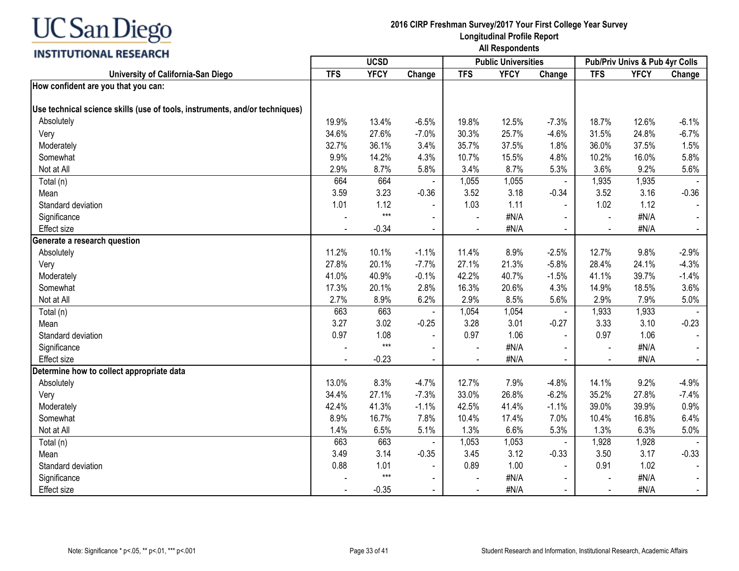## **INSTITUTIONAL RESEARCH**

|                                                                             | <b>UCSD</b> |             |                |                | <b>Public Universities</b> |                | Pub/Priv Univs & Pub 4yr Colls |             |                |  |
|-----------------------------------------------------------------------------|-------------|-------------|----------------|----------------|----------------------------|----------------|--------------------------------|-------------|----------------|--|
| University of California-San Diego                                          | <b>TFS</b>  | <b>YFCY</b> | Change         | <b>TFS</b>     | <b>YFCY</b>                | Change         | <b>TFS</b>                     | <b>YFCY</b> | Change         |  |
| How confident are you that you can:                                         |             |             |                |                |                            |                |                                |             |                |  |
| Use technical science skills (use of tools, instruments, and/or techniques) |             |             |                |                |                            |                |                                |             |                |  |
| Absolutely                                                                  | 19.9%       | 13.4%       | $-6.5%$        | 19.8%          | 12.5%                      | $-7.3%$        | 18.7%                          | 12.6%       | $-6.1%$        |  |
| Very                                                                        | 34.6%       | 27.6%       | $-7.0%$        | 30.3%          | 25.7%                      | $-4.6%$        | 31.5%                          | 24.8%       | $-6.7%$        |  |
| Moderately                                                                  | 32.7%       | 36.1%       | 3.4%           | 35.7%          | 37.5%                      | 1.8%           | 36.0%                          | 37.5%       | 1.5%           |  |
| Somewhat                                                                    | 9.9%        | 14.2%       | 4.3%           | 10.7%          | 15.5%                      | 4.8%           | 10.2%                          | 16.0%       | 5.8%           |  |
| Not at All                                                                  | 2.9%        | 8.7%        | 5.8%           | 3.4%           | 8.7%                       | 5.3%           | 3.6%                           | 9.2%        | 5.6%           |  |
| Total (n)                                                                   | 664         | 664         |                | 1,055          | 1,055                      | $\blacksquare$ | 1,935                          | 1,935       |                |  |
| Mean                                                                        | 3.59        | 3.23        | $-0.36$        | 3.52           | 3.18                       | $-0.34$        | 3.52                           | 3.16        | $-0.36$        |  |
| Standard deviation                                                          | 1.01        | 1.12        |                | 1.03           | 1.11                       |                | 1.02                           | 1.12        |                |  |
| Significance                                                                |             | $***$       |                | $\sim$         | #N/A                       |                |                                | #N/A        |                |  |
| Effect size                                                                 |             | $-0.34$     | $\blacksquare$ |                | #N/A                       |                |                                | #N/A        |                |  |
| Generate a research question                                                |             |             |                |                |                            |                |                                |             |                |  |
| Absolutely                                                                  | 11.2%       | 10.1%       | $-1.1%$        | 11.4%          | 8.9%                       | $-2.5%$        | 12.7%                          | 9.8%        | $-2.9%$        |  |
| Very                                                                        | 27.8%       | 20.1%       | $-7.7%$        | 27.1%          | 21.3%                      | $-5.8%$        | 28.4%                          | 24.1%       | $-4.3%$        |  |
| Moderately                                                                  | 41.0%       | 40.9%       | $-0.1%$        | 42.2%          | 40.7%                      | $-1.5%$        | 41.1%                          | 39.7%       | $-1.4%$        |  |
| Somewhat                                                                    | 17.3%       | 20.1%       | 2.8%           | 16.3%          | 20.6%                      | 4.3%           | 14.9%                          | 18.5%       | 3.6%           |  |
| Not at All                                                                  | 2.7%        | 8.9%        | 6.2%           | 2.9%           | 8.5%                       | 5.6%           | 2.9%                           | 7.9%        | 5.0%           |  |
| Total (n)                                                                   | 663         | 663         |                | 1,054          | 1,054                      | $\blacksquare$ | 1,933                          | 1,933       |                |  |
| Mean                                                                        | 3.27        | 3.02        | $-0.25$        | 3.28           | 3.01                       | $-0.27$        | 3.33                           | 3.10        | $-0.23$        |  |
| Standard deviation                                                          | 0.97        | 1.08        | $\blacksquare$ | 0.97           | 1.06                       | $\blacksquare$ | 0.97                           | 1.06        | $\blacksquare$ |  |
| Significance                                                                |             | $***$       | $\blacksquare$ | $\blacksquare$ | #N/A                       | $\blacksquare$ |                                | #N/A        |                |  |
| Effect size                                                                 |             | $-0.23$     | $\blacksquare$ |                | #N/A                       | $\blacksquare$ |                                | #N/A        | $\blacksquare$ |  |
| Determine how to collect appropriate data                                   |             |             |                |                |                            |                |                                |             |                |  |
| Absolutely                                                                  | 13.0%       | 8.3%        | $-4.7%$        | 12.7%          | 7.9%                       | $-4.8%$        | 14.1%                          | 9.2%        | $-4.9%$        |  |
| Very                                                                        | 34.4%       | 27.1%       | $-7.3%$        | 33.0%          | 26.8%                      | $-6.2%$        | 35.2%                          | 27.8%       | $-7.4%$        |  |
| Moderately                                                                  | 42.4%       | 41.3%       | $-1.1%$        | 42.5%          | 41.4%                      | $-1.1%$        | 39.0%                          | 39.9%       | 0.9%           |  |
| Somewhat                                                                    | 8.9%        | 16.7%       | 7.8%           | 10.4%          | 17.4%                      | 7.0%           | 10.4%                          | 16.8%       | 6.4%           |  |
| Not at All                                                                  | 1.4%        | 6.5%        | 5.1%           | 1.3%           | 6.6%                       | 5.3%           | 1.3%                           | 6.3%        | 5.0%           |  |
| Total (n)                                                                   | 663         | 663         |                | 1,053          | 1,053                      |                | 1,928                          | 1,928       |                |  |
| Mean                                                                        | 3.49        | 3.14        | $-0.35$        | 3.45           | 3.12                       | $-0.33$        | 3.50                           | 3.17        | $-0.33$        |  |
| Standard deviation                                                          | 0.88        | 1.01        | $\blacksquare$ | 0.89           | 1.00                       | $\blacksquare$ | 0.91                           | 1.02        |                |  |
| Significance                                                                |             | $***$       | $\blacksquare$ |                | #N/A                       | $\blacksquare$ |                                | #N/A        | $\blacksquare$ |  |
| <b>Effect size</b>                                                          |             | $-0.35$     | $\sim$         | $\blacksquare$ | #N/A                       | $\sim$         | $\overline{\phantom{a}}$       | #N/A        | $\sim$         |  |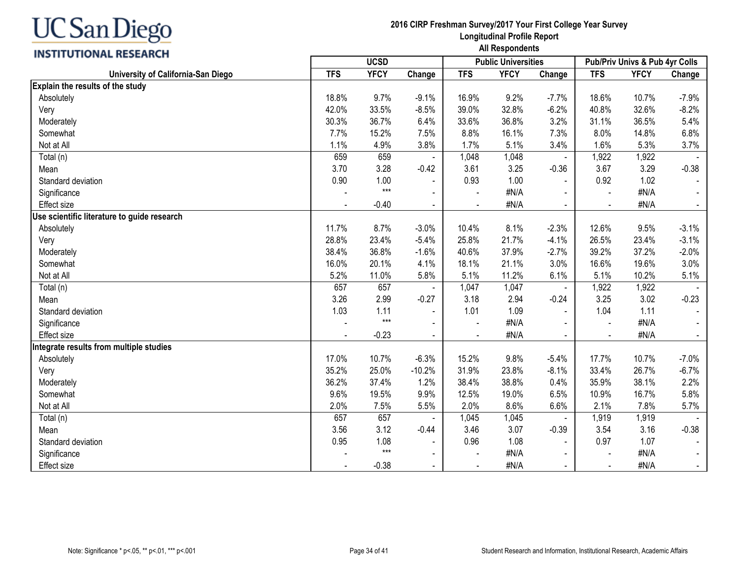## **INSTITUTIONAL RESEARCH**

|                                             |                |             |                | <b>Public Universities</b> |             | Pub/Priv Univs & Pub 4yr Colls |            |             |                |
|---------------------------------------------|----------------|-------------|----------------|----------------------------|-------------|--------------------------------|------------|-------------|----------------|
| University of California-San Diego          | <b>TFS</b>     | <b>YFCY</b> | Change         | <b>TFS</b>                 | <b>YFCY</b> | Change                         | <b>TFS</b> | <b>YFCY</b> | Change         |
| Explain the results of the study            |                |             |                |                            |             |                                |            |             |                |
| Absolutely                                  | 18.8%          | 9.7%        | $-9.1%$        | 16.9%                      | 9.2%        | $-7.7%$                        | 18.6%      | 10.7%       | $-7.9%$        |
| Very                                        | 42.0%          | 33.5%       | $-8.5%$        | 39.0%                      | 32.8%       | $-6.2%$                        | 40.8%      | 32.6%       | $-8.2%$        |
| Moderately                                  | 30.3%          | 36.7%       | 6.4%           | 33.6%                      | 36.8%       | 3.2%                           | 31.1%      | 36.5%       | 5.4%           |
| Somewhat                                    | 7.7%           | 15.2%       | 7.5%           | 8.8%                       | 16.1%       | 7.3%                           | 8.0%       | 14.8%       | 6.8%           |
| Not at All                                  | 1.1%           | 4.9%        | 3.8%           | 1.7%                       | 5.1%        | 3.4%                           | 1.6%       | 5.3%        | 3.7%           |
| Total (n)                                   | 659            | 659         |                | 1,048                      | 1,048       |                                | 1,922      | 1,922       |                |
| Mean                                        | 3.70           | 3.28        | $-0.42$        | 3.61                       | 3.25        | $-0.36$                        | 3.67       | 3.29        | $-0.38$        |
| Standard deviation                          | 0.90           | 1.00        | $\blacksquare$ | 0.93                       | 1.00        | $\blacksquare$                 | 0.92       | 1.02        | $\blacksquare$ |
| Significance                                |                | $***$       | $\blacksquare$ |                            | #N/A        |                                |            | #N/A        | $\blacksquare$ |
| <b>Effect size</b>                          |                | $-0.40$     | $\sim$         |                            | #N/A        |                                |            | #N/A        | $\blacksquare$ |
| Use scientific literature to guide research |                |             |                |                            |             |                                |            |             |                |
| Absolutely                                  | 11.7%          | 8.7%        | $-3.0%$        | 10.4%                      | 8.1%        | $-2.3%$                        | 12.6%      | 9.5%        | $-3.1%$        |
| Very                                        | 28.8%          | 23.4%       | $-5.4%$        | 25.8%                      | 21.7%       | $-4.1%$                        | 26.5%      | 23.4%       | $-3.1%$        |
| Moderately                                  | 38.4%          | 36.8%       | $-1.6%$        | 40.6%                      | 37.9%       | $-2.7%$                        | 39.2%      | 37.2%       | $-2.0%$        |
| Somewhat                                    | 16.0%          | 20.1%       | 4.1%           | 18.1%                      | 21.1%       | 3.0%                           | 16.6%      | 19.6%       | 3.0%           |
| Not at All                                  | 5.2%           | 11.0%       | 5.8%           | 5.1%                       | 11.2%       | 6.1%                           | 5.1%       | 10.2%       | 5.1%           |
| Total (n)                                   | 657            | 657         |                | 1,047                      | 1,047       |                                | 1,922      | 1,922       |                |
| Mean                                        | 3.26           | 2.99        | $-0.27$        | 3.18                       | 2.94        | $-0.24$                        | 3.25       | 3.02        | $-0.23$        |
| Standard deviation                          | 1.03           | 1.11        | $\blacksquare$ | 1.01                       | 1.09        | $\blacksquare$                 | 1.04       | 1.11        | $\sim$         |
| Significance                                |                | $***$       | $\blacksquare$ |                            | #N/A        |                                |            | #N/A        |                |
| <b>Effect</b> size                          |                | $-0.23$     | $\blacksquare$ |                            | #N/A        |                                |            | #N/A        | $\blacksquare$ |
| Integrate results from multiple studies     |                |             |                |                            |             |                                |            |             |                |
| Absolutely                                  | 17.0%          | 10.7%       | $-6.3%$        | 15.2%                      | 9.8%        | $-5.4%$                        | 17.7%      | 10.7%       | $-7.0%$        |
| Very                                        | 35.2%          | 25.0%       | $-10.2%$       | 31.9%                      | 23.8%       | $-8.1%$                        | 33.4%      | 26.7%       | $-6.7%$        |
| Moderately                                  | 36.2%          | 37.4%       | 1.2%           | 38.4%                      | 38.8%       | 0.4%                           | 35.9%      | 38.1%       | 2.2%           |
| Somewhat                                    | 9.6%           | 19.5%       | 9.9%           | 12.5%                      | 19.0%       | 6.5%                           | 10.9%      | 16.7%       | 5.8%           |
| Not at All                                  | 2.0%           | 7.5%        | 5.5%           | 2.0%                       | 8.6%        | 6.6%                           | 2.1%       | 7.8%        | 5.7%           |
| Total (n)                                   | 657            | 657         |                | 1,045                      | 1,045       |                                | 1,919      | 1,919       |                |
| Mean                                        | 3.56           | 3.12        | $-0.44$        | 3.46                       | 3.07        | $-0.39$                        | 3.54       | 3.16        | $-0.38$        |
| Standard deviation                          | 0.95           | 1.08        | $\blacksquare$ | 0.96                       | 1.08        | $\blacksquare$                 | 0.97       | 1.07        |                |
| Significance                                |                | $***$       | $\blacksquare$ |                            | #N/A        |                                |            | #N/A        | $\blacksquare$ |
| <b>Effect size</b>                          | $\blacksquare$ | $-0.38$     | $\blacksquare$ | $\blacksquare$             | #N/A        | $\overline{\phantom{0}}$       |            | #N/A        | $\sim$         |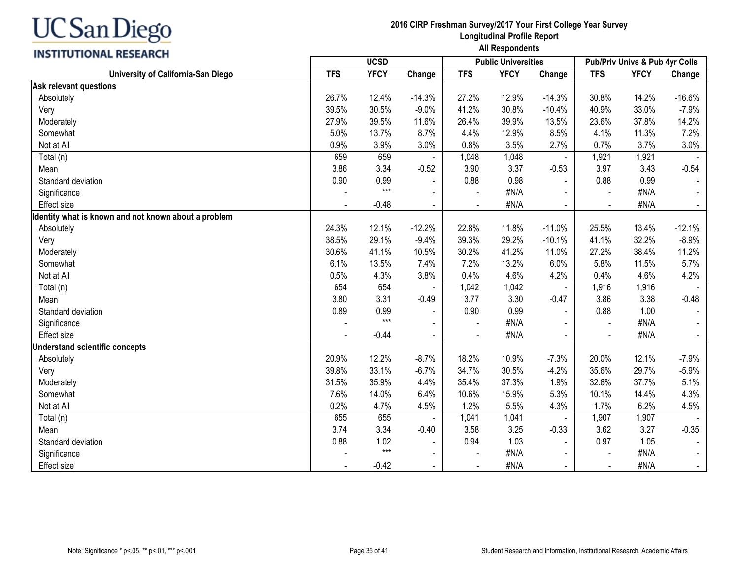## **INSTITUTIONAL RESEARCH**

|                                                      | <b>UCSD</b><br><b>Public Universities</b> |             |                |                |             | Pub/Priv Univs & Pub 4yr Colls |                          |             |                |
|------------------------------------------------------|-------------------------------------------|-------------|----------------|----------------|-------------|--------------------------------|--------------------------|-------------|----------------|
| University of California-San Diego                   | <b>TFS</b>                                | <b>YFCY</b> | Change         | <b>TFS</b>     | <b>YFCY</b> | Change                         | <b>TFS</b>               | <b>YFCY</b> | Change         |
| Ask relevant questions                               |                                           |             |                |                |             |                                |                          |             |                |
| Absolutely                                           | 26.7%                                     | 12.4%       | $-14.3%$       | 27.2%          | 12.9%       | $-14.3%$                       | 30.8%                    | 14.2%       | $-16.6%$       |
| Very                                                 | 39.5%                                     | 30.5%       | $-9.0%$        | 41.2%          | 30.8%       | $-10.4%$                       | 40.9%                    | 33.0%       | $-7.9%$        |
| Moderately                                           | 27.9%                                     | 39.5%       | 11.6%          | 26.4%          | 39.9%       | 13.5%                          | 23.6%                    | 37.8%       | 14.2%          |
| Somewhat                                             | 5.0%                                      | 13.7%       | 8.7%           | 4.4%           | 12.9%       | 8.5%                           | 4.1%                     | 11.3%       | 7.2%           |
| Not at All                                           | 0.9%                                      | 3.9%        | 3.0%           | 0.8%           | 3.5%        | 2.7%                           | 0.7%                     | 3.7%        | 3.0%           |
| Total (n)                                            | 659                                       | 659         |                | 1,048          | 1,048       |                                | 1,921                    | 1,921       |                |
| Mean                                                 | 3.86                                      | 3.34        | $-0.52$        | 3.90           | 3.37        | $-0.53$                        | 3.97                     | 3.43        | $-0.54$        |
| Standard deviation                                   | 0.90                                      | 0.99        | $\blacksquare$ | 0.88           | 0.98        | $\blacksquare$                 | 0.88                     | 0.99        |                |
| Significance                                         |                                           | $***$       | $\blacksquare$ |                | #N/A        |                                |                          | #N/A        | $\sim$         |
| Effect size                                          |                                           | $-0.48$     | $\overline{a}$ |                | #N/A        | $\blacksquare$                 |                          | #N/A        | $\sim$         |
| Identity what is known and not known about a problem |                                           |             |                |                |             |                                |                          |             |                |
| Absolutely                                           | 24.3%                                     | 12.1%       | $-12.2%$       | 22.8%          | 11.8%       | $-11.0%$                       | 25.5%                    | 13.4%       | $-12.1%$       |
| Very                                                 | 38.5%                                     | 29.1%       | $-9.4%$        | 39.3%          | 29.2%       | $-10.1%$                       | 41.1%                    | 32.2%       | $-8.9%$        |
| Moderately                                           | 30.6%                                     | 41.1%       | 10.5%          | 30.2%          | 41.2%       | 11.0%                          | 27.2%                    | 38.4%       | 11.2%          |
| Somewhat                                             | 6.1%                                      | 13.5%       | 7.4%           | 7.2%           | 13.2%       | 6.0%                           | 5.8%                     | 11.5%       | 5.7%           |
| Not at All                                           | 0.5%                                      | 4.3%        | 3.8%           | 0.4%           | 4.6%        | 4.2%                           | 0.4%                     | 4.6%        | 4.2%           |
| Total (n)                                            | 654                                       | 654         |                | 1,042          | 1,042       | $\blacksquare$                 | 1,916                    | 1,916       |                |
| Mean                                                 | 3.80                                      | 3.31        | $-0.49$        | 3.77           | 3.30        | $-0.47$                        | 3.86                     | 3.38        | $-0.48$        |
| Standard deviation                                   | 0.89                                      | 0.99        | $\blacksquare$ | 0.90           | 0.99        | $\blacksquare$                 | 0.88                     | 1.00        | $\sim$         |
| Significance                                         |                                           | $***$       |                |                | #N/A        |                                |                          | #N/A        |                |
| <b>Effect size</b>                                   |                                           | $-0.44$     | $\blacksquare$ |                | #N/A        |                                |                          | #N/A        | $\blacksquare$ |
| <b>Understand scientific concepts</b>                |                                           |             |                |                |             |                                |                          |             |                |
| Absolutely                                           | 20.9%                                     | 12.2%       | $-8.7%$        | 18.2%          | 10.9%       | $-7.3%$                        | 20.0%                    | 12.1%       | $-7.9%$        |
| Very                                                 | 39.8%                                     | 33.1%       | $-6.7%$        | 34.7%          | 30.5%       | $-4.2%$                        | 35.6%                    | 29.7%       | $-5.9%$        |
| Moderately                                           | 31.5%                                     | 35.9%       | 4.4%           | 35.4%          | 37.3%       | 1.9%                           | 32.6%                    | 37.7%       | 5.1%           |
| Somewhat                                             | 7.6%                                      | 14.0%       | 6.4%           | 10.6%          | 15.9%       | 5.3%                           | 10.1%                    | 14.4%       | 4.3%           |
| Not at All                                           | 0.2%                                      | 4.7%        | 4.5%           | 1.2%           | 5.5%        | 4.3%                           | 1.7%                     | 6.2%        | 4.5%           |
| Total (n)                                            | 655                                       | 655         |                | 1,041          | 1,041       |                                | 1,907                    | 1,907       |                |
| Mean                                                 | 3.74                                      | 3.34        | $-0.40$        | 3.58           | 3.25        | $-0.33$                        | 3.62                     | 3.27        | $-0.35$        |
| Standard deviation                                   | 0.88                                      | 1.02        | $\blacksquare$ | 0.94           | 1.03        | $\blacksquare$                 | 0.97                     | 1.05        |                |
| Significance                                         |                                           | $***$       | $\blacksquare$ |                | #N/A        |                                |                          | #N/A        | $\sim$         |
| Effect size                                          | $\blacksquare$                            | $-0.42$     | $\blacksquare$ | $\blacksquare$ | #N/A        | $\blacksquare$                 | $\overline{\phantom{a}}$ | #N/A        | $\sim$         |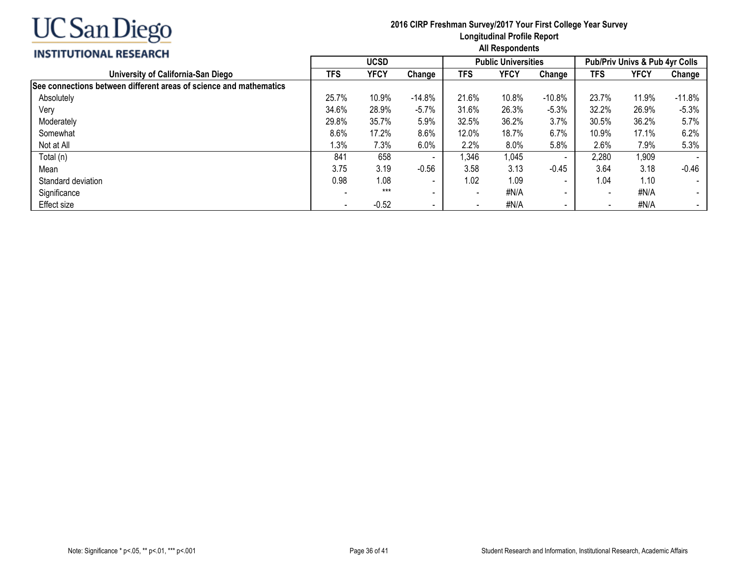

|                                                                    | <b>UCSD</b> |         |                          |                          | <b>Public Universities</b> |                          | Pub/Priv Univs & Pub 4yr Colls |       |          |
|--------------------------------------------------------------------|-------------|---------|--------------------------|--------------------------|----------------------------|--------------------------|--------------------------------|-------|----------|
| University of California-San Diego                                 | TFS         | YFCY    | Change                   | <b>TFS</b>               | YFCY                       | Change                   | TFS                            | YFCY  | Change   |
| See connections between different areas of science and mathematics |             |         |                          |                          |                            |                          |                                |       |          |
| Absolutely                                                         | 25.7%       | 10.9%   | $-14.8%$                 | 21.6%                    | 10.8%                      | $-10.8%$                 | 23.7%                          | 11.9% | $-11.8%$ |
| Very                                                               | 34.6%       | 28.9%   | $-5.7%$                  | 31.6%                    | 26.3%                      | $-5.3%$                  | 32.2%                          | 26.9% | $-5.3%$  |
| Moderately                                                         | 29.8%       | 35.7%   | 5.9%                     | 32.5%                    | 36.2%                      | 3.7%                     | 30.5%                          | 36.2% | 5.7%     |
| Somewhat                                                           | 8.6%        | 17.2%   | 8.6%                     | 12.0%                    | 18.7%                      | 6.7%                     | 10.9%                          | 17.1% | 6.2%     |
| Not at All                                                         | 1.3%        | 7.3%    | $6.0\%$                  | 2.2%                     | $8.0\%$                    | 5.8%                     | 2.6%                           | 7.9%  | 5.3%     |
| Total (n)                                                          | 841         | 658     | $\overline{\phantom{a}}$ | 1,346                    | 1,045                      | $\overline{\phantom{a}}$ | 2,280                          | 1,909 |          |
| Mean                                                               | 3.75        | 3.19    | $-0.56$                  | 3.58                     | 3.13                       | $-0.45$                  | 3.64                           | 3.18  | $-0.46$  |
| Standard deviation                                                 | 0.98        | 1.08    | $\overline{\phantom{a}}$ | 1.02                     | 1.09                       |                          | 1.04                           | 1.10  |          |
| Significance                                                       |             | $***$   | $\sim$                   | $\overline{\phantom{a}}$ | #N/A                       | $\blacksquare$           | $\overline{\phantom{a}}$       | #N/A  |          |
| Effect size                                                        |             | $-0.52$ | $\qquad \qquad$          |                          | #N/A                       | $\sim$                   |                                | #N/A  |          |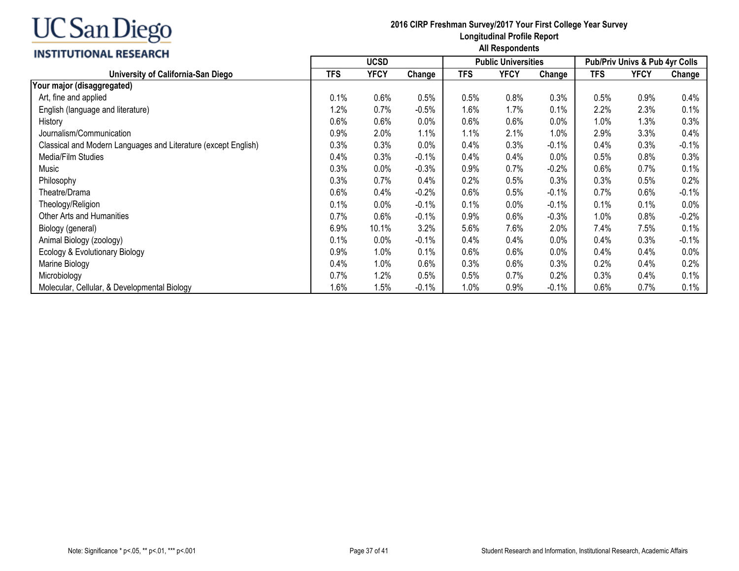## **INSTITUTIONAL RESEARCH**

|                                                                | <b>UCSD</b> |             |          |            | <b>Public Universities</b> |         | <b>Pub/Priv Univs &amp; Pub 4yr Colls</b> |      |          |
|----------------------------------------------------------------|-------------|-------------|----------|------------|----------------------------|---------|-------------------------------------------|------|----------|
| University of California-San Diego                             | <b>TFS</b>  | <b>YFCY</b> | Change   | <b>TFS</b> | <b>YFCY</b>                | Change  | <b>TFS</b>                                | YFCY | Change   |
| Your major (disaggregated)                                     |             |             |          |            |                            |         |                                           |      |          |
| Art, fine and applied                                          | 0.1%        | 0.6%        | 0.5%     | 0.5%       | 0.8%                       | 0.3%    | 0.5%                                      | 0.9% | 0.4%     |
| English (language and literature)                              | 1.2%        | 0.7%        | $-0.5\%$ | 1.6%       | 1.7%                       | 0.1%    | 2.2%                                      | 2.3% | 0.1%     |
| History                                                        | 0.6%        | 0.6%        | $0.0\%$  | 0.6%       | 0.6%                       | 0.0%    | 1.0%                                      | 1.3% | 0.3%     |
| Journalism/Communication                                       | 0.9%        | 2.0%        | 1.1%     | 1.1%       | 2.1%                       | 1.0%    | 2.9%                                      | 3.3% | 0.4%     |
| Classical and Modern Languages and Literature (except English) | 0.3%        | 0.3%        | $0.0\%$  | 0.4%       | 0.3%                       | $-0.1%$ | 0.4%                                      | 0.3% | $-0.1\%$ |
| Media/Film Studies                                             | 0.4%        | 0.3%        | $-0.1\%$ | 0.4%       | 0.4%                       | 0.0%    | 0.5%                                      | 0.8% | 0.3%     |
| Music                                                          | 0.3%        | 0.0%        | $-0.3%$  | 0.9%       | 0.7%                       | $-0.2%$ | 0.6%                                      | 0.7% | 0.1%     |
| Philosophy                                                     | 0.3%        | 0.7%        | 0.4%     | 0.2%       | 0.5%                       | 0.3%    | 0.3%                                      | 0.5% | 0.2%     |
| Theatre/Drama                                                  | 0.6%        | 0.4%        | $-0.2%$  | 0.6%       | 0.5%                       | $-0.1%$ | 0.7%                                      | 0.6% | $-0.1\%$ |
| Theology/Religion                                              | 0.1%        | 0.0%        | $-0.1%$  | 0.1%       | 0.0%                       | $-0.1%$ | 0.1%                                      | 0.1% | $0.0\%$  |
| Other Arts and Humanities                                      | 0.7%        | 0.6%        | $-0.1%$  | 0.9%       | 0.6%                       | $-0.3%$ | 1.0%                                      | 0.8% | $-0.2%$  |
| Biology (general)                                              | 6.9%        | 10.1%       | 3.2%     | 5.6%       | 7.6%                       | 2.0%    | 7.4%                                      | 7.5% | 0.1%     |
| Animal Biology (zoology)                                       | 0.1%        | 0.0%        | $-0.1\%$ | 0.4%       | 0.4%                       | 0.0%    | 0.4%                                      | 0.3% | $-0.1%$  |
| Ecology & Evolutionary Biology                                 | 0.9%        | 1.0%        | 0.1%     | 0.6%       | 0.6%                       | 0.0%    | 0.4%                                      | 0.4% | 0.0%     |
| Marine Biology                                                 | 0.4%        | 1.0%        | $0.6\%$  | 0.3%       | 0.6%                       | 0.3%    | 0.2%                                      | 0.4% | 0.2%     |
| Microbiology                                                   | 0.7%        | 1.2%        | 0.5%     | 0.5%       | 0.7%                       | 0.2%    | 0.3%                                      | 0.4% | 0.1%     |
| Molecular, Cellular, & Developmental Biology                   | 1.6%        | .5%         | $-0.1\%$ | $1.0\%$    | 0.9%                       | $-0.1%$ | 0.6%                                      | 0.7% | 0.1%     |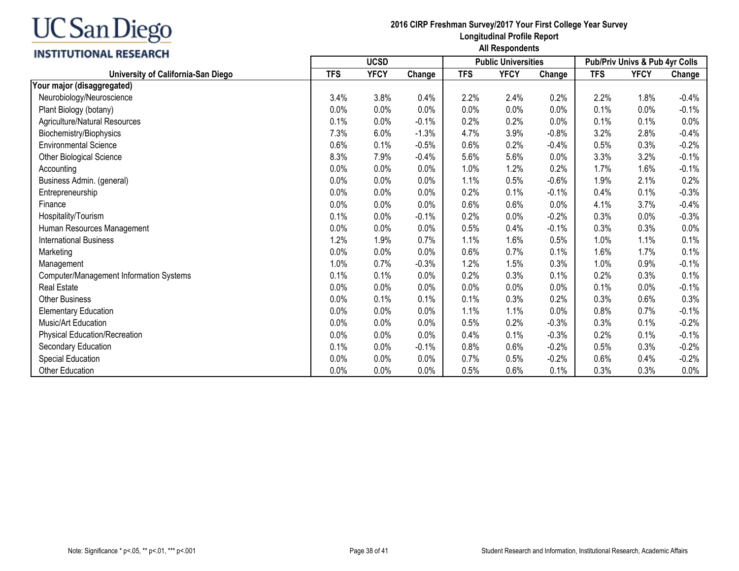### **INSTITUTIONAL RESEARCH**

|                                                | <b>UCSD</b> |             |         |            | <b>Public Universities</b> |         | Pub/Priv Univs & Pub 4yr Colls |             |         |
|------------------------------------------------|-------------|-------------|---------|------------|----------------------------|---------|--------------------------------|-------------|---------|
| University of California-San Diego             | <b>TFS</b>  | <b>YFCY</b> | Change  | <b>TFS</b> | <b>YFCY</b>                | Change  | <b>TFS</b>                     | <b>YFCY</b> | Change  |
| Your major (disaggregated)                     |             |             |         |            |                            |         |                                |             |         |
| Neurobiology/Neuroscience                      | 3.4%        | 3.8%        | 0.4%    | 2.2%       | 2.4%                       | 0.2%    | 2.2%                           | 1.8%        | $-0.4%$ |
| Plant Biology (botany)                         | 0.0%        | 0.0%        | 0.0%    | 0.0%       | 0.0%                       | 0.0%    | 0.1%                           | 0.0%        | $-0.1%$ |
| Agriculture/Natural Resources                  | 0.1%        | 0.0%        | $-0.1%$ | 0.2%       | 0.2%                       | 0.0%    | 0.1%                           | 0.1%        | 0.0%    |
| Biochemistry/Biophysics                        | 7.3%        | 6.0%        | $-1.3%$ | 4.7%       | 3.9%                       | $-0.8%$ | 3.2%                           | 2.8%        | $-0.4%$ |
| <b>Environmental Science</b>                   | 0.6%        | 0.1%        | $-0.5%$ | 0.6%       | 0.2%                       | $-0.4%$ | 0.5%                           | 0.3%        | $-0.2%$ |
| Other Biological Science                       | 8.3%        | 7.9%        | $-0.4%$ | 5.6%       | 5.6%                       | 0.0%    | 3.3%                           | 3.2%        | $-0.1%$ |
| Accounting                                     | 0.0%        | 0.0%        | 0.0%    | 1.0%       | 1.2%                       | 0.2%    | 1.7%                           | 1.6%        | $-0.1%$ |
| Business Admin. (general)                      | 0.0%        | 0.0%        | 0.0%    | 1.1%       | 0.5%                       | $-0.6%$ | 1.9%                           | 2.1%        | 0.2%    |
| Entrepreneurship                               | 0.0%        | 0.0%        | 0.0%    | 0.2%       | 0.1%                       | $-0.1%$ | 0.4%                           | 0.1%        | $-0.3%$ |
| Finance                                        | 0.0%        | 0.0%        | 0.0%    | 0.6%       | 0.6%                       | 0.0%    | 4.1%                           | 3.7%        | $-0.4%$ |
| Hospitality/Tourism                            | 0.1%        | 0.0%        | $-0.1%$ | 0.2%       | 0.0%                       | $-0.2%$ | 0.3%                           | 0.0%        | $-0.3%$ |
| Human Resources Management                     | 0.0%        | 0.0%        | 0.0%    | 0.5%       | 0.4%                       | $-0.1%$ | 0.3%                           | 0.3%        | 0.0%    |
| <b>International Business</b>                  | 1.2%        | 1.9%        | 0.7%    | 1.1%       | 1.6%                       | 0.5%    | 1.0%                           | 1.1%        | 0.1%    |
| Marketing                                      | 0.0%        | 0.0%        | 0.0%    | 0.6%       | 0.7%                       | 0.1%    | 1.6%                           | 1.7%        | 0.1%    |
| Management                                     | 1.0%        | 0.7%        | $-0.3%$ | 1.2%       | 1.5%                       | 0.3%    | 1.0%                           | 0.9%        | $-0.1%$ |
| <b>Computer/Management Information Systems</b> | 0.1%        | 0.1%        | 0.0%    | 0.2%       | 0.3%                       | 0.1%    | 0.2%                           | 0.3%        | 0.1%    |
| Real Estate                                    | 0.0%        | 0.0%        | 0.0%    | 0.0%       | 0.0%                       | 0.0%    | 0.1%                           | 0.0%        | $-0.1%$ |
| <b>Other Business</b>                          | 0.0%        | 0.1%        | 0.1%    | 0.1%       | 0.3%                       | 0.2%    | 0.3%                           | 0.6%        | 0.3%    |
| <b>Elementary Education</b>                    | 0.0%        | 0.0%        | 0.0%    | 1.1%       | 1.1%                       | 0.0%    | 0.8%                           | 0.7%        | $-0.1%$ |
| Music/Art Education                            | 0.0%        | 0.0%        | 0.0%    | 0.5%       | 0.2%                       | $-0.3%$ | 0.3%                           | 0.1%        | $-0.2%$ |
| <b>Physical Education/Recreation</b>           | 0.0%        | 0.0%        | 0.0%    | 0.4%       | 0.1%                       | $-0.3%$ | 0.2%                           | 0.1%        | $-0.1%$ |
| Secondary Education                            | 0.1%        | 0.0%        | $-0.1%$ | 0.8%       | 0.6%                       | $-0.2%$ | 0.5%                           | 0.3%        | $-0.2%$ |
| Special Education                              | 0.0%        | 0.0%        | 0.0%    | 0.7%       | 0.5%                       | $-0.2%$ | 0.6%                           | 0.4%        | $-0.2%$ |
| Other Education                                | 0.0%        | 0.0%        | 0.0%    | 0.5%       | 0.6%                       | 0.1%    | 0.3%                           | 0.3%        | $0.0\%$ |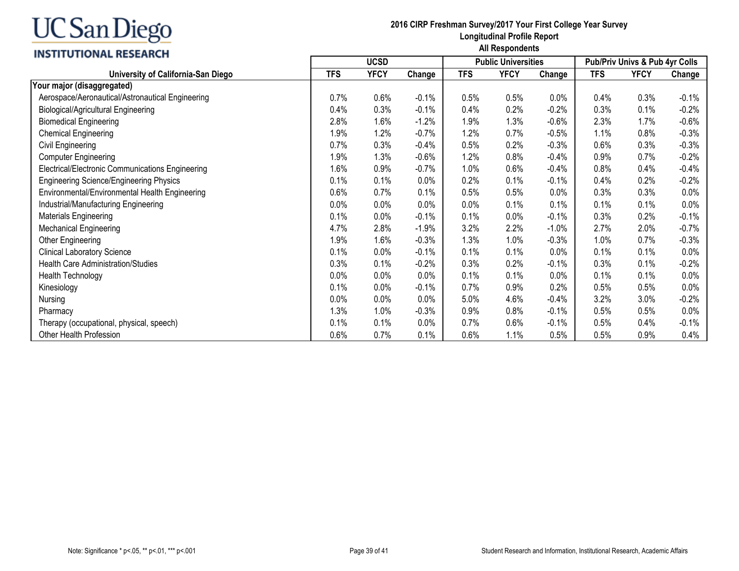### **INSTITUTIONAL RESEARCH**

| <b>INSTITUTIONAL RESEARCH</b>                    | <b>UCSD</b><br><b>Public Universities</b> |             |         |            |             | Pub/Priv Univs & Pub 4yr Colls |            |             |          |
|--------------------------------------------------|-------------------------------------------|-------------|---------|------------|-------------|--------------------------------|------------|-------------|----------|
| University of California-San Diego               | <b>TFS</b>                                | <b>YFCY</b> | Change  | <b>TFS</b> | <b>YFCY</b> | Change                         | <b>TFS</b> | <b>YFCY</b> | Change   |
| Your major (disaggregated)                       |                                           |             |         |            |             |                                |            |             |          |
| Aerospace/Aeronautical/Astronautical Engineering | 0.7%                                      | 0.6%        | $-0.1%$ | 0.5%       | 0.5%        | 0.0%                           | 0.4%       | 0.3%        | $-0.1%$  |
| <b>Biological/Agricultural Engineering</b>       | 0.4%                                      | 0.3%        | $-0.1%$ | 0.4%       | 0.2%        | $-0.2%$                        | 0.3%       | 0.1%        | $-0.2%$  |
| <b>Biomedical Engineering</b>                    | 2.8%                                      | 1.6%        | $-1.2%$ | 1.9%       | 1.3%        | $-0.6%$                        | 2.3%       | 1.7%        | $-0.6\%$ |
| <b>Chemical Engineering</b>                      | 1.9%                                      | 1.2%        | $-0.7%$ | 1.2%       | 0.7%        | $-0.5%$                        | 1.1%       | 0.8%        | $-0.3%$  |
| Civil Engineering                                | 0.7%                                      | 0.3%        | $-0.4%$ | 0.5%       | 0.2%        | $-0.3%$                        | 0.6%       | 0.3%        | $-0.3%$  |
| <b>Computer Engineering</b>                      | 1.9%                                      | 1.3%        | $-0.6%$ | 1.2%       | 0.8%        | $-0.4%$                        | 0.9%       | 0.7%        | $-0.2%$  |
| Electrical/Electronic Communications Engineering | 1.6%                                      | 0.9%        | $-0.7%$ | 1.0%       | 0.6%        | $-0.4%$                        | 0.8%       | 0.4%        | $-0.4%$  |
| <b>Engineering Science/Engineering Physics</b>   | 0.1%                                      | 0.1%        | 0.0%    | 0.2%       | 0.1%        | $-0.1%$                        | 0.4%       | 0.2%        | $-0.2%$  |
| Environmental/Environmental Health Engineering   | 0.6%                                      | 0.7%        | 0.1%    | 0.5%       | 0.5%        | 0.0%                           | 0.3%       | 0.3%        | 0.0%     |
| Industrial/Manufacturing Engineering             | 0.0%                                      | 0.0%        | 0.0%    | 0.0%       | 0.1%        | 0.1%                           | 0.1%       | 0.1%        | 0.0%     |
| Materials Engineering                            | 0.1%                                      | 0.0%        | $-0.1%$ | 0.1%       | 0.0%        | $-0.1%$                        | 0.3%       | 0.2%        | $-0.1%$  |
| <b>Mechanical Engineering</b>                    | 4.7%                                      | 2.8%        | $-1.9%$ | 3.2%       | 2.2%        | $-1.0%$                        | 2.7%       | 2.0%        | $-0.7%$  |
| Other Engineering                                | 1.9%                                      | 1.6%        | $-0.3%$ | 1.3%       | 1.0%        | $-0.3%$                        | 1.0%       | 0.7%        | $-0.3%$  |
| <b>Clinical Laboratory Science</b>               | 0.1%                                      | 0.0%        | $-0.1%$ | 0.1%       | 0.1%        | 0.0%                           | 0.1%       | 0.1%        | 0.0%     |
| <b>Health Care Administration/Studies</b>        | 0.3%                                      | 0.1%        | $-0.2%$ | 0.3%       | 0.2%        | $-0.1%$                        | 0.3%       | 0.1%        | $-0.2\%$ |
| Health Technology                                | 0.0%                                      | 0.0%        | 0.0%    | 0.1%       | 0.1%        | 0.0%                           | 0.1%       | 0.1%        | 0.0%     |
| Kinesiology                                      | 0.1%                                      | 0.0%        | $-0.1%$ | 0.7%       | 0.9%        | 0.2%                           | 0.5%       | 0.5%        | 0.0%     |
| Nursing                                          | 0.0%                                      | 0.0%        | 0.0%    | 5.0%       | 4.6%        | $-0.4%$                        | 3.2%       | 3.0%        | $-0.2%$  |
| Pharmacy                                         | 1.3%                                      | 1.0%        | $-0.3%$ | 0.9%       | 0.8%        | $-0.1%$                        | 0.5%       | 0.5%        | 0.0%     |
| Therapy (occupational, physical, speech)         | 0.1%                                      | 0.1%        | 0.0%    | 0.7%       | 0.6%        | $-0.1%$                        | 0.5%       | 0.4%        | $-0.1%$  |
| Other Health Profession                          | 0.6%                                      | 0.7%        | 0.1%    | 0.6%       | 1.1%        | 0.5%                           | 0.5%       | 0.9%        | 0.4%     |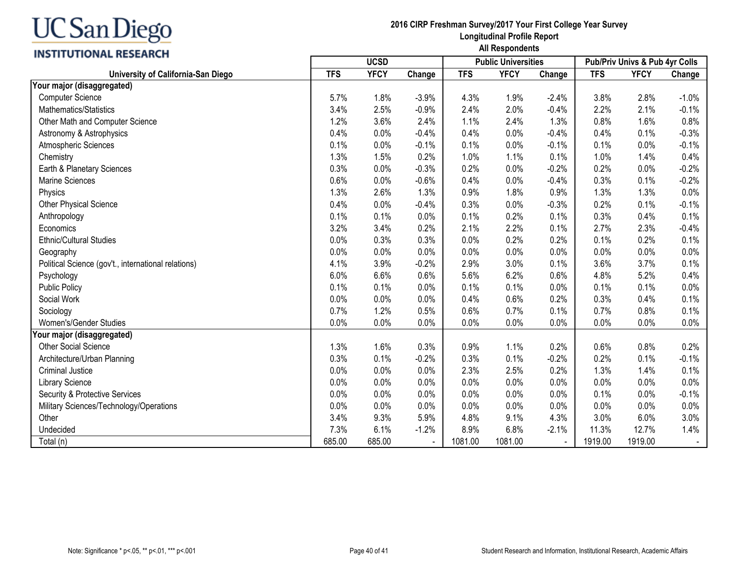## **INSTITUTIONAL RESEARCH**

|                                                     |            | <b>UCSD</b> |         |            | <b>Public Universities</b> |         | Pub/Priv Univs & Pub 4yr Colls |             |         |
|-----------------------------------------------------|------------|-------------|---------|------------|----------------------------|---------|--------------------------------|-------------|---------|
| University of California-San Diego                  | <b>TFS</b> | <b>YFCY</b> | Change  | <b>TFS</b> | <b>YFCY</b>                | Change  | <b>TFS</b>                     | <b>YFCY</b> | Change  |
| Your major (disaggregated)                          |            |             |         |            |                            |         |                                |             |         |
| <b>Computer Science</b>                             | 5.7%       | 1.8%        | $-3.9%$ | 4.3%       | 1.9%                       | $-2.4%$ | 3.8%                           | 2.8%        | $-1.0%$ |
| Mathematics/Statistics                              | 3.4%       | 2.5%        | $-0.9%$ | 2.4%       | 2.0%                       | $-0.4%$ | 2.2%                           | 2.1%        | $-0.1%$ |
| Other Math and Computer Science                     | 1.2%       | 3.6%        | 2.4%    | 1.1%       | 2.4%                       | 1.3%    | 0.8%                           | 1.6%        | 0.8%    |
| Astronomy & Astrophysics                            | 0.4%       | 0.0%        | $-0.4%$ | 0.4%       | 0.0%                       | $-0.4%$ | 0.4%                           | 0.1%        | $-0.3%$ |
| Atmospheric Sciences                                | 0.1%       | 0.0%        | $-0.1%$ | 0.1%       | 0.0%                       | $-0.1%$ | 0.1%                           | 0.0%        | $-0.1%$ |
| Chemistry                                           | 1.3%       | 1.5%        | 0.2%    | 1.0%       | 1.1%                       | 0.1%    | 1.0%                           | 1.4%        | 0.4%    |
| Earth & Planetary Sciences                          | 0.3%       | 0.0%        | $-0.3%$ | 0.2%       | 0.0%                       | $-0.2%$ | 0.2%                           | 0.0%        | $-0.2%$ |
| <b>Marine Sciences</b>                              | 0.6%       | 0.0%        | $-0.6%$ | 0.4%       | 0.0%                       | $-0.4%$ | 0.3%                           | 0.1%        | $-0.2%$ |
| Physics                                             | 1.3%       | 2.6%        | 1.3%    | 0.9%       | 1.8%                       | 0.9%    | 1.3%                           | 1.3%        | 0.0%    |
| Other Physical Science                              | 0.4%       | 0.0%        | $-0.4%$ | 0.3%       | 0.0%                       | $-0.3%$ | 0.2%                           | 0.1%        | $-0.1%$ |
| Anthropology                                        | 0.1%       | 0.1%        | 0.0%    | 0.1%       | 0.2%                       | 0.1%    | 0.3%                           | 0.4%        | 0.1%    |
| Economics                                           | 3.2%       | 3.4%        | 0.2%    | 2.1%       | 2.2%                       | 0.1%    | 2.7%                           | 2.3%        | $-0.4%$ |
| <b>Ethnic/Cultural Studies</b>                      | 0.0%       | 0.3%        | 0.3%    | 0.0%       | 0.2%                       | 0.2%    | 0.1%                           | 0.2%        | 0.1%    |
| Geography                                           | 0.0%       | 0.0%        | 0.0%    | 0.0%       | 0.0%                       | 0.0%    | 0.0%                           | 0.0%        | 0.0%    |
| Political Science (gov't., international relations) | 4.1%       | 3.9%        | $-0.2%$ | 2.9%       | 3.0%                       | 0.1%    | 3.6%                           | 3.7%        | 0.1%    |
| Psychology                                          | 6.0%       | 6.6%        | 0.6%    | 5.6%       | 6.2%                       | 0.6%    | 4.8%                           | 5.2%        | 0.4%    |
| <b>Public Policy</b>                                | 0.1%       | 0.1%        | 0.0%    | 0.1%       | 0.1%                       | 0.0%    | 0.1%                           | 0.1%        | 0.0%    |
| Social Work                                         | 0.0%       | 0.0%        | 0.0%    | 0.4%       | 0.6%                       | 0.2%    | 0.3%                           | 0.4%        | 0.1%    |
| Sociology                                           | 0.7%       | 1.2%        | 0.5%    | 0.6%       | 0.7%                       | 0.1%    | 0.7%                           | 0.8%        | 0.1%    |
| Women's/Gender Studies                              | 0.0%       | 0.0%        | 0.0%    | 0.0%       | 0.0%                       | 0.0%    | 0.0%                           | 0.0%        | 0.0%    |
| Your major (disaggregated)                          |            |             |         |            |                            |         |                                |             |         |
| <b>Other Social Science</b>                         | 1.3%       | 1.6%        | 0.3%    | 0.9%       | 1.1%                       | 0.2%    | 0.6%                           | 0.8%        | 0.2%    |
| Architecture/Urban Planning                         | 0.3%       | 0.1%        | $-0.2%$ | 0.3%       | 0.1%                       | $-0.2%$ | 0.2%                           | 0.1%        | $-0.1%$ |
| <b>Criminal Justice</b>                             | 0.0%       | 0.0%        | 0.0%    | 2.3%       | 2.5%                       | 0.2%    | 1.3%                           | 1.4%        | 0.1%    |
| <b>Library Science</b>                              | 0.0%       | 0.0%        | 0.0%    | 0.0%       | 0.0%                       | 0.0%    | 0.0%                           | 0.0%        | 0.0%    |
| Security & Protective Services                      | 0.0%       | 0.0%        | 0.0%    | 0.0%       | 0.0%                       | 0.0%    | 0.1%                           | 0.0%        | $-0.1%$ |
| Military Sciences/Technology/Operations             | 0.0%       | 0.0%        | 0.0%    | 0.0%       | 0.0%                       | 0.0%    | 0.0%                           | 0.0%        | 0.0%    |
| Other                                               | 3.4%       | 9.3%        | 5.9%    | 4.8%       | 9.1%                       | 4.3%    | 3.0%                           | 6.0%        | 3.0%    |
| Undecided                                           | 7.3%       | 6.1%        | $-1.2%$ | 8.9%       | 6.8%                       | $-2.1%$ | 11.3%                          | 12.7%       | 1.4%    |
| Total (n)                                           | 685.00     | 685.00      |         | 1081.00    | 1081.00                    |         | 1919.00                        | 1919.00     |         |